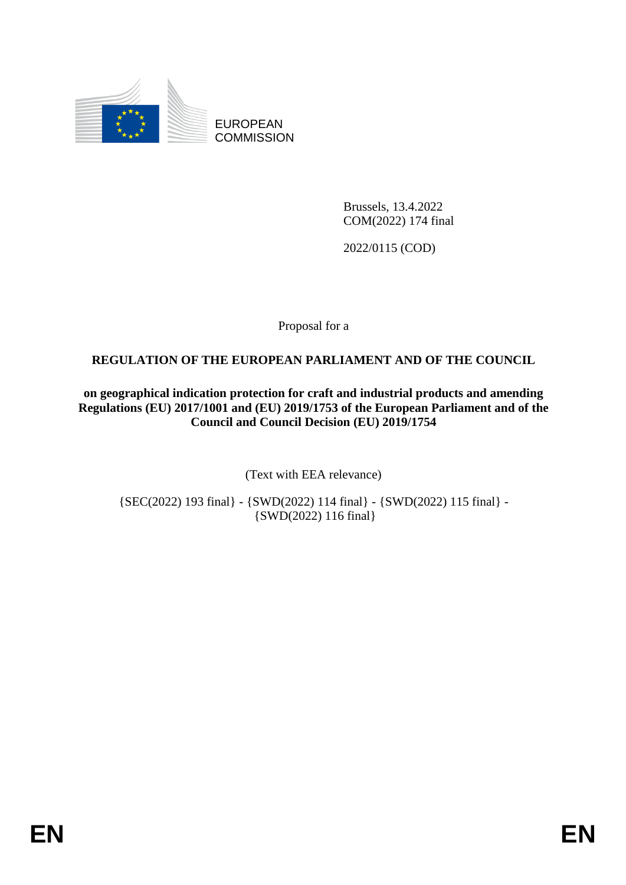

EUROPEAN **COMMISSION** 

> Brussels, 13.4.2022 COM(2022) 174 final

2022/0115 (COD)

Proposal for a

# **REGULATION OF THE EUROPEAN PARLIAMENT AND OF THE COUNCIL**

**on geographical indication protection for craft and industrial products and amending Regulations (EU) 2017/1001 and (EU) 2019/1753 of the European Parliament and of the Council and Council Decision (EU) 2019/1754**

(Text with EEA relevance)

{SEC(2022) 193 final} - {SWD(2022) 114 final} - {SWD(2022) 115 final} - {SWD(2022) 116 final}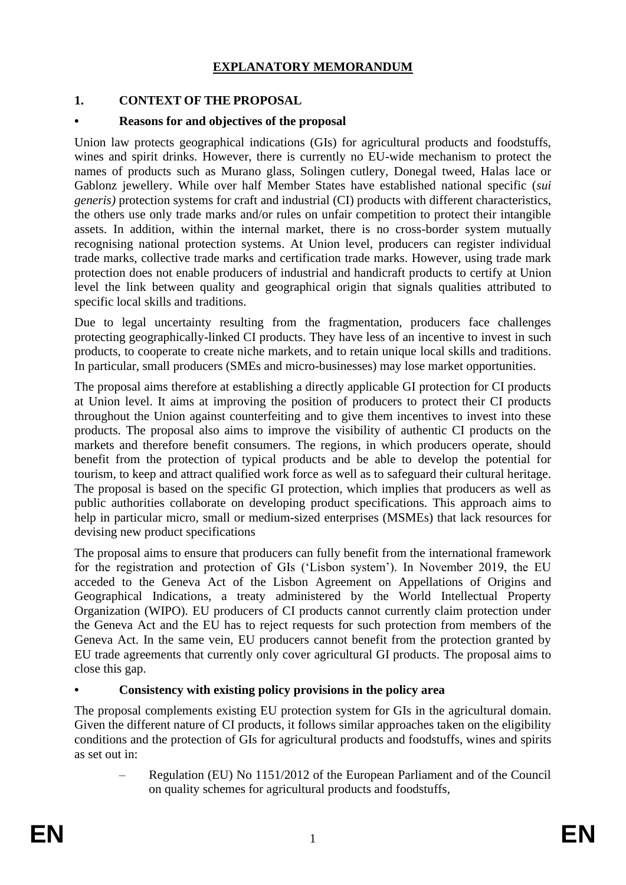# **EXPLANATORY MEMORANDUM**

# **1. CONTEXT OF THE PROPOSAL**

## **• Reasons for and objectives of the proposal**

Union law protects geographical indications (GIs) for agricultural products and foodstuffs, wines and spirit drinks. However, there is currently no EU-wide mechanism to protect the names of products such as Murano glass, Solingen cutlery, Donegal tweed, Halas lace or Gablonz jewellery. While over half Member States have established national specific (*sui generis)* protection systems for craft and industrial (CI) products with different characteristics, the others use only trade marks and/or rules on unfair competition to protect their intangible assets. In addition, within the internal market, there is no cross-border system mutually recognising national protection systems. At Union level, producers can register individual trade marks, collective trade marks and certification trade marks. However, using trade mark protection does not enable producers of industrial and handicraft products to certify at Union level the link between quality and geographical origin that signals qualities attributed to specific local skills and traditions.

Due to legal uncertainty resulting from the fragmentation, producers face challenges protecting geographically-linked CI products. They have less of an incentive to invest in such products, to cooperate to create niche markets, and to retain unique local skills and traditions. In particular, small producers (SMEs and micro-businesses) may lose market opportunities.

The proposal aims therefore at establishing a directly applicable GI protection for CI products at Union level. It aims at improving the position of producers to protect their CI products throughout the Union against counterfeiting and to give them incentives to invest into these products. The proposal also aims to improve the visibility of authentic CI products on the markets and therefore benefit consumers. The regions, in which producers operate, should benefit from the protection of typical products and be able to develop the potential for tourism, to keep and attract qualified work force as well as to safeguard their cultural heritage. The proposal is based on the specific GI protection, which implies that producers as well as public authorities collaborate on developing product specifications. This approach aims to help in particular micro, small or medium-sized enterprises (MSMEs) that lack resources for devising new product specifications

The proposal aims to ensure that producers can fully benefit from the international framework for the registration and protection of GIs ('Lisbon system'). In November 2019, the EU acceded to the Geneva Act of the Lisbon Agreement on Appellations of Origins and Geographical Indications, a treaty administered by the World Intellectual Property Organization (WIPO). EU producers of CI products cannot currently claim protection under the Geneva Act and the EU has to reject requests for such protection from members of the Geneva Act. In the same vein, EU producers cannot benefit from the protection granted by EU trade agreements that currently only cover agricultural GI products. The proposal aims to close this gap.

# **• Consistency with existing policy provisions in the policy area**

The proposal complements existing EU protection system for GIs in the agricultural domain. Given the different nature of CI products, it follows similar approaches taken on the eligibility conditions and the protection of GIs for agricultural products and foodstuffs, wines and spirits as set out in:

– Regulation (EU) No 1151/2012 of the European Parliament and of the Council on quality schemes for agricultural products and foodstuffs,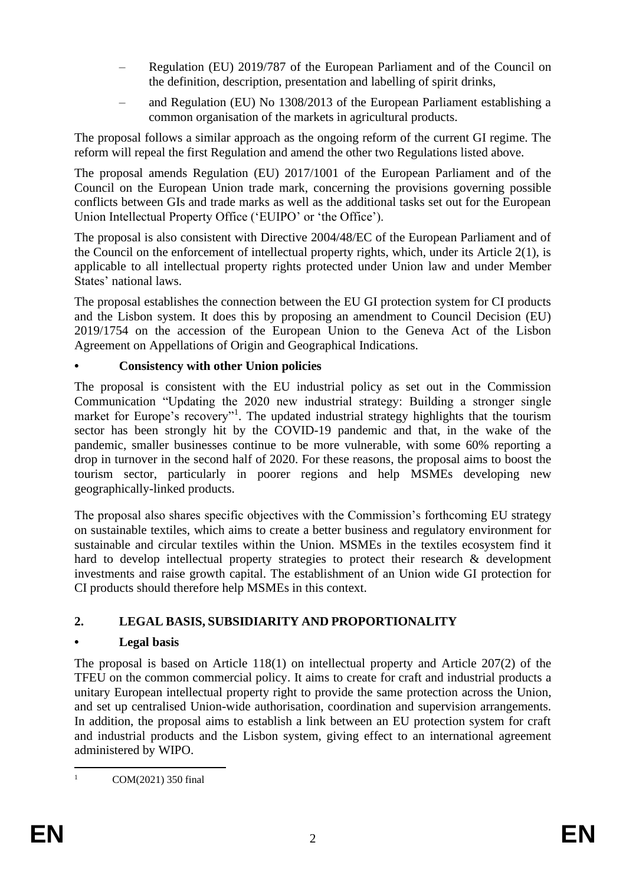- Regulation (EU) 2019/787 of the European Parliament and of the Council on the definition, description, presentation and labelling of spirit drinks,
- and Regulation (EU) No 1308/2013 of the European Parliament establishing a common organisation of the markets in agricultural products.

The proposal follows a similar approach as the ongoing reform of the current GI regime. The reform will repeal the first Regulation and amend the other two Regulations listed above.

The proposal amends Regulation (EU) 2017/1001 of the European Parliament and of the Council on the European Union trade mark, concerning the provisions governing possible conflicts between GIs and trade marks as well as the additional tasks set out for the European Union Intellectual Property Office ('EUIPO' or 'the Office').

The proposal is also consistent with Directive 2004/48/EC of the European Parliament and of the Council on the enforcement of intellectual property rights, which, under its Article 2(1), is applicable to all intellectual property rights protected under Union law and under Member States' national laws.

The proposal establishes the connection between the EU GI protection system for CI products and the Lisbon system. It does this by proposing an amendment to Council Decision (EU) 2019/1754 on the accession of the European Union to the Geneva Act of the Lisbon Agreement on Appellations of Origin and Geographical Indications.

# **• Consistency with other Union policies**

The proposal is consistent with the EU industrial policy as set out in the Commission Communication "Updating the 2020 new industrial strategy: Building a stronger single market for Europe's recovery"<sup>1</sup>. The updated industrial strategy highlights that the tourism sector has been strongly hit by the COVID-19 pandemic and that, in the wake of the pandemic, smaller businesses continue to be more vulnerable, with some 60% reporting a drop in turnover in the second half of 2020. For these reasons, the proposal aims to boost the tourism sector, particularly in poorer regions and help MSMEs developing new geographically-linked products.

The proposal also shares specific objectives with the Commission's forthcoming EU strategy on sustainable textiles, which aims to create a better business and regulatory environment for sustainable and circular textiles within the Union. MSMEs in the textiles ecosystem find it hard to develop intellectual property strategies to protect their research & development investments and raise growth capital. The establishment of an Union wide GI protection for CI products should therefore help MSMEs in this context.

# **2. LEGAL BASIS, SUBSIDIARITY AND PROPORTIONALITY**

# **• Legal basis**

The proposal is based on Article  $118(1)$  on intellectual property and Article  $207(2)$  of the TFEU on the common commercial policy. It aims to create for craft and industrial products a unitary European intellectual property right to provide the same protection across the Union, and set up centralised Union-wide authorisation, coordination and supervision arrangements. In addition, the proposal aims to establish a link between an EU protection system for craft and industrial products and the Lisbon system, giving effect to an international agreement administered by WIPO.

<sup>&</sup>lt;sup>1</sup> COM(2021) 350 final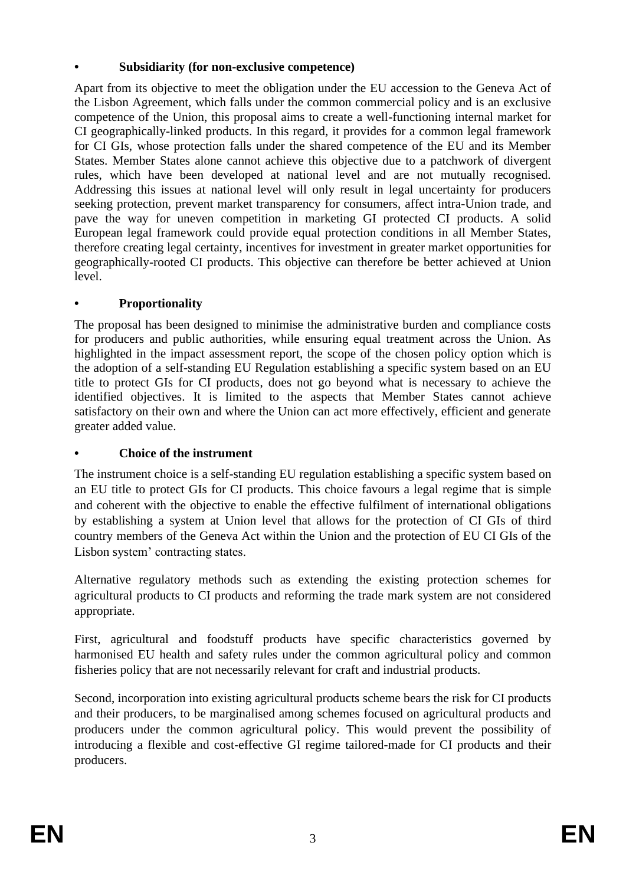# **• Subsidiarity (for non-exclusive competence)**

Apart from its objective to meet the obligation under the EU accession to the Geneva Act of the Lisbon Agreement, which falls under the common commercial policy and is an exclusive competence of the Union, this proposal aims to create a well-functioning internal market for CI geographically-linked products. In this regard, it provides for a common legal framework for CI GIs, whose protection falls under the shared competence of the EU and its Member States. Member States alone cannot achieve this objective due to a patchwork of divergent rules, which have been developed at national level and are not mutually recognised. Addressing this issues at national level will only result in legal uncertainty for producers seeking protection, prevent market transparency for consumers, affect intra-Union trade, and pave the way for uneven competition in marketing GI protected CI products. A solid European legal framework could provide equal protection conditions in all Member States, therefore creating legal certainty, incentives for investment in greater market opportunities for geographically-rooted CI products. This objective can therefore be better achieved at Union level.

# **• Proportionality**

The proposal has been designed to minimise the administrative burden and compliance costs for producers and public authorities, while ensuring equal treatment across the Union. As highlighted in the impact assessment report, the scope of the chosen policy option which is the adoption of a self-standing EU Regulation establishing a specific system based on an EU title to protect GIs for CI products, does not go beyond what is necessary to achieve the identified objectives. It is limited to the aspects that Member States cannot achieve satisfactory on their own and where the Union can act more effectively, efficient and generate greater added value.

# **• Choice of the instrument**

The instrument choice is a self-standing EU regulation establishing a specific system based on an EU title to protect GIs for CI products. This choice favours a legal regime that is simple and coherent with the objective to enable the effective fulfilment of international obligations by establishing a system at Union level that allows for the protection of CI GIs of third country members of the Geneva Act within the Union and the protection of EU CI GIs of the Lisbon system' contracting states.

Alternative regulatory methods such as extending the existing protection schemes for agricultural products to CI products and reforming the trade mark system are not considered appropriate.

First, agricultural and foodstuff products have specific characteristics governed by harmonised EU health and safety rules under the common agricultural policy and common fisheries policy that are not necessarily relevant for craft and industrial products.

Second, incorporation into existing agricultural products scheme bears the risk for CI products and their producers, to be marginalised among schemes focused on agricultural products and producers under the common agricultural policy. This would prevent the possibility of introducing a flexible and cost-effective GI regime tailored-made for CI products and their producers.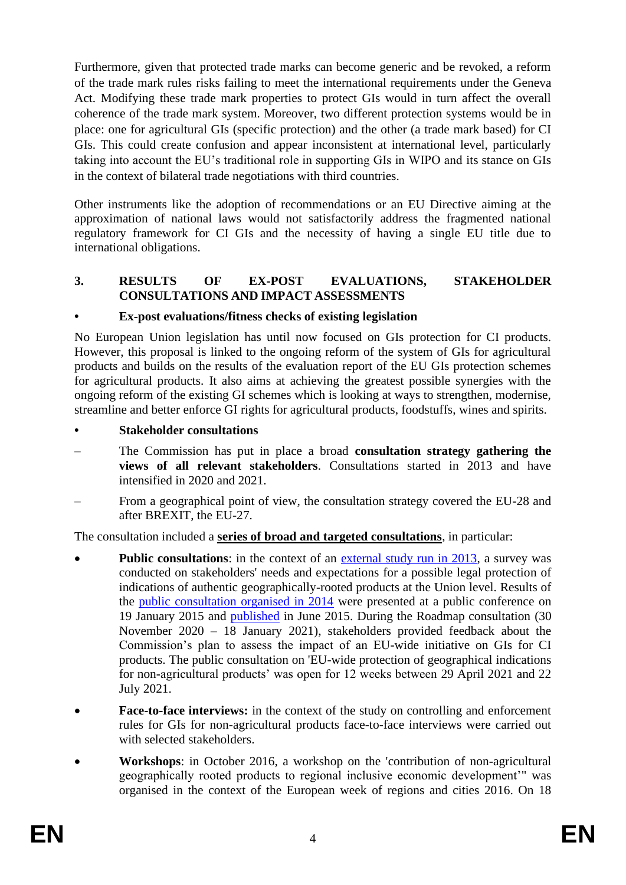Furthermore, given that protected trade marks can become generic and be revoked, a reform of the trade mark rules risks failing to meet the international requirements under the Geneva Act. Modifying these trade mark properties to protect GIs would in turn affect the overall coherence of the trade mark system. Moreover, two different protection systems would be in place: one for agricultural GIs (specific protection) and the other (a trade mark based) for CI GIs. This could create confusion and appear inconsistent at international level, particularly taking into account the EU's traditional role in supporting GIs in WIPO and its stance on GIs in the context of bilateral trade negotiations with third countries.

Other instruments like the adoption of recommendations or an EU Directive aiming at the approximation of national laws would not satisfactorily address the fragmented national regulatory framework for CI GIs and the necessity of having a single EU title due to international obligations.

## **3. RESULTS OF EX-POST EVALUATIONS, STAKEHOLDER CONSULTATIONS AND IMPACT ASSESSMENTS**

## **• Ex-post evaluations/fitness checks of existing legislation**

No European Union legislation has until now focused on GIs protection for CI products. However, this proposal is linked to the ongoing reform of the system of GIs for agricultural products and builds on the results of the evaluation report of the EU GIs protection schemes for agricultural products. It also aims at achieving the greatest possible synergies with the ongoing reform of the existing GI schemes which is looking at ways to strengthen, modernise, streamline and better enforce GI rights for agricultural products, foodstuffs, wines and spirits.

- **• Stakeholder consultations**
- The Commission has put in place a broad **consultation strategy gathering the views of all relevant stakeholders**. Consultations started in 2013 and have intensified in 2020 and 2021.
- From a geographical point of view, the consultation strategy covered the EU-28 and after BREXIT, the EU-27.

The consultation included a **series of broad and targeted consultations**, in particular:

- **Public consultations**: in the context of an [external study run in 2013,](http://ec.europa.eu/DocsRoom/documents/14897/attachments/1/translations/en/renditions/native) a survey was conducted on stakeholders' needs and expectations for a possible legal protection of indications of authentic geographically-rooted products at the Union level. Results of the [public consultation organised in 2014](http://ec.europa.eu/growth/tools-databases/newsroom/cf/itemdetail.cfm?item_id=8254) were presented at a public conference on 19 January 2015 and [published](http://ec.europa.eu/DocsRoom/documents/10565/attachments/1/translations/en/renditions/native) in June 2015. During the Roadmap consultation (30 November 2020 – 18 January 2021), stakeholders provided feedback about the Commission's plan to assess the impact of an EU-wide initiative on GIs for CI products. The public consultation on 'EU-wide protection of geographical indications for non-agricultural products' was open for 12 weeks between 29 April 2021 and 22 July 2021.
- **Face-to-face interviews:** in the context of the study on controlling and enforcement rules for GIs for non-agricultural products face-to-face interviews were carried out with selected stakeholders.
- **Workshops**: in October 2016, a workshop on the ['contribution of non-agricultural](http://ttp/ec.europa.eu/regional_policy/regions-and-cities/2016/doc/draft_programme_2016.pdf)  [geographically rooted products to regional inclusive economic development'"](http://ttp/ec.europa.eu/regional_policy/regions-and-cities/2016/doc/draft_programme_2016.pdf) was organised in the context of the European week of regions and cities 2016. On 18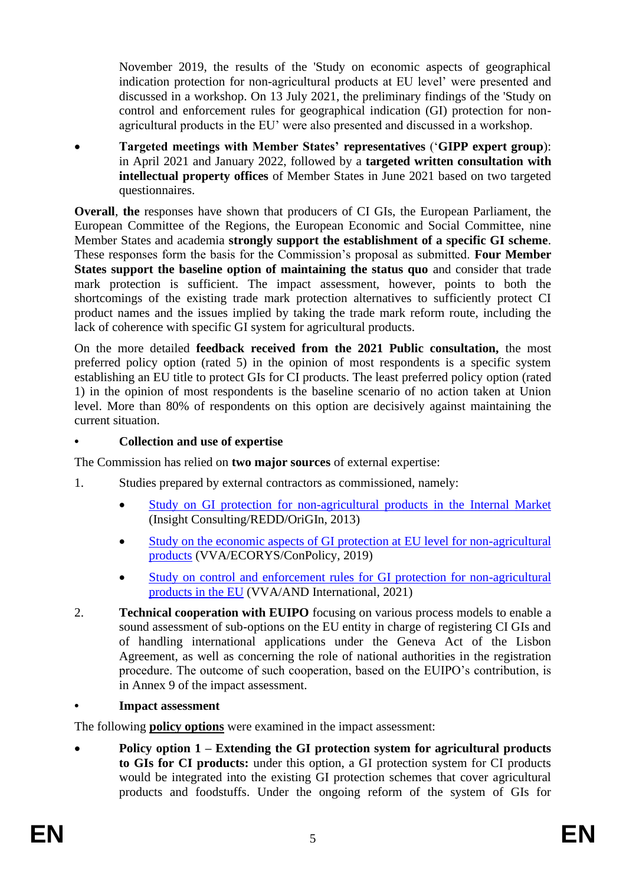November 2019, the results of the 'Study on economic aspects of geographical indication protection for non-agricultural products at EU level' were presented and discussed in a workshop. On 13 July 2021, the preliminary findings of the 'Study on control and enforcement rules for geographical indication (GI) protection for nonagricultural products in the EU' were also presented and discussed in a workshop.

• **Targeted meetings with Member States' representatives** ('**GIPP expert group**): in April 2021 and January 2022, followed by a **targeted written consultation with intellectual property offices** of Member States in June 2021 based on two targeted questionnaires.

**Overall, the responses have shown that producers of CI GIs, the European Parliament, the** European Committee of the Regions, the European Economic and Social Committee, nine Member States and academia **strongly support the establishment of a specific GI scheme**. These responses form the basis for the Commission's proposal as submitted. **Four Member States support the baseline option of maintaining the status quo** and consider that trade mark protection is sufficient. The impact assessment, however, points to both the shortcomings of the existing trade mark protection alternatives to sufficiently protect CI product names and the issues implied by taking the trade mark reform route, including the lack of coherence with specific GI system for agricultural products.

On the more detailed **feedback received from the 2021 Public consultation,** the most preferred policy option (rated 5) in the opinion of most respondents is a specific system establishing an EU title to protect GIs for CI products. The least preferred policy option (rated 1) in the opinion of most respondents is the baseline scenario of no action taken at Union level. More than 80% of respondents on this option are decisively against maintaining the current situation.

## **• Collection and use of expertise**

The Commission has relied on **two major sources** of external expertise:

- 1. Studies prepared by external contractors as commissioned, namely:
	- [Study on GI protection for non-agricultural products in the](https://ec.europa.eu/docsroom/documents/14897) Internal Market (Insight Consulting/REDD/OriGIn, 2013)
	- Study on the economic aspects of GI protection at EU level for non-agricultural [products](https://ec.europa.eu/growth/content/study-economic-aspects-geographical-indication-protection-eu-level-non-agricultural-products_en) (VVA/ECORYS/ConPolicy, 2019)
	- [Study on control and enforcement rules for GI protection for non-agricultural](https://ec.europa.eu/docsroom/documents/46632)  [products in the EU](https://ec.europa.eu/docsroom/documents/46632) (VVA/AND International, 2021)
- 2. **Technical cooperation with EUIPO** focusing on various process models to enable a sound assessment of sub-options on the EU entity in charge of registering CI GIs and of handling international applications under the Geneva Act of the Lisbon Agreement, as well as concerning the role of national authorities in the registration procedure. The outcome of such cooperation, based on the EUIPO's contribution, is in Annex 9 of the impact assessment.

#### **• Impact assessment**

The following **policy options** were examined in the impact assessment:

• **Policy option 1 – Extending the GI protection system for agricultural products to GIs for CI products:** under this option, a GI protection system for CI products would be integrated into the existing GI protection schemes that cover agricultural products and foodstuffs. Under the ongoing reform of the system of GIs for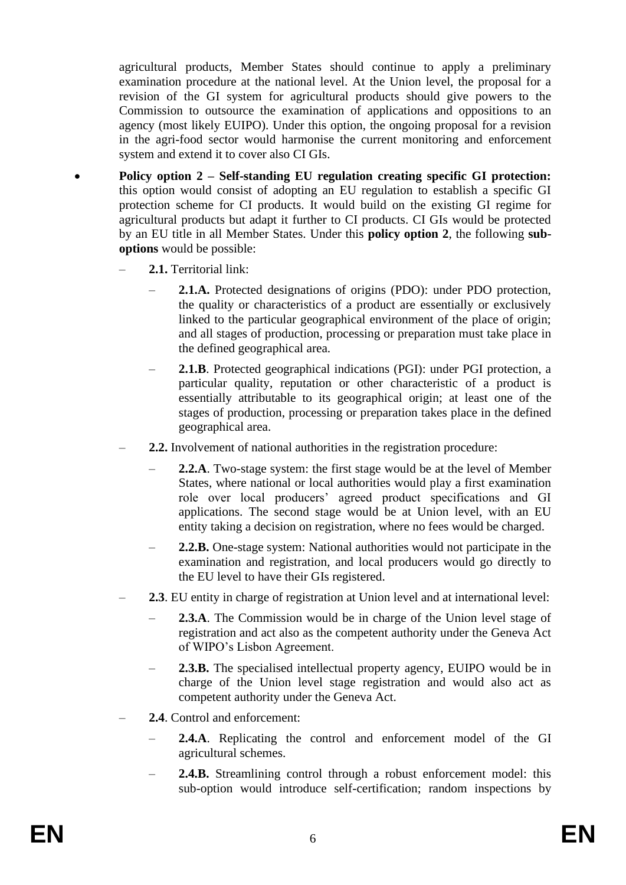agricultural products, Member States should continue to apply a preliminary examination procedure at the national level. At the Union level, the proposal for a revision of the GI system for agricultural products should give powers to the Commission to outsource the examination of applications and oppositions to an agency (most likely EUIPO). Under this option, the ongoing proposal for a revision in the agri-food sector would harmonise the current monitoring and enforcement system and extend it to cover also CI GIs.

- **Policy option 2 – Self-standing EU regulation creating specific GI protection:** this option would consist of adopting an EU regulation to establish a specific GI protection scheme for CI products. It would build on the existing GI regime for agricultural products but adapt it further to CI products. CI GIs would be protected by an EU title in all Member States. Under this **policy option 2**, the following **suboptions** would be possible:
	- **2.1.** Territorial link:
		- **2.1.A.** Protected designations of origins (PDO): under PDO protection, the quality or characteristics of a product are essentially or exclusively linked to the particular geographical environment of the place of origin; and all stages of production, processing or preparation must take place in the defined geographical area.
		- **2.1.B**. Protected geographical indications (PGI): under PGI protection, a particular quality, reputation or other characteristic of a product is essentially attributable to its geographical origin; at least one of the stages of production, processing or preparation takes place in the defined geographical area.
	- **2.2.** Involvement of national authorities in the registration procedure:
		- **2.2.A**. Two-stage system: the first stage would be at the level of Member States, where national or local authorities would play a first examination role over local producers' agreed product specifications and GI applications. The second stage would be at Union level, with an EU entity taking a decision on registration, where no fees would be charged.
		- **2.2.B.** One-stage system: National authorities would not participate in the examination and registration, and local producers would go directly to the EU level to have their GIs registered.
	- **2.3**. EU entity in charge of registration at Union level and at international level:
		- **2.3.A**. The Commission would be in charge of the Union level stage of registration and act also as the competent authority under the Geneva Act of WIPO's Lisbon Agreement.
		- **2.3.B.** The specialised intellectual property agency, EUIPO would be in charge of the Union level stage registration and would also act as competent authority under the Geneva Act.
	- **2.4**. Control and enforcement:
		- **2.4.A**. Replicating the control and enforcement model of the GI agricultural schemes.
		- **2.4.B.** Streamlining control through a robust enforcement model: this sub-option would introduce self-certification; random inspections by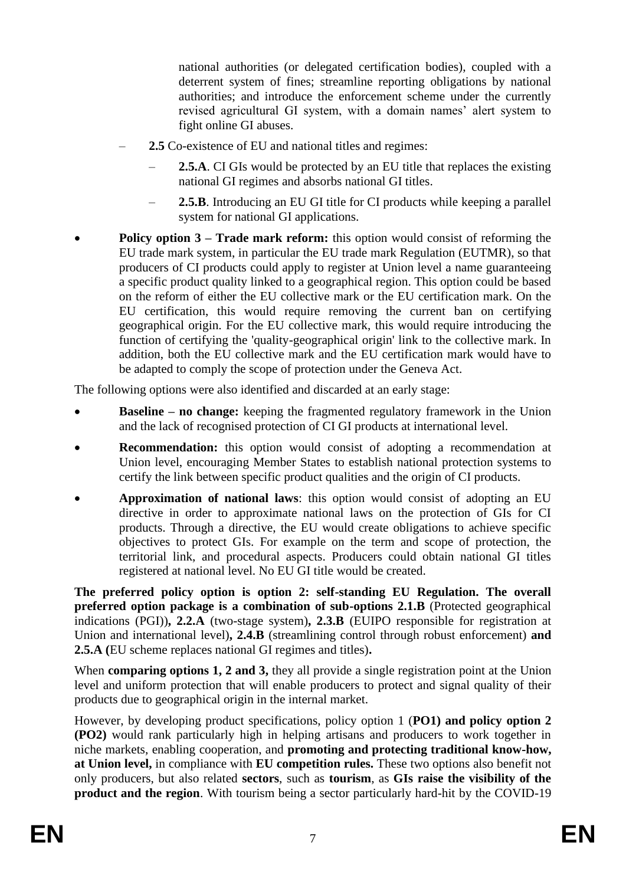national authorities (or delegated certification bodies), coupled with a deterrent system of fines; streamline reporting obligations by national authorities; and introduce the enforcement scheme under the currently revised agricultural GI system, with a domain names' alert system to fight online GI abuses.

- **2.5** Co-existence of EU and national titles and regimes:
	- **2.5.A**. CI GIs would be protected by an EU title that replaces the existing national GI regimes and absorbs national GI titles.
	- **2.5.B**. Introducing an EU GI title for CI products while keeping a parallel system for national GI applications.
- **Policy option 3 Trade mark reform:** this option would consist of reforming the EU trade mark system, in particular the EU trade mark Regulation (EUTMR), so that producers of CI products could apply to register at Union level a name guaranteeing a specific product quality linked to a geographical region. This option could be based on the reform of either the EU collective mark or the EU certification mark. On the EU certification, this would require removing the current ban on certifying geographical origin. For the EU collective mark, this would require introducing the function of certifying the 'quality-geographical origin' link to the collective mark. In addition, both the EU collective mark and the EU certification mark would have to be adapted to comply the scope of protection under the Geneva Act.

The following options were also identified and discarded at an early stage:

- **Baseline – no change:** keeping the fragmented regulatory framework in the Union and the lack of recognised protection of CI GI products at international level.
- **Recommendation:** this option would consist of adopting a recommendation at Union level, encouraging Member States to establish national protection systems to certify the link between specific product qualities and the origin of CI products.
- **Approximation of national laws**: this option would consist of adopting an EU directive in order to approximate national laws on the protection of GIs for CI products. Through a directive, the EU would create obligations to achieve specific objectives to protect GIs. For example on the term and scope of protection, the territorial link, and procedural aspects. Producers could obtain national GI titles registered at national level. No EU GI title would be created.

**The preferred policy option is option 2: self-standing EU Regulation. The overall preferred option package is a combination of sub-options 2.1.B** (Protected geographical indications (PGI))**, 2.2.A** (two-stage system)**, 2.3.B** (EUIPO responsible for registration at Union and international level)**, 2.4.B** (streamlining control through robust enforcement) **and 2.5.A (**EU scheme replaces national GI regimes and titles)**.**

When **comparing options 1, 2 and 3,** they all provide a single registration point at the Union level and uniform protection that will enable producers to protect and signal quality of their products due to geographical origin in the internal market.

However, by developing product specifications, policy option 1 (**PO1) and policy option 2 (PO2)** would rank particularly high in helping artisans and producers to work together in niche markets, enabling cooperation, and **promoting and protecting traditional know-how, at Union level,** in compliance with **EU competition rules.** These two options also benefit not only producers, but also related **sectors**, such as **tourism**, as **GIs raise the visibility of the product and the region**. With tourism being a sector particularly hard-hit by the COVID-19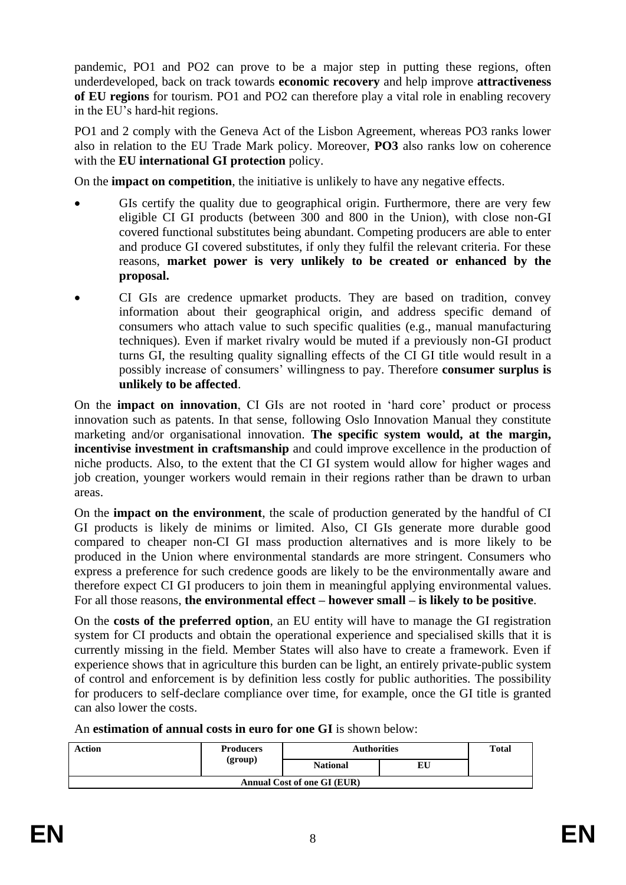pandemic, PO1 and PO2 can prove to be a major step in putting these regions, often underdeveloped, back on track towards **economic recovery** and help improve **attractiveness of EU regions** for tourism. PO1 and PO2 can therefore play a vital role in enabling recovery in the EU's hard-hit regions.

PO1 and 2 comply with the Geneva Act of the Lisbon Agreement, whereas PO3 ranks lower also in relation to the EU Trade Mark policy. Moreover, **PO3** also ranks low on coherence with the **EU international GI protection** policy.

On the **impact on competition**, the initiative is unlikely to have any negative effects.

- GIs certify the quality due to geographical origin. Furthermore, there are very few eligible CI GI products (between 300 and 800 in the Union), with close non-GI covered functional substitutes being abundant. Competing producers are able to enter and produce GI covered substitutes, if only they fulfil the relevant criteria. For these reasons, **market power is very unlikely to be created or enhanced by the proposal.**
- CI GIs are credence upmarket products. They are based on tradition, convey information about their geographical origin, and address specific demand of consumers who attach value to such specific qualities (e.g., manual manufacturing techniques). Even if market rivalry would be muted if a previously non-GI product turns GI, the resulting quality signalling effects of the CI GI title would result in a possibly increase of consumers' willingness to pay. Therefore **consumer surplus is unlikely to be affected**.

On the **impact on innovation**, CI GIs are not rooted in 'hard core' product or process innovation such as patents. In that sense, following Oslo Innovation Manual they constitute marketing and/or organisational innovation. **The specific system would, at the margin, incentivise investment in craftsmanship** and could improve excellence in the production of niche products. Also, to the extent that the CI GI system would allow for higher wages and job creation, younger workers would remain in their regions rather than be drawn to urban areas.

On the **impact on the environment**, the scale of production generated by the handful of CI GI products is likely de minims or limited. Also, CI GIs generate more durable good compared to cheaper non-CI GI mass production alternatives and is more likely to be produced in the Union where environmental standards are more stringent. Consumers who express a preference for such credence goods are likely to be the environmentally aware and therefore expect CI GI producers to join them in meaningful applying environmental values. For all those reasons, **the environmental effect – however small – is likely to be positive**.

On the **costs of the preferred option**, an EU entity will have to manage the GI registration system for CI products and obtain the operational experience and specialised skills that it is currently missing in the field. Member States will also have to create a framework. Even if experience shows that in agriculture this burden can be light, an entirely private-public system of control and enforcement is by definition less costly for public authorities. The possibility for producers to self-declare compliance over time, for example, once the GI title is granted can also lower the costs.

An **estimation of annual costs in euro for one GI** is shown below:

| <b>Action</b>               | <b>Producers</b> | <b>Authorities</b> |    | <b>Total</b> |  |  |  |
|-----------------------------|------------------|--------------------|----|--------------|--|--|--|
|                             | (group)          | <b>National</b>    | EU |              |  |  |  |
| Annual Cost of one GI (EUR) |                  |                    |    |              |  |  |  |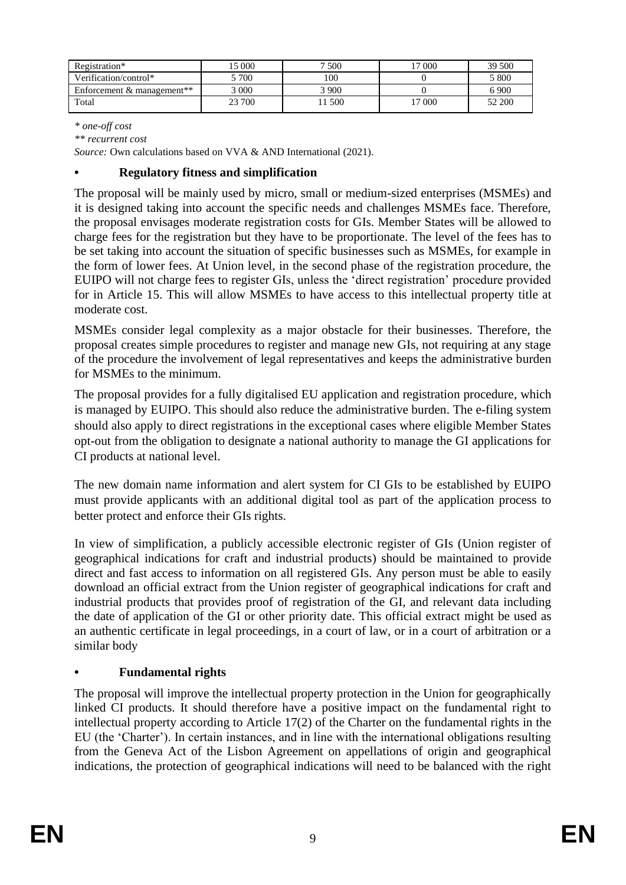| Registration*                          | 15 000 | 7 500         | $000^{\circ}$ | 39 500 |
|----------------------------------------|--------|---------------|---------------|--------|
| Verification/control*                  | 700    | 100           |               | 5 800  |
| Enforcement & management <sup>**</sup> | 3 000  | , १९०० र<br>प |               | 6 900  |
| Total                                  | 23 700 | 1 500         | 17 000        | 52 200 |
|                                        |        |               |               |        |

*\* one-off cost*

*\*\* recurrent cost* 

*Source:* Own calculations based on VVA & AND International (2021).

## **• Regulatory fitness and simplification**

The proposal will be mainly used by micro, small or medium-sized enterprises (MSMEs) and it is designed taking into account the specific needs and challenges MSMEs face. Therefore, the proposal envisages moderate registration costs for GIs. Member States will be allowed to charge fees for the registration but they have to be proportionate. The level of the fees has to be set taking into account the situation of specific businesses such as MSMEs, for example in the form of lower fees. At Union level, in the second phase of the registration procedure, the EUIPO will not charge fees to register GIs, unless the 'direct registration' procedure provided for in Article 15. This will allow MSMEs to have access to this intellectual property title at moderate cost.

MSMEs consider legal complexity as a major obstacle for their businesses. Therefore, the proposal creates simple procedures to register and manage new GIs, not requiring at any stage of the procedure the involvement of legal representatives and keeps the administrative burden for MSMEs to the minimum.

The proposal provides for a fully digitalised EU application and registration procedure, which is managed by EUIPO. This should also reduce the administrative burden. The e-filing system should also apply to direct registrations in the exceptional cases where eligible Member States opt-out from the obligation to designate a national authority to manage the GI applications for CI products at national level.

The new domain name information and alert system for CI GIs to be established by EUIPO must provide applicants with an additional digital tool as part of the application process to better protect and enforce their GIs rights.

In view of simplification, a publicly accessible electronic register of GIs (Union register of geographical indications for craft and industrial products) should be maintained to provide direct and fast access to information on all registered GIs. Any person must be able to easily download an official extract from the Union register of geographical indications for craft and industrial products that provides proof of registration of the GI, and relevant data including the date of application of the GI or other priority date. This official extract might be used as an authentic certificate in legal proceedings, in a court of law, or in a court of arbitration or a similar body

# **• Fundamental rights**

The proposal will improve the intellectual property protection in the Union for geographically linked CI products. It should therefore have a positive impact on the fundamental right to intellectual property according to Article 17(2) of the Charter on the fundamental rights in the EU (the 'Charter'). In certain instances, and in line with the international obligations resulting from the Geneva Act of the Lisbon Agreement on appellations of origin and geographical indications, the protection of geographical indications will need to be balanced with the right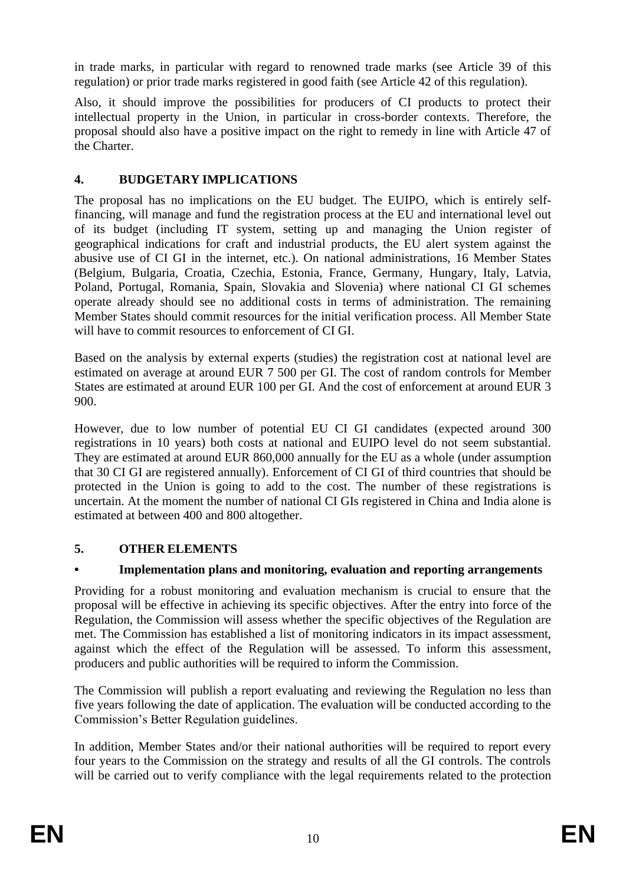in trade marks, in particular with regard to renowned trade marks (see Article 39 of this regulation) or prior trade marks registered in good faith (see Article 42 of this regulation).

Also, it should improve the possibilities for producers of CI products to protect their intellectual property in the Union, in particular in cross-border contexts. Therefore, the proposal should also have a positive impact on the right to remedy in line with Article 47 of the Charter.

# **4. BUDGETARY IMPLICATIONS**

The proposal has no implications on the EU budget. The EUIPO, which is entirely selffinancing, will manage and fund the registration process at the EU and international level out of its budget (including IT system, setting up and managing the Union register of geographical indications for craft and industrial products, the EU alert system against the abusive use of CI GI in the internet, etc.). On national administrations, 16 Member States (Belgium, Bulgaria, Croatia, Czechia, Estonia, France, Germany, Hungary, Italy, Latvia, Poland, Portugal, Romania, Spain, Slovakia and Slovenia) where national CI GI schemes operate already should see no additional costs in terms of administration. The remaining Member States should commit resources for the initial verification process. All Member State will have to commit resources to enforcement of CI GI.

Based on the analysis by external experts (studies) the registration cost at national level are estimated on average at around EUR 7 500 per GI. The cost of random controls for Member States are estimated at around EUR 100 per GI. And the cost of enforcement at around EUR 3 900.

However, due to low number of potential EU CI GI candidates (expected around 300 registrations in 10 years) both costs at national and EUIPO level do not seem substantial. They are estimated at around EUR 860,000 annually for the EU as a whole (under assumption that 30 CI GI are registered annually). Enforcement of CI GI of third countries that should be protected in the Union is going to add to the cost. The number of these registrations is uncertain. At the moment the number of national CI GIs registered in China and India alone is estimated at between 400 and 800 altogether.

# **5. OTHER ELEMENTS**

# **• Implementation plans and monitoring, evaluation and reporting arrangements**

Providing for a robust monitoring and evaluation mechanism is crucial to ensure that the proposal will be effective in achieving its specific objectives. After the entry into force of the Regulation, the Commission will assess whether the specific objectives of the Regulation are met. The Commission has established a list of monitoring indicators in its impact assessment, against which the effect of the Regulation will be assessed. To inform this assessment, producers and public authorities will be required to inform the Commission.

The Commission will publish a report evaluating and reviewing the Regulation no less than five years following the date of application. The evaluation will be conducted according to the Commission's Better Regulation guidelines.

In addition, Member States and/or their national authorities will be required to report every four years to the Commission on the strategy and results of all the GI controls. The controls will be carried out to verify compliance with the legal requirements related to the protection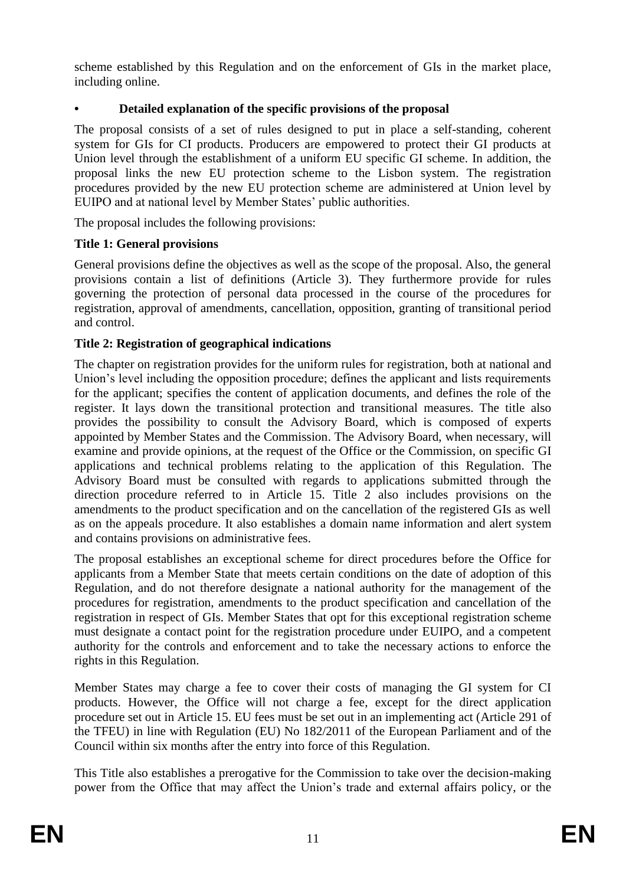scheme established by this Regulation and on the enforcement of GIs in the market place, including online.

# **• Detailed explanation of the specific provisions of the proposal**

The proposal consists of a set of rules designed to put in place a self-standing, coherent system for GIs for CI products. Producers are empowered to protect their GI products at Union level through the establishment of a uniform EU specific GI scheme. In addition, the proposal links the new EU protection scheme to the Lisbon system. The registration procedures provided by the new EU protection scheme are administered at Union level by EUIPO and at national level by Member States' public authorities.

The proposal includes the following provisions:

# **Title 1: General provisions**

General provisions define the objectives as well as the scope of the proposal. Also, the general provisions contain a list of definitions (Article 3). They furthermore provide for rules governing the protection of personal data processed in the course of the procedures for registration, approval of amendments, cancellation, opposition, granting of transitional period and control.

# **Title 2: Registration of geographical indications**

The chapter on registration provides for the uniform rules for registration, both at national and Union's level including the opposition procedure; defines the applicant and lists requirements for the applicant; specifies the content of application documents, and defines the role of the register. It lays down the transitional protection and transitional measures. The title also provides the possibility to consult the Advisory Board, which is composed of experts appointed by Member States and the Commission. The Advisory Board, when necessary, will examine and provide opinions, at the request of the Office or the Commission, on specific GI applications and technical problems relating to the application of this Regulation. The Advisory Board must be consulted with regards to applications submitted through the direction procedure referred to in Article 15. Title 2 also includes provisions on the amendments to the product specification and on the cancellation of the registered GIs as well as on the appeals procedure. It also establishes a domain name information and alert system and contains provisions on administrative fees.

The proposal establishes an exceptional scheme for direct procedures before the Office for applicants from a Member State that meets certain conditions on the date of adoption of this Regulation, and do not therefore designate a national authority for the management of the procedures for registration, amendments to the product specification and cancellation of the registration in respect of GIs. Member States that opt for this exceptional registration scheme must designate a contact point for the registration procedure under EUIPO, and a competent authority for the controls and enforcement and to take the necessary actions to enforce the rights in this Regulation.

Member States may charge a fee to cover their costs of managing the GI system for CI products. However, the Office will not charge a fee, except for the direct application procedure set out in Article 15. EU fees must be set out in an implementing act (Article 291 of the TFEU) in line with Regulation (EU) No 182/2011 of the European Parliament and of the Council within six months after the entry into force of this Regulation.

This Title also establishes a prerogative for the Commission to take over the decision-making power from the Office that may affect the Union's trade and external affairs policy, or the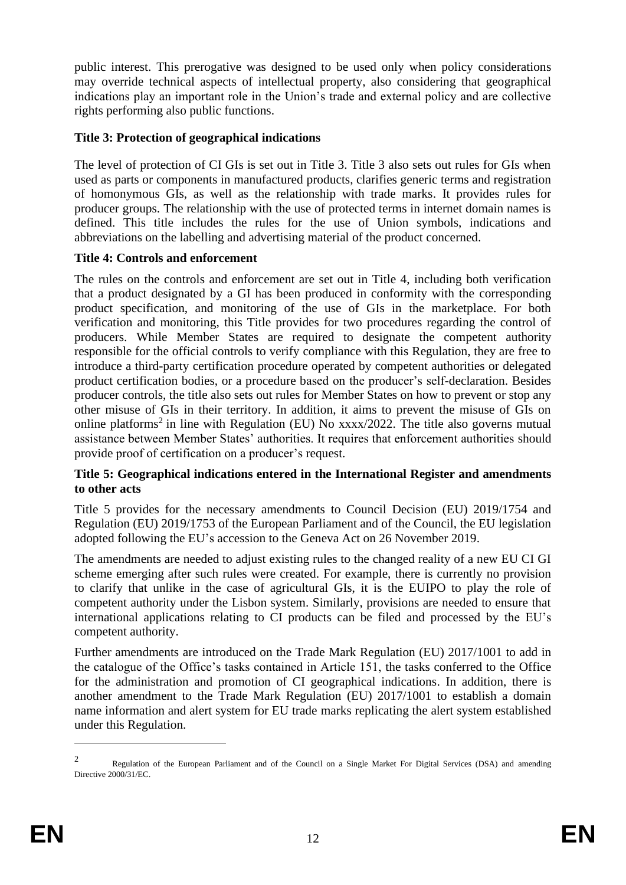public interest. This prerogative was designed to be used only when policy considerations may override technical aspects of intellectual property, also considering that geographical indications play an important role in the Union's trade and external policy and are collective rights performing also public functions.

# **Title 3: Protection of geographical indications**

The level of protection of CI GIs is set out in Title 3. Title 3 also sets out rules for GIs when used as parts or components in manufactured products, clarifies generic terms and registration of homonymous GIs, as well as the relationship with trade marks. It provides rules for producer groups. The relationship with the use of protected terms in internet domain names is defined. This title includes the rules for the use of Union symbols, indications and abbreviations on the labelling and advertising material of the product concerned.

# **Title 4: Controls and enforcement**

The rules on the controls and enforcement are set out in Title 4, including both verification that a product designated by a GI has been produced in conformity with the corresponding product specification, and monitoring of the use of GIs in the marketplace. For both verification and monitoring, this Title provides for two procedures regarding the control of producers. While Member States are required to designate the competent authority responsible for the official controls to verify compliance with this Regulation, they are free to introduce a third-party certification procedure operated by competent authorities or delegated product certification bodies, or a procedure based on the producer's self-declaration. Besides producer controls, the title also sets out rules for Member States on how to prevent or stop any other misuse of GIs in their territory. In addition, it aims to prevent the misuse of GIs on online platforms<sup>2</sup> in line with Regulation (EU) No  $xxxxx/2022$ . The title also governs mutual assistance between Member States' authorities. It requires that enforcement authorities should provide proof of certification on a producer's request.

# **Title 5: Geographical indications entered in the International Register and amendments to other acts**

Title 5 provides for the necessary amendments to Council Decision (EU) 2019/1754 and Regulation (EU) 2019/1753 of the European Parliament and of the Council, the EU legislation adopted following the EU's accession to the Geneva Act on 26 November 2019.

The amendments are needed to adjust existing rules to the changed reality of a new EU CI GI scheme emerging after such rules were created. For example, there is currently no provision to clarify that unlike in the case of agricultural GIs, it is the EUIPO to play the role of competent authority under the Lisbon system. Similarly, provisions are needed to ensure that international applications relating to CI products can be filed and processed by the EU's competent authority.

Further amendments are introduced on the Trade Mark Regulation (EU) 2017/1001 to add in the catalogue of the Office's tasks contained in Article 151, the tasks conferred to the Office for the administration and promotion of CI geographical indications. In addition, there is another amendment to the Trade Mark Regulation (EU) 2017/1001 to establish a domain name information and alert system for EU trade marks replicating the alert system established under this Regulation.

 $\mathfrak{D}$ Regulation of the European Parliament and of the Council on a Single Market For Digital Services (DSA) and amending Directive 2000/31/EC.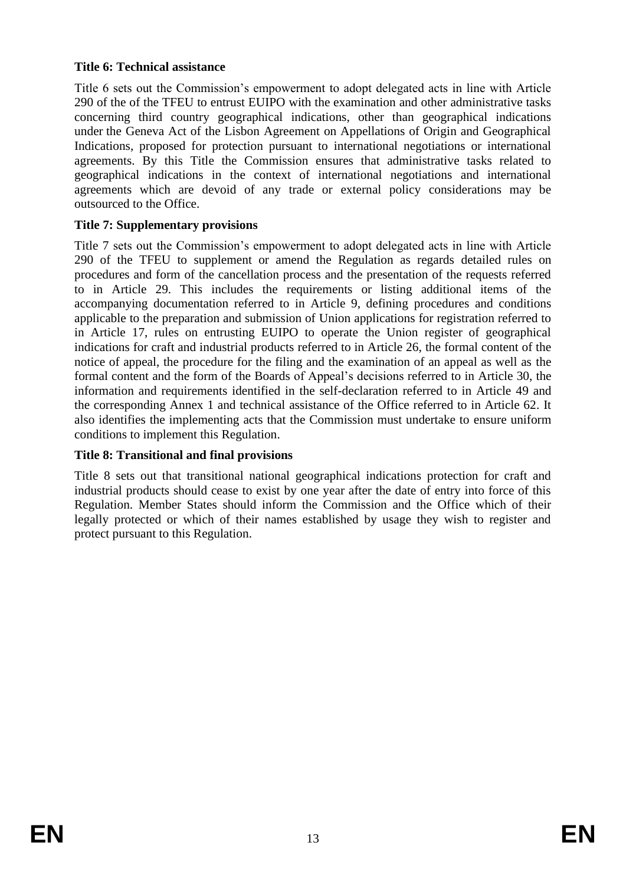# **Title 6: Technical assistance**

Title 6 sets out the Commission's empowerment to adopt delegated acts in line with Article 290 of the of the TFEU to entrust EUIPO with the examination and other administrative tasks concerning third country geographical indications, other than geographical indications under the Geneva Act of the Lisbon Agreement on Appellations of Origin and Geographical Indications, proposed for protection pursuant to international negotiations or international agreements. By this Title the Commission ensures that administrative tasks related to geographical indications in the context of international negotiations and international agreements which are devoid of any trade or external policy considerations may be outsourced to the Office.

# **Title 7: Supplementary provisions**

Title 7 sets out the Commission's empowerment to adopt delegated acts in line with Article 290 of the TFEU to supplement or amend the Regulation as regards detailed rules on procedures and form of the cancellation process and the presentation of the requests referred to in Article 29. This includes the requirements or listing additional items of the accompanying documentation referred to in Article 9, defining procedures and conditions applicable to the preparation and submission of Union applications for registration referred to in Article 17, rules on entrusting EUIPO to operate the Union register of geographical indications for craft and industrial products referred to in Article 26, the formal content of the notice of appeal, the procedure for the filing and the examination of an appeal as well as the formal content and the form of the Boards of Appeal's decisions referred to in Article 30, the information and requirements identified in the self-declaration referred to in Article 49 and the corresponding Annex 1 and technical assistance of the Office referred to in Article 62. It also identifies the implementing acts that the Commission must undertake to ensure uniform conditions to implement this Regulation.

# **Title 8: Transitional and final provisions**

Title 8 sets out that transitional national geographical indications protection for craft and industrial products should cease to exist by one year after the date of entry into force of this Regulation. Member States should inform the Commission and the Office which of their legally protected or which of their names established by usage they wish to register and protect pursuant to this Regulation.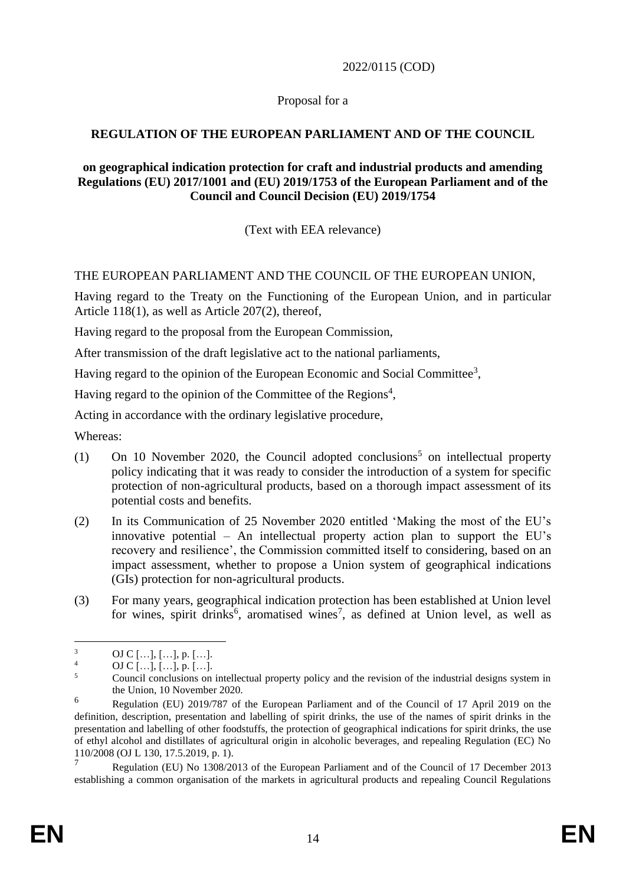2022/0115 (COD)

Proposal for a

# **REGULATION OF THE EUROPEAN PARLIAMENT AND OF THE COUNCIL**

## **on geographical indication protection for craft and industrial products and amending Regulations (EU) 2017/1001 and (EU) 2019/1753 of the European Parliament and of the Council and Council Decision (EU) 2019/1754**

(Text with EEA relevance)

# THE EUROPEAN PARLIAMENT AND THE COUNCIL OF THE EUROPEAN UNION,

Having regard to the Treaty on the Functioning of the European Union, and in particular Article 118(1), as well as Article 207(2), thereof,

Having regard to the proposal from the European Commission,

After transmission of the draft legislative act to the national parliaments,

Having regard to the opinion of the European Economic and Social Committee<sup>3</sup>,

Having regard to the opinion of the Committee of the Regions<sup>4</sup>,

Acting in accordance with the ordinary legislative procedure,

Whereas:

- (1) On 10 November 2020, the Council adopted conclusions<sup>5</sup> on intellectual property policy indicating that it was ready to consider the introduction of a system for specific protection of non-agricultural products, based on a thorough impact assessment of its potential costs and benefits.
- (2) In its Communication of 25 November 2020 entitled 'Making the most of the EU's innovative potential – An intellectual property action plan to support the EU's recovery and resilience', the Commission committed itself to considering, based on an impact assessment, whether to propose a Union system of geographical indications (GIs) protection for non-agricultural products.
- (3) For many years, geographical indication protection has been established at Union level for wines, spirit drinks<sup>6</sup>, aromatised wines<sup>7</sup>, as defined at Union level, as well as

<sup>7</sup> Regulation (EU) No 1308/2013 of the European Parliament and of the Council of 17 December 2013 establishing a common organisation of the markets in agricultural products and repealing Council Regulations

 $\frac{3}{4}$  OJ C [...], [...], p. [...].

 $^{4}$  OJ C [...], [...], p. [...].

<sup>5</sup> Council conclusions on intellectual property policy and the revision of the industrial designs system in the Union, 10 November 2020.

<sup>6</sup> Regulation (EU) 2019/787 of the European Parliament and of the Council of 17 April 2019 on the definition, description, presentation and labelling of spirit drinks, the use of the names of spirit drinks in the presentation and labelling of other foodstuffs, the protection of geographical indications for spirit drinks, the use of ethyl alcohol and distillates of agricultural origin in alcoholic beverages, and repealing Regulation (EC) No 110/2008 (OJ L 130, 17.5.2019, p. 1).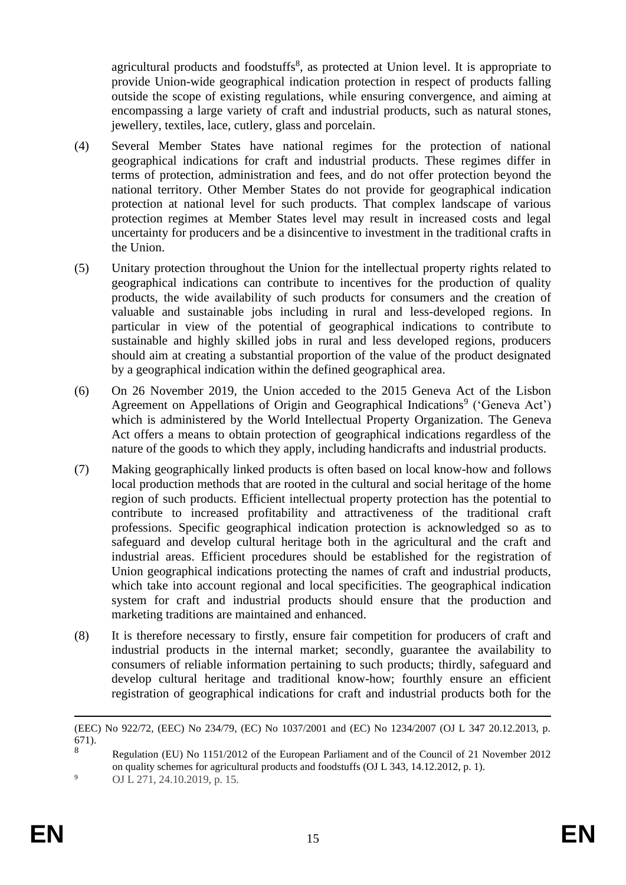agricultural products and foodstuffs<sup>8</sup>, as protected at Union level. It is appropriate to provide Union-wide geographical indication protection in respect of products falling outside the scope of existing regulations, while ensuring convergence, and aiming at encompassing a large variety of craft and industrial products, such as natural stones, jewellery, textiles, lace, cutlery, glass and porcelain.

- (4) Several Member States have national regimes for the protection of national geographical indications for craft and industrial products. These regimes differ in terms of protection, administration and fees, and do not offer protection beyond the national territory. Other Member States do not provide for geographical indication protection at national level for such products. That complex landscape of various protection regimes at Member States level may result in increased costs and legal uncertainty for producers and be a disincentive to investment in the traditional crafts in the Union.
- (5) Unitary protection throughout the Union for the intellectual property rights related to geographical indications can contribute to incentives for the production of quality products, the wide availability of such products for consumers and the creation of valuable and sustainable jobs including in rural and less-developed regions. In particular in view of the potential of geographical indications to contribute to sustainable and highly skilled jobs in rural and less developed regions, producers should aim at creating a substantial proportion of the value of the product designated by a geographical indication within the defined geographical area.
- (6) On 26 November 2019, the Union acceded to the 2015 Geneva Act of the Lisbon Agreement on Appellations of Origin and Geographical Indications<sup>9</sup> ('Geneva Act') which is administered by the World Intellectual Property Organization. The Geneva Act offers a means to obtain protection of geographical indications regardless of the nature of the goods to which they apply, including handicrafts and industrial products.
- (7) Making geographically linked products is often based on local know-how and follows local production methods that are rooted in the cultural and social heritage of the home region of such products. Efficient intellectual property protection has the potential to contribute to increased profitability and attractiveness of the traditional craft professions. Specific geographical indication protection is acknowledged so as to safeguard and develop cultural heritage both in the agricultural and the craft and industrial areas. Efficient procedures should be established for the registration of Union geographical indications protecting the names of craft and industrial products, which take into account regional and local specificities. The geographical indication system for craft and industrial products should ensure that the production and marketing traditions are maintained and enhanced.
- (8) It is therefore necessary to firstly, ensure fair competition for producers of craft and industrial products in the internal market; secondly, guarantee the availability to consumers of reliable information pertaining to such products; thirdly, safeguard and develop cultural heritage and traditional know-how; fourthly ensure an efficient registration of geographical indications for craft and industrial products both for the

<sup>(</sup>EEC) No 922/72, (EEC) No 234/79, (EC) No 1037/2001 and (EC) No 1234/2007 (OJ L 347 20.12.2013, p.  $\binom{671}{8}$ .

<sup>8</sup> Regulation (EU) No 1151/2012 of the European Parliament and of the Council of 21 November 2012 on quality schemes for agricultural products and foodstuffs (OJ L 343, 14.12.2012, p. 1). 9 OJ L 271, 24.10.2019, p. 15.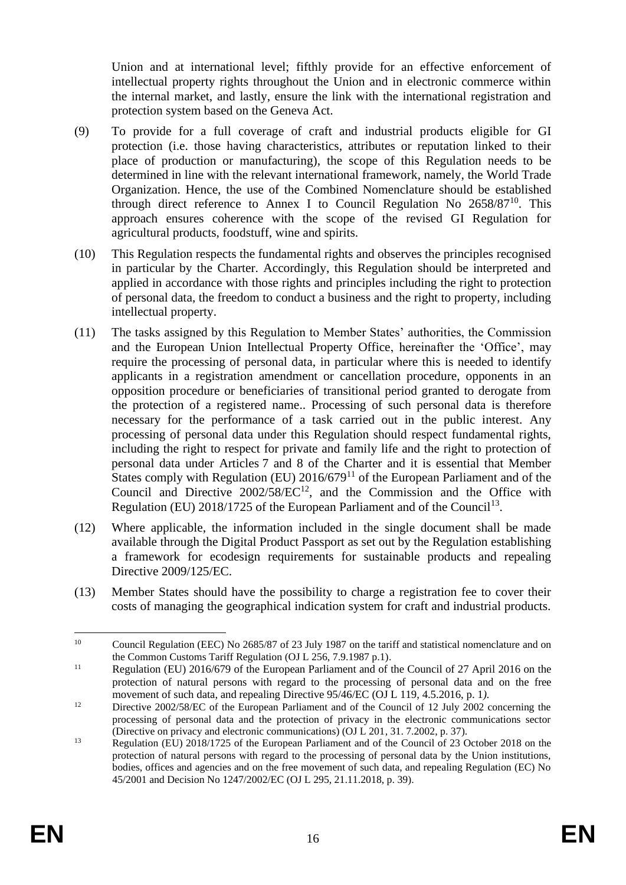Union and at international level; fifthly provide for an effective enforcement of intellectual property rights throughout the Union and in electronic commerce within the internal market, and lastly, ensure the link with the international registration and protection system based on the Geneva Act.

- (9) To provide for a full coverage of craft and industrial products eligible for GI protection (i.e. those having characteristics, attributes or reputation linked to their place of production or manufacturing), the scope of this Regulation needs to be determined in line with the relevant international framework, namely, the World Trade Organization. Hence, the use of the Combined Nomenclature should be established through direct reference to Annex I to Council Regulation No 2658/87<sup>10</sup>. This approach ensures coherence with the scope of the revised GI Regulation for agricultural products, foodstuff, wine and spirits.
- (10) This Regulation respects the fundamental rights and observes the principles recognised in particular by the Charter. Accordingly, this Regulation should be interpreted and applied in accordance with those rights and principles including the right to protection of personal data, the freedom to conduct a business and the right to property, including intellectual property.
- (11) The tasks assigned by this Regulation to Member States' authorities, the Commission and the European Union Intellectual Property Office, hereinafter the 'Office', may require the processing of personal data, in particular where this is needed to identify applicants in a registration amendment or cancellation procedure, opponents in an opposition procedure or beneficiaries of transitional period granted to derogate from the protection of a registered name.. Processing of such personal data is therefore necessary for the performance of a task carried out in the public interest. Any processing of personal data under this Regulation should respect fundamental rights, including the right to respect for private and family life and the right to protection of personal data under Articles 7 and 8 of the Charter and it is essential that Member States comply with Regulation (EU)  $2016/679<sup>11</sup>$  of the European Parliament and of the Council and Directive  $2002/58/EC^{12}$ , and the Commission and the Office with Regulation (EU)  $2018/1725$  of the European Parliament and of the Council<sup>13</sup>.
- (12) Where applicable, the information included in the single document shall be made available through the Digital Product Passport as set out by the Regulation establishing a framework for ecodesign requirements for sustainable products and repealing Directive 2009/125/EC.
- (13) Member States should have the possibility to charge a registration fee to cover their costs of managing the geographical indication system for craft and industrial products.

<sup>&</sup>lt;sup>10</sup> Council Regulation (EEC) No 2685/87 of 23 July 1987 on the tariff and statistical nomenclature and on the Common Customs Tariff Regulation (OJ L 256, 7.9.1987 p.1).

<sup>&</sup>lt;sup>11</sup> Regulation (EU) 2016/679 of the European Parliament and of the Council of 27 April 2016 on the protection of natural persons with regard to the processing of personal data and on the free movement of such data, and repealing Directive 95/46/EC (OJ L 119, 4.5.2016, p. 1*).*

<sup>&</sup>lt;sup>12</sup> Directive 2002/58/EC of the European Parliament and of the Council of 12 July 2002 concerning the processing of personal data and the protection of privacy in the electronic communications sector (Directive on privacy and electronic communications) (OJ L 201*,* 31. 7.2002, p. 37).

<sup>&</sup>lt;sup>13</sup> Regulation (EU) 2018/1725 of the European Parliament and of the Council of 23 October 2018 on the protection of natural persons with regard to the processing of personal data by the Union institutions, bodies, offices and agencies and on the free movement of such data, and repealing Regulation (EC) No 45/2001 and Decision No 1247/2002/EC (OJ L 295, 21.11.2018, p. 39).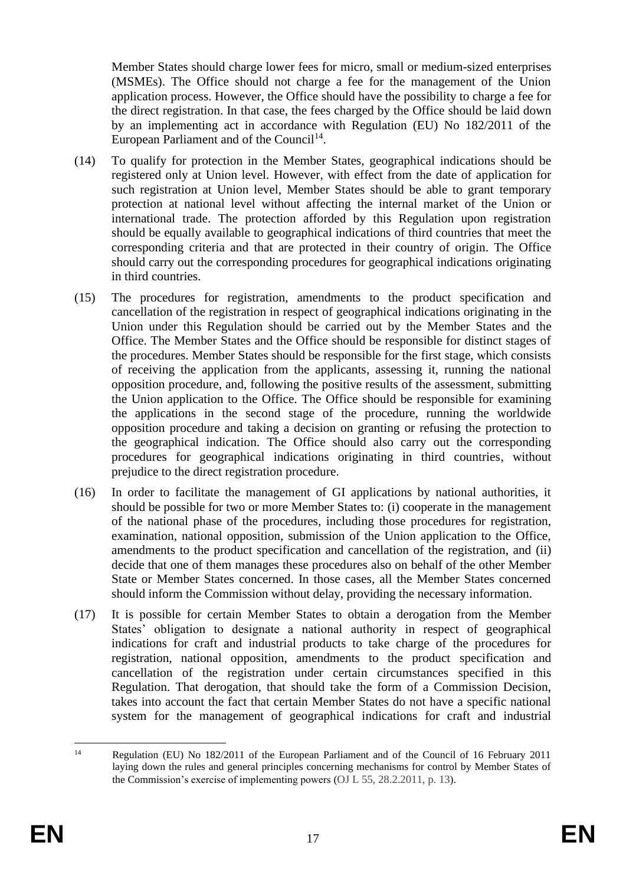Member States should charge lower fees for micro, small or medium-sized enterprises (MSMEs). The Office should not charge a fee for the management of the Union application process. However, the Office should have the possibility to charge a fee for the direct registration. In that case, the fees charged by the Office should be laid down by an implementing act in accordance with Regulation (EU) No 182/2011 of the European Parliament and of the Council<sup>14</sup>.

- (14) To qualify for protection in the Member States, geographical indications should be registered only at Union level. However, with effect from the date of application for such registration at Union level, Member States should be able to grant temporary protection at national level without affecting the internal market of the Union or international trade. The protection afforded by this Regulation upon registration should be equally available to geographical indications of third countries that meet the corresponding criteria and that are protected in their country of origin. The Office should carry out the corresponding procedures for geographical indications originating in third countries.
- (15) The procedures for registration, amendments to the product specification and cancellation of the registration in respect of geographical indications originating in the Union under this Regulation should be carried out by the Member States and the Office. The Member States and the Office should be responsible for distinct stages of the procedures. Member States should be responsible for the first stage, which consists of receiving the application from the applicants, assessing it, running the national opposition procedure, and, following the positive results of the assessment, submitting the Union application to the Office. The Office should be responsible for examining the applications in the second stage of the procedure, running the worldwide opposition procedure and taking a decision on granting or refusing the protection to the geographical indication. The Office should also carry out the corresponding procedures for geographical indications originating in third countries, without prejudice to the direct registration procedure.
- (16) In order to facilitate the management of GI applications by national authorities, it should be possible for two or more Member States to: (i) cooperate in the management of the national phase of the procedures, including those procedures for registration, examination, national opposition, submission of the Union application to the Office, amendments to the product specification and cancellation of the registration, and (ii) decide that one of them manages these procedures also on behalf of the other Member State or Member States concerned. In those cases, all the Member States concerned should inform the Commission without delay, providing the necessary information.
- (17) It is possible for certain Member States to obtain a derogation from the Member States' obligation to designate a national authority in respect of geographical indications for craft and industrial products to take charge of the procedures for registration, national opposition, amendments to the product specification and cancellation of the registration under certain circumstances specified in this Regulation. That derogation, that should take the form of a Commission Decision, takes into account the fact that certain Member States do not have a specific national system for the management of geographical indications for craft and industrial

<sup>&</sup>lt;sup>14</sup> Regulation (EU) No 182/2011 of the European Parliament and of the Council of 16 February 2011 laying down the rules and general principles concerning mechanisms for control by Member States of the Commission's exercise of implementing powers (OJ L 55, 28.2.2011, p. 13).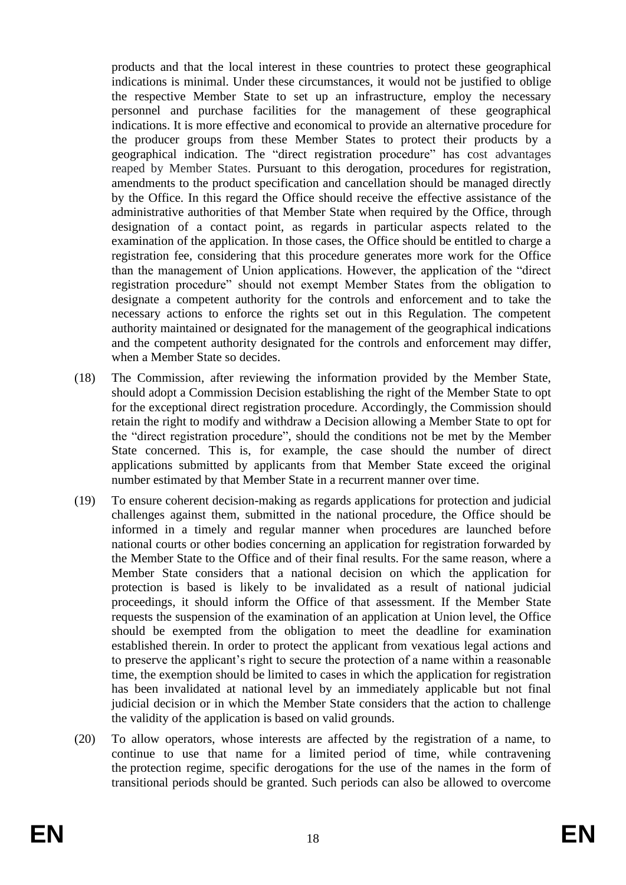products and that the local interest in these countries to protect these geographical indications is minimal. Under these circumstances, it would not be justified to oblige the respective Member State to set up an infrastructure, employ the necessary personnel and purchase facilities for the management of these geographical indications. It is more effective and economical to provide an alternative procedure for the producer groups from these Member States to protect their products by a geographical indication. The "direct registration procedure" has cost advantages reaped by Member States. Pursuant to this derogation, procedures for registration, amendments to the product specification and cancellation should be managed directly by the Office. In this regard the Office should receive the effective assistance of the administrative authorities of that Member State when required by the Office, through designation of a contact point, as regards in particular aspects related to the examination of the application. In those cases, the Office should be entitled to charge a registration fee, considering that this procedure generates more work for the Office than the management of Union applications. However, the application of the "direct registration procedure" should not exempt Member States from the obligation to designate a competent authority for the controls and enforcement and to take the necessary actions to enforce the rights set out in this Regulation. The competent authority maintained or designated for the management of the geographical indications and the competent authority designated for the controls and enforcement may differ, when a Member State so decides.

- (18) The Commission, after reviewing the information provided by the Member State, should adopt a Commission Decision establishing the right of the Member State to opt for the exceptional direct registration procedure. Accordingly, the Commission should retain the right to modify and withdraw a Decision allowing a Member State to opt for the "direct registration procedure", should the conditions not be met by the Member State concerned. This is, for example, the case should the number of direct applications submitted by applicants from that Member State exceed the original number estimated by that Member State in a recurrent manner over time.
- (19) To ensure coherent decision-making as regards applications for protection and judicial challenges against them, submitted in the national procedure, the Office should be informed in a timely and regular manner when procedures are launched before national courts or other bodies concerning an application for registration forwarded by the Member State to the Office and of their final results. For the same reason, where a Member State considers that a national decision on which the application for protection is based is likely to be invalidated as a result of national judicial proceedings, it should inform the Office of that assessment. If the Member State requests the suspension of the examination of an application at Union level, the Office should be exempted from the obligation to meet the deadline for examination established therein. In order to protect the applicant from vexatious legal actions and to preserve the applicant's right to secure the protection of a name within a reasonable time, the exemption should be limited to cases in which the application for registration has been invalidated at national level by an immediately applicable but not final judicial decision or in which the Member State considers that the action to challenge the validity of the application is based on valid grounds.
- (20) To allow operators, whose interests are affected by the registration of a name, to continue to use that name for a limited period of time, while contravening the protection regime, specific derogations for the use of the names in the form of transitional periods should be granted. Such periods can also be allowed to overcome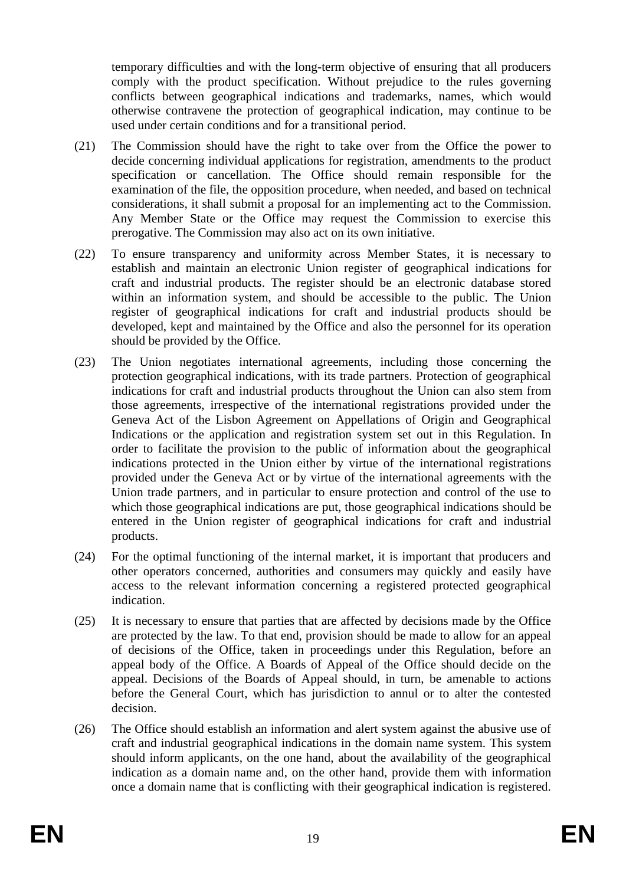temporary difficulties and with the long-term objective of ensuring that all producers comply with the product specification. Without prejudice to the rules governing conflicts between geographical indications and trademarks, names, which would otherwise contravene the protection of geographical indication, may continue to be used under certain conditions and for a transitional period.

- (21) The Commission should have the right to take over from the Office the power to decide concerning individual applications for registration, amendments to the product specification or cancellation. The Office should remain responsible for the examination of the file, the opposition procedure, when needed, and based on technical considerations, it shall submit a proposal for an implementing act to the Commission. Any Member State or the Office may request the Commission to exercise this prerogative. The Commission may also act on its own initiative.
- (22) To ensure transparency and uniformity across Member States, it is necessary to establish and maintain an electronic Union register of geographical indications for craft and industrial products. The register should be an electronic database stored within an information system, and should be accessible to the public. The Union register of geographical indications for craft and industrial products should be developed, kept and maintained by the Office and also the personnel for its operation should be provided by the Office.
- (23) The Union negotiates international agreements, including those concerning the protection geographical indications, with its trade partners. Protection of geographical indications for craft and industrial products throughout the Union can also stem from those agreements, irrespective of the international registrations provided under the Geneva Act of the Lisbon Agreement on Appellations of Origin and Geographical Indications or the application and registration system set out in this Regulation. In order to facilitate the provision to the public of information about the geographical indications protected in the Union either by virtue of the international registrations provided under the Geneva Act or by virtue of the international agreements with the Union trade partners, and in particular to ensure protection and control of the use to which those geographical indications are put, those geographical indications should be entered in the Union register of geographical indications for craft and industrial products.
- (24) For the optimal functioning of the internal market, it is important that producers and other operators concerned, authorities and consumers may quickly and easily have access to the relevant information concerning a registered protected geographical indication.
- (25) It is necessary to ensure that parties that are affected by decisions made by the Office are protected by the law. To that end, provision should be made to allow for an appeal of decisions of the Office, taken in proceedings under this Regulation, before an appeal body of the Office. A Boards of Appeal of the Office should decide on the appeal. Decisions of the Boards of Appeal should, in turn, be amenable to actions before the General Court, which has jurisdiction to annul or to alter the contested decision.
- (26) The Office should establish an information and alert system against the abusive use of craft and industrial geographical indications in the domain name system. This system should inform applicants, on the one hand, about the availability of the geographical indication as a domain name and, on the other hand, provide them with information once a domain name that is conflicting with their geographical indication is registered.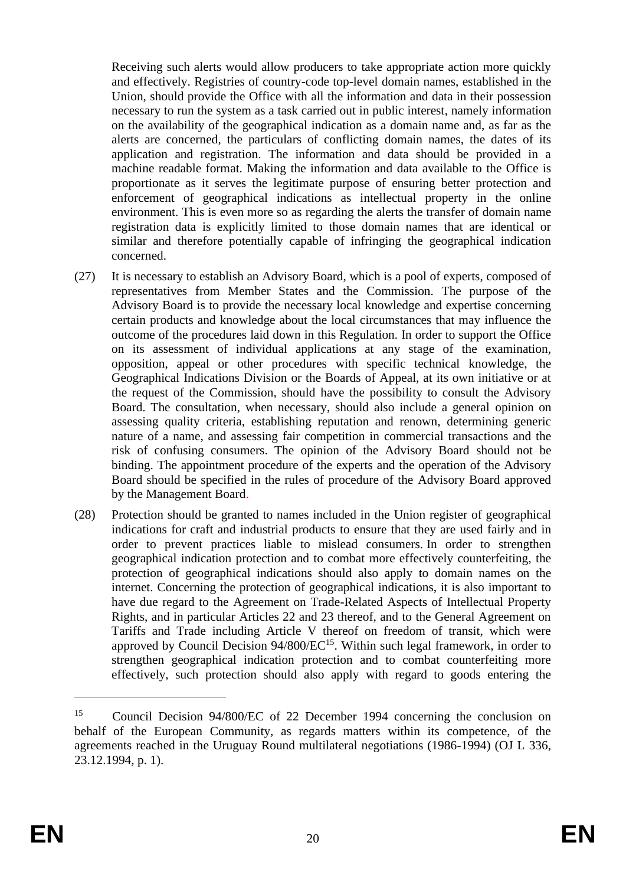Receiving such alerts would allow producers to take appropriate action more quickly and effectively. Registries of country-code top-level domain names, established in the Union, should provide the Office with all the information and data in their possession necessary to run the system as a task carried out in public interest, namely information on the availability of the geographical indication as a domain name and, as far as the alerts are concerned, the particulars of conflicting domain names, the dates of its application and registration. The information and data should be provided in a machine readable format. Making the information and data available to the Office is proportionate as it serves the legitimate purpose of ensuring better protection and enforcement of geographical indications as intellectual property in the online environment. This is even more so as regarding the alerts the transfer of domain name registration data is explicitly limited to those domain names that are identical or similar and therefore potentially capable of infringing the geographical indication concerned.

- (27) It is necessary to establish an Advisory Board, which is a pool of experts, composed of representatives from Member States and the Commission. The purpose of the Advisory Board is to provide the necessary local knowledge and expertise concerning certain products and knowledge about the local circumstances that may influence the outcome of the procedures laid down in this Regulation. In order to support the Office on its assessment of individual applications at any stage of the examination, opposition, appeal or other procedures with specific technical knowledge, the Geographical Indications Division or the Boards of Appeal, at its own initiative or at the request of the Commission, should have the possibility to consult the Advisory Board. The consultation, when necessary, should also include a general opinion on assessing quality criteria, establishing reputation and renown, determining generic nature of a name, and assessing fair competition in commercial transactions and the risk of confusing consumers. The opinion of the Advisory Board should not be binding. The appointment procedure of the experts and the operation of the Advisory Board should be specified in the rules of procedure of the Advisory Board approved by the Management Board.
- (28) Protection should be granted to names included in the Union register of geographical indications for craft and industrial products to ensure that they are used fairly and in order to prevent practices liable to mislead consumers. In order to strengthen geographical indication protection and to combat more effectively counterfeiting, the protection of geographical indications should also apply to domain names on the internet. Concerning the protection of geographical indications, it is also important to have due regard to the Agreement on Trade-Related Aspects of Intellectual Property Rights, and in particular Articles 22 and 23 thereof, and to the General Agreement on Tariffs and Trade including Article V thereof on freedom of transit, which were approved by Council Decision  $94/800/EC^{15}$ . Within such legal framework, in order to strengthen geographical indication protection and to combat counterfeiting more effectively, such protection should also apply with regard to goods entering the

<sup>15</sup> Council Decision 94/800/EC of 22 December 1994 concerning the conclusion on behalf of the European Community, as regards matters within its competence, of the agreements reached in the Uruguay Round multilateral negotiations (1986-1994) (OJ L 336, 23.12.1994, p. 1).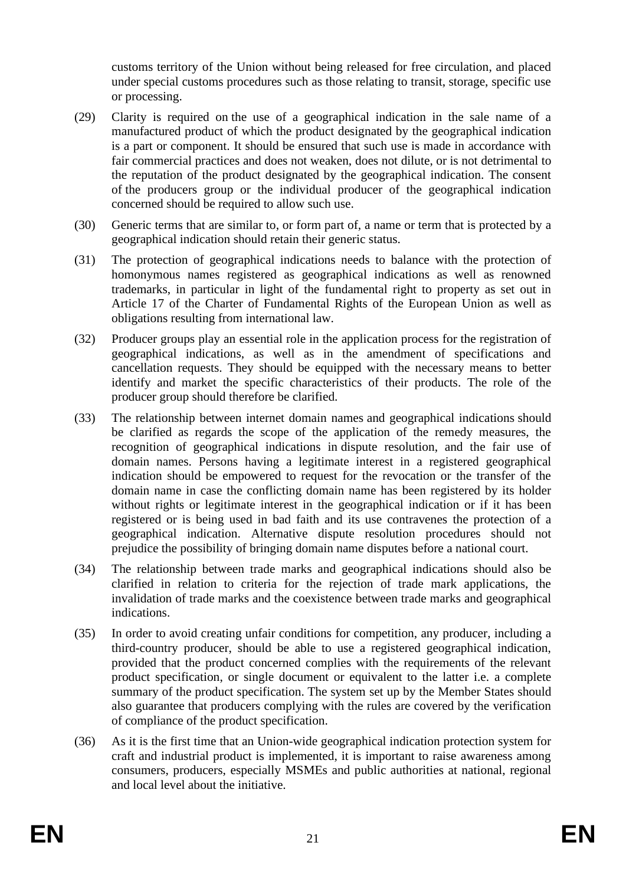customs territory of the Union without being released for free circulation, and placed under special customs procedures such as those relating to transit, storage, specific use or processing.

- (29) Clarity is required on the use of a geographical indication in the sale name of a manufactured product of which the product designated by the geographical indication is a part or component. It should be ensured that such use is made in accordance with fair commercial practices and does not weaken, does not dilute, or is not detrimental to the reputation of the product designated by the geographical indication. The consent of the producers group or the individual producer of the geographical indication concerned should be required to allow such use.
- (30) Generic terms that are similar to, or form part of, a name or term that is protected by a geographical indication should retain their generic status.
- (31) The protection of geographical indications needs to balance with the protection of homonymous names registered as geographical indications as well as renowned trademarks, in particular in light of the fundamental right to property as set out in Article 17 of the Charter of Fundamental Rights of the European Union as well as obligations resulting from international law.
- (32) Producer groups play an essential role in the application process for the registration of geographical indications, as well as in the amendment of specifications and cancellation requests. They should be equipped with the necessary means to better identify and market the specific characteristics of their products. The role of the producer group should therefore be clarified.
- (33) The relationship between internet domain names and geographical indications should be clarified as regards the scope of the application of the remedy measures, the recognition of geographical indications in dispute resolution, and the fair use of domain names. Persons having a legitimate interest in a registered geographical indication should be empowered to request for the revocation or the transfer of the domain name in case the conflicting domain name has been registered by its holder without rights or legitimate interest in the geographical indication or if it has been registered or is being used in bad faith and its use contravenes the protection of a geographical indication. Alternative dispute resolution procedures should not prejudice the possibility of bringing domain name disputes before a national court.
- (34) The relationship between trade marks and geographical indications should also be clarified in relation to criteria for the rejection of trade mark applications, the invalidation of trade marks and the coexistence between trade marks and geographical indications.
- (35) In order to avoid creating unfair conditions for competition, any producer, including a third-country producer, should be able to use a registered geographical indication, provided that the product concerned complies with the requirements of the relevant product specification, or single document or equivalent to the latter i.e. a complete summary of the product specification. The system set up by the Member States should also guarantee that producers complying with the rules are covered by the verification of compliance of the product specification.
- (36) As it is the first time that an Union-wide geographical indication protection system for craft and industrial product is implemented, it is important to raise awareness among consumers, producers, especially MSMEs and public authorities at national, regional and local level about the initiative.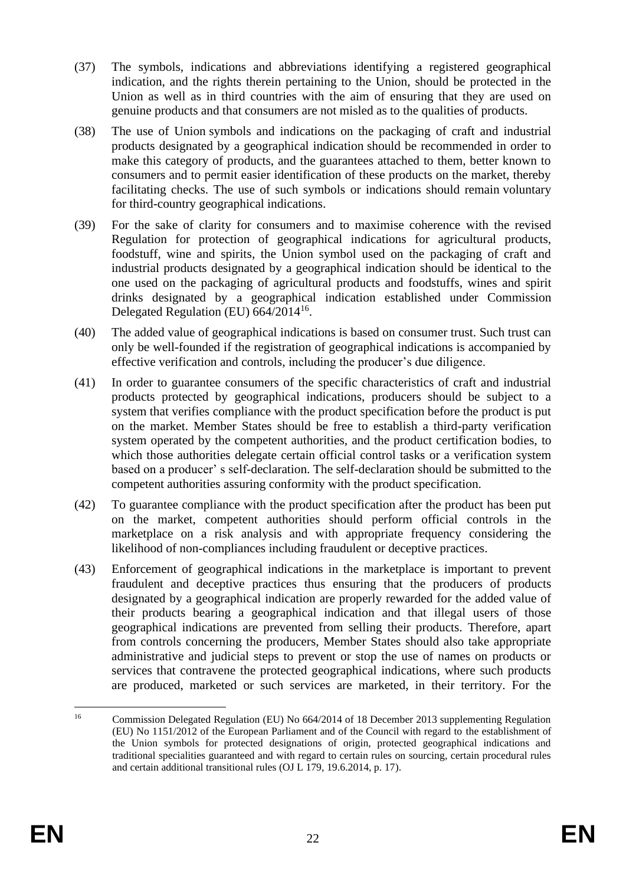- (37) The symbols, indications and abbreviations identifying a registered geographical indication, and the rights therein pertaining to the Union, should be protected in the Union as well as in third countries with the aim of ensuring that they are used on genuine products and that consumers are not misled as to the qualities of products.
- (38) The use of Union symbols and indications on the packaging of craft and industrial products designated by a geographical indication should be recommended in order to make this category of products, and the guarantees attached to them, better known to consumers and to permit easier identification of these products on the market, thereby facilitating checks. The use of such symbols or indications should remain voluntary for third-country geographical indications.
- (39) For the sake of clarity for consumers and to maximise coherence with the revised Regulation for protection of geographical indications for agricultural products, foodstuff, wine and spirits, the Union symbol used on the packaging of craft and industrial products designated by a geographical indication should be identical to the one used on the packaging of agricultural products and foodstuffs, wines and spirit drinks designated by a geographical indication established under Commission Delegated Regulation (EU) 664/2014<sup>16</sup>.
- (40) The added value of geographical indications is based on consumer trust. Such trust can only be well-founded if the registration of geographical indications is accompanied by effective verification and controls, including the producer's due diligence.
- (41) In order to guarantee consumers of the specific characteristics of craft and industrial products protected by geographical indications, producers should be subject to a system that verifies compliance with the product specification before the product is put on the market. Member States should be free to establish a third-party verification system operated by the competent authorities, and the product certification bodies, to which those authorities delegate certain official control tasks or a verification system based on a producer' s self-declaration. The self-declaration should be submitted to the competent authorities assuring conformity with the product specification.
- (42) To guarantee compliance with the product specification after the product has been put on the market, competent authorities should perform official controls in the marketplace on a risk analysis and with appropriate frequency considering the likelihood of non-compliances including fraudulent or deceptive practices.
- (43) Enforcement of geographical indications in the marketplace is important to prevent fraudulent and deceptive practices thus ensuring that the producers of products designated by a geographical indication are properly rewarded for the added value of their products bearing a geographical indication and that illegal users of those geographical indications are prevented from selling their products. Therefore, apart from controls concerning the producers, Member States should also take appropriate administrative and judicial steps to prevent or stop the use of names on products or services that contravene the protected geographical indications, where such products are produced, marketed or such services are marketed, in their territory. For the

<sup>&</sup>lt;sup>16</sup> Commission Delegated Regulation (EU) No 664/2014 of 18 December 2013 supplementing Regulation (EU) No 1151/2012 of the European Parliament and of the Council with regard to the establishment of the Union symbols for protected designations of origin, protected geographical indications and traditional specialities guaranteed and with regard to certain rules on sourcing, certain procedural rules and certain additional transitional rules (OJ L 179, 19.6.2014, p. 17).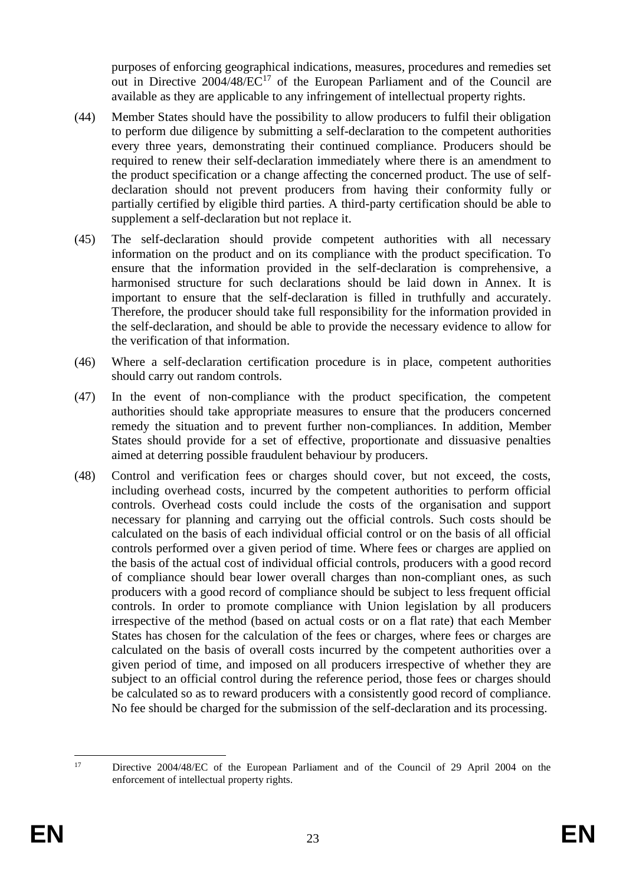purposes of enforcing geographical indications, measures, procedures and remedies set out in Directive 2004/48/EC<sup>17</sup> of the European Parliament and of the Council are available as they are applicable to any infringement of intellectual property rights.

- (44) Member States should have the possibility to allow producers to fulfil their obligation to perform due diligence by submitting a self-declaration to the competent authorities every three years, demonstrating their continued compliance. Producers should be required to renew their self-declaration immediately where there is an amendment to the product specification or a change affecting the concerned product. The use of selfdeclaration should not prevent producers from having their conformity fully or partially certified by eligible third parties. A third-party certification should be able to supplement a self-declaration but not replace it.
- (45) The self-declaration should provide competent authorities with all necessary information on the product and on its compliance with the product specification. To ensure that the information provided in the self-declaration is comprehensive, a harmonised structure for such declarations should be laid down in Annex. It is important to ensure that the self-declaration is filled in truthfully and accurately. Therefore, the producer should take full responsibility for the information provided in the self-declaration, and should be able to provide the necessary evidence to allow for the verification of that information.
- (46) Where a self-declaration certification procedure is in place, competent authorities should carry out random controls.
- (47) In the event of non-compliance with the product specification, the competent authorities should take appropriate measures to ensure that the producers concerned remedy the situation and to prevent further non-compliances. In addition, Member States should provide for a set of effective, proportionate and dissuasive penalties aimed at deterring possible fraudulent behaviour by producers.
- (48) Control and verification fees or charges should cover, but not exceed, the costs, including overhead costs, incurred by the competent authorities to perform official controls. Overhead costs could include the costs of the organisation and support necessary for planning and carrying out the official controls. Such costs should be calculated on the basis of each individual official control or on the basis of all official controls performed over a given period of time. Where fees or charges are applied on the basis of the actual cost of individual official controls, producers with a good record of compliance should bear lower overall charges than non-compliant ones, as such producers with a good record of compliance should be subject to less frequent official controls. In order to promote compliance with Union legislation by all producers irrespective of the method (based on actual costs or on a flat rate) that each Member States has chosen for the calculation of the fees or charges, where fees or charges are calculated on the basis of overall costs incurred by the competent authorities over a given period of time, and imposed on all producers irrespective of whether they are subject to an official control during the reference period, those fees or charges should be calculated so as to reward producers with a consistently good record of compliance. No fee should be charged for the submission of the self-declaration and its processing.

<sup>&</sup>lt;sup>17</sup> Directive 2004/48/EC of the European Parliament and of the Council of 29 April 2004 on the enforcement of intellectual property rights.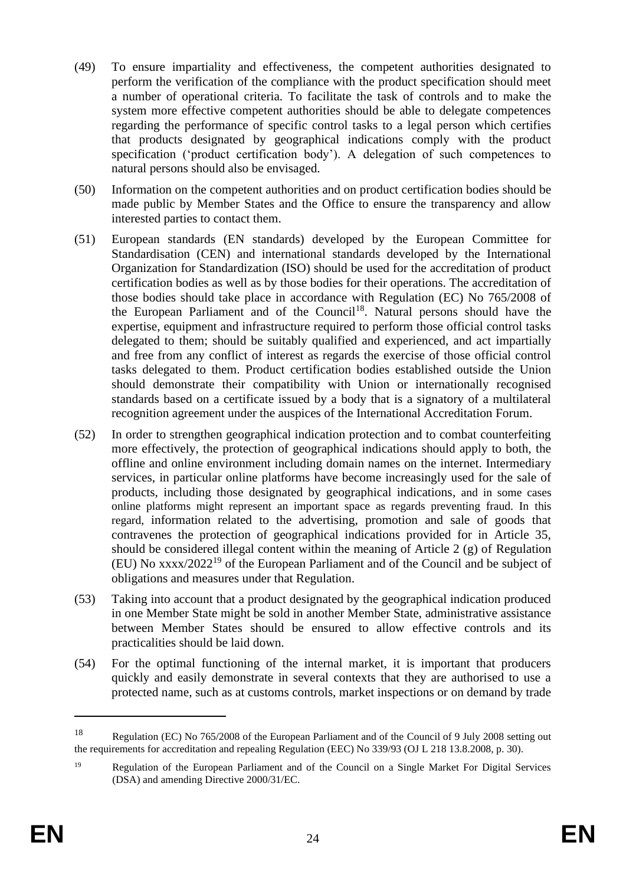- (49) To ensure impartiality and effectiveness, the competent authorities designated to perform the verification of the compliance with the product specification should meet a number of operational criteria. To facilitate the task of controls and to make the system more effective competent authorities should be able to delegate competences regarding the performance of specific control tasks to a legal person which certifies that products designated by geographical indications comply with the product specification ('product certification body'). A delegation of such competences to natural persons should also be envisaged.
- (50) Information on the competent authorities and on product certification bodies should be made public by Member States and the Office to ensure the transparency and allow interested parties to contact them.
- (51) European standards (EN standards) developed by the European Committee for Standardisation (CEN) and international standards developed by the International Organization for Standardization (ISO) should be used for the accreditation of product certification bodies as well as by those bodies for their operations. The accreditation of those bodies should take place in accordance with Regulation (EC) No 765/2008 of the European Parliament and of the Council<sup>18</sup>. Natural persons should have the expertise, equipment and infrastructure required to perform those official control tasks delegated to them; should be suitably qualified and experienced, and act impartially and free from any conflict of interest as regards the exercise of those official control tasks delegated to them. Product certification bodies established outside the Union should demonstrate their compatibility with Union or internationally recognised standards based on a certificate issued by a body that is a signatory of a multilateral recognition agreement under the auspices of the International Accreditation Forum.
- (52) In order to strengthen geographical indication protection and to combat counterfeiting more effectively, the protection of geographical indications should apply to both, the offline and online environment including domain names on the internet. Intermediary services, in particular online platforms have become increasingly used for the sale of products, including those designated by geographical indications, and in some cases online platforms might represent an important space as regards preventing fraud. In this regard, information related to the advertising, promotion and sale of goods that contravenes the protection of geographical indications provided for in Article 35, should be considered illegal content within the meaning of Article 2 (g) of Regulation (EU) No xxxx/2022<sup>19</sup> of the European Parliament and of the Council and be subject of obligations and measures under that Regulation.
- (53) Taking into account that a product designated by the geographical indication produced in one Member State might be sold in another Member State, administrative assistance between Member States should be ensured to allow effective controls and its practicalities should be laid down.
- (54) For the optimal functioning of the internal market, it is important that producers quickly and easily demonstrate in several contexts that they are authorised to use a protected name, such as at customs controls, market inspections or on demand by trade

<sup>18</sup> Regulation (EC) No 765/2008 of the European Parliament and of the Council of 9 July 2008 setting out the requirements for accreditation and repealing Regulation (EEC) No 339/93 (OJ L 218 13.8.2008, p. 30).

<sup>19</sup> Regulation of the European Parliament and of the Council on a Single Market For Digital Services (DSA) and amending Directive 2000/31/EC.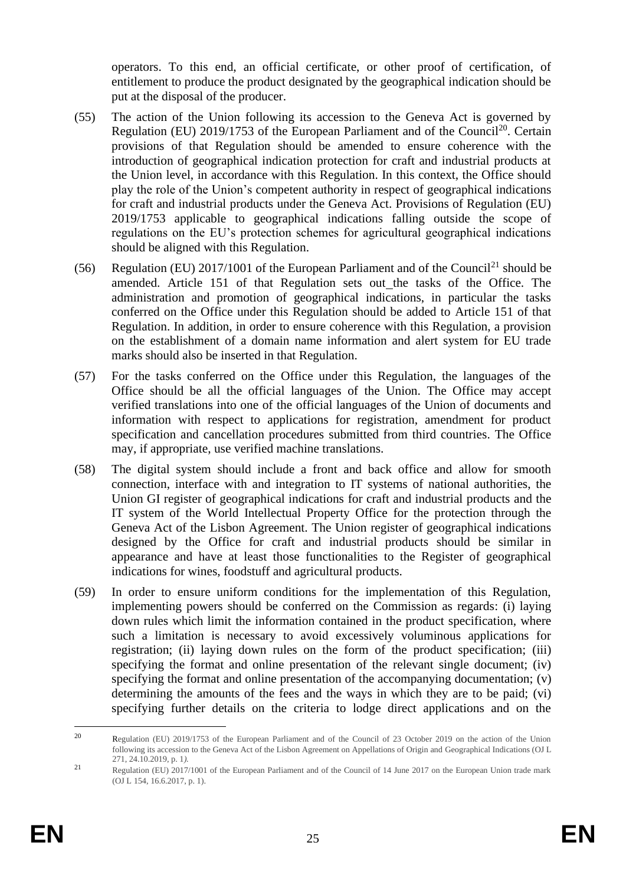operators. To this end, an official certificate, or other proof of certification, of entitlement to produce the product designated by the geographical indication should be put at the disposal of the producer.

- (55) The action of the Union following its accession to the Geneva Act is governed by Regulation (EU) 2019/1753 of the European Parliament and of the Council<sup>20</sup>. Certain provisions of that Regulation should be amended to ensure coherence with the introduction of geographical indication protection for craft and industrial products at the Union level, in accordance with this Regulation. In this context, the Office should play the role of the Union's competent authority in respect of geographical indications for craft and industrial products under the Geneva Act. Provisions of Regulation (EU) 2019/1753 applicable to geographical indications falling outside the scope of regulations on the EU's protection schemes for agricultural geographical indications should be aligned with this Regulation.
- (56) Regulation (EU) 2017/1001 of the European Parliament and of the Council<sup>21</sup> should be amended. Article 151 of that Regulation sets out the tasks of the Office. The administration and promotion of geographical indications, in particular the tasks conferred on the Office under this Regulation should be added to Article 151 of that Regulation. In addition, in order to ensure coherence with this Regulation, a provision on the establishment of a domain name information and alert system for EU trade marks should also be inserted in that Regulation.
- (57) For the tasks conferred on the Office under this Regulation, the languages of the Office should be all the official languages of the Union. The Office may accept verified translations into one of the official languages of the Union of documents and information with respect to applications for registration, amendment for product specification and cancellation procedures submitted from third countries. The Office may, if appropriate, use verified machine translations.
- (58) The digital system should include a front and back office and allow for smooth connection, interface with and integration to IT systems of national authorities, the Union GI register of geographical indications for craft and industrial products and the IT system of the World Intellectual Property Office for the protection through the Geneva Act of the Lisbon Agreement. The Union register of geographical indications designed by the Office for craft and industrial products should be similar in appearance and have at least those functionalities to the Register of geographical indications for wines, foodstuff and agricultural products.
- (59) In order to ensure uniform conditions for the implementation of this Regulation, implementing powers should be conferred on the Commission as regards: (i) laying down rules which limit the information contained in the product specification, where such a limitation is necessary to avoid excessively voluminous applications for registration; (ii) laying down rules on the form of the product specification; (iii) specifying the format and online presentation of the relevant single document; (iv) specifying the format and online presentation of the accompanying documentation; (v) determining the amounts of the fees and the ways in which they are to be paid; (vi) specifying further details on the criteria to lodge direct applications and on the

<sup>20</sup> Regulation (EU) 2019/1753 of the European Parliament and of the Council of 23 October 2019 on the action of the Union following its accession to the Geneva Act of the Lisbon Agreement on Appellations of Origin and Geographical Indications (OJ L 271, 24.10.2019, p. 1*).*

<sup>21</sup> Regulation (EU) 2017/1001 of the European Parliament and of the Council of 14 June 2017 on the European Union trade mark (OJ L 154, 16.6.2017, p. 1).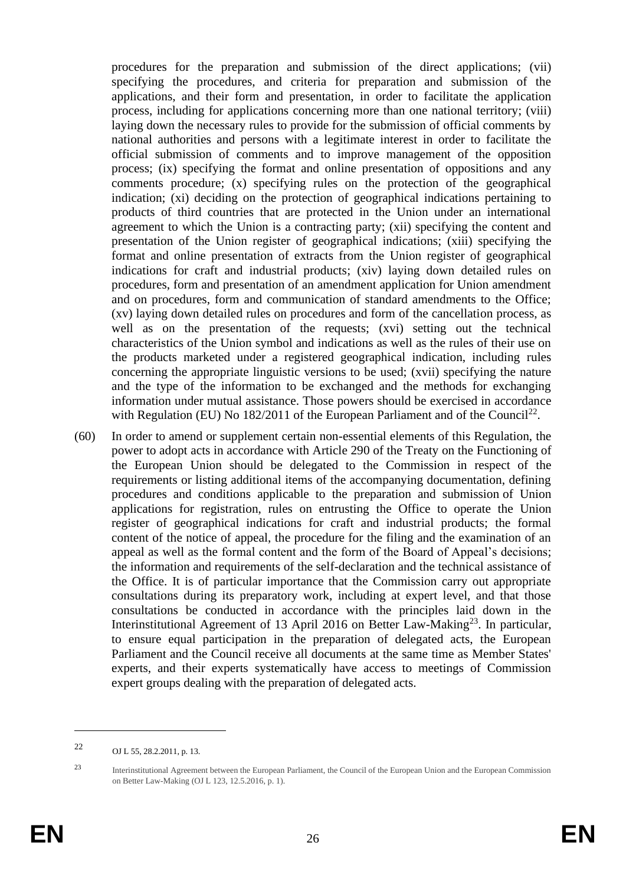procedures for the preparation and submission of the direct applications; (vii) specifying the procedures, and criteria for preparation and submission of the applications, and their form and presentation, in order to facilitate the application process, including for applications concerning more than one national territory; (viii) laying down the necessary rules to provide for the submission of official comments by national authorities and persons with a legitimate interest in order to facilitate the official submission of comments and to improve management of the opposition process; (ix) specifying the format and online presentation of oppositions and any comments procedure; (x) specifying rules on the protection of the geographical indication; (xi) deciding on the protection of geographical indications pertaining to products of third countries that are protected in the Union under an international agreement to which the Union is a contracting party; (xii) specifying the content and presentation of the Union register of geographical indications; (xiii) specifying the format and online presentation of extracts from the Union register of geographical indications for craft and industrial products; (xiv) laying down detailed rules on procedures, form and presentation of an amendment application for Union amendment and on procedures, form and communication of standard amendments to the Office; (xv) laying down detailed rules on procedures and form of the cancellation process, as well as on the presentation of the requests; (xvi) setting out the technical characteristics of the Union symbol and indications as well as the rules of their use on the products marketed under a registered geographical indication, including rules concerning the appropriate linguistic versions to be used; (xvii) specifying the nature and the type of the information to be exchanged and the methods for exchanging information under mutual assistance. Those powers should be exercised in accordance with Regulation (EU) No  $182/2011$  of the European Parliament and of the Council<sup>22</sup>.

(60) In order to amend or supplement certain non-essential elements of this Regulation, the power to adopt acts in accordance with Article 290 of the Treaty on the Functioning of the European Union should be delegated to the Commission in respect of the requirements or listing additional items of the accompanying documentation, defining procedures and conditions applicable to the preparation and submission of Union applications for registration, rules on entrusting the Office to operate the Union register of geographical indications for craft and industrial products; the formal content of the notice of appeal, the procedure for the filing and the examination of an appeal as well as the formal content and the form of the Board of Appeal's decisions; the information and requirements of the self-declaration and the technical assistance of the Office. It is of particular importance that the Commission carry out appropriate consultations during its preparatory work, including at expert level, and that those consultations be conducted in accordance with the principles laid down in the Interinstitutional Agreement of 13 April 2016 on Better Law-Making<sup>23</sup>. In particular, to ensure equal participation in the preparation of delegated acts, the European Parliament and the Council receive all documents at the same time as Member States' experts, and their experts systematically have access to meetings of Commission expert groups dealing with the preparation of delegated acts.

<sup>22</sup> OJ L 55, 28.2.2011, p. 13.

<sup>23</sup> Interinstitutional Agreement between the European Parliament, the Council of the European Union and the European Commission on Better Law-Making (OJ L 123, 12.5.2016, p. 1)*.*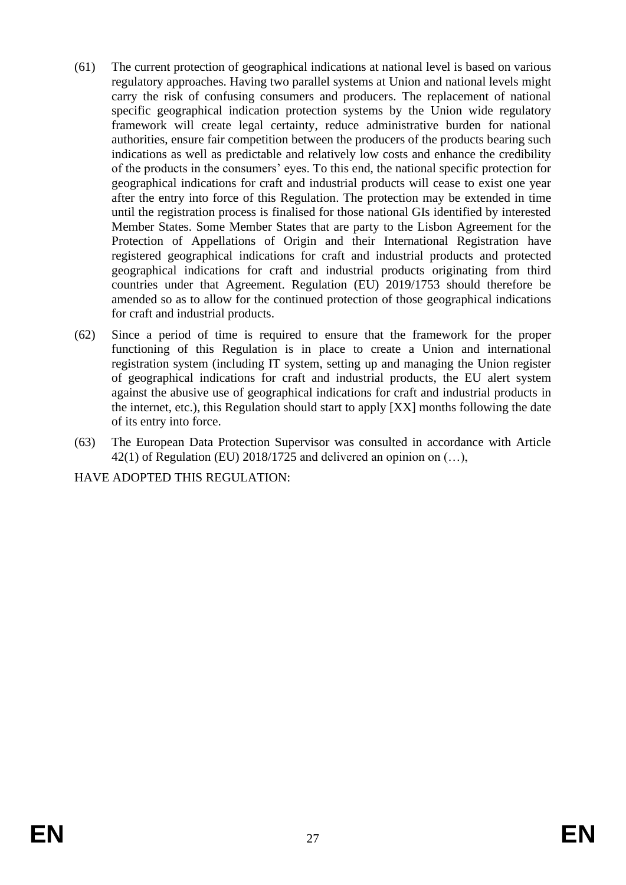- (61) The current protection of geographical indications at national level is based on various regulatory approaches. Having two parallel systems at Union and national levels might carry the risk of confusing consumers and producers. The replacement of national specific geographical indication protection systems by the Union wide regulatory framework will create legal certainty, reduce administrative burden for national authorities, ensure fair competition between the producers of the products bearing such indications as well as predictable and relatively low costs and enhance the credibility of the products in the consumers' eyes. To this end, the national specific protection for geographical indications for craft and industrial products will cease to exist one year after the entry into force of this Regulation. The protection may be extended in time until the registration process is finalised for those national GIs identified by interested Member States. Some Member States that are party to the Lisbon Agreement for the Protection of Appellations of Origin and their International Registration have registered geographical indications for craft and industrial products and protected geographical indications for craft and industrial products originating from third countries under that Agreement. Regulation (EU) 2019/1753 should therefore be amended so as to allow for the continued protection of those geographical indications for craft and industrial products.
- (62) Since a period of time is required to ensure that the framework for the proper functioning of this Regulation is in place to create a Union and international registration system (including IT system, setting up and managing the Union register of geographical indications for craft and industrial products, the EU alert system against the abusive use of geographical indications for craft and industrial products in the internet, etc.), this Regulation should start to apply [XX] months following the date of its entry into force.
- (63) The European Data Protection Supervisor was consulted in accordance with Article 42(1) of Regulation (EU) 2018/1725 and delivered an opinion on (…),

HAVE ADOPTED THIS REGULATION: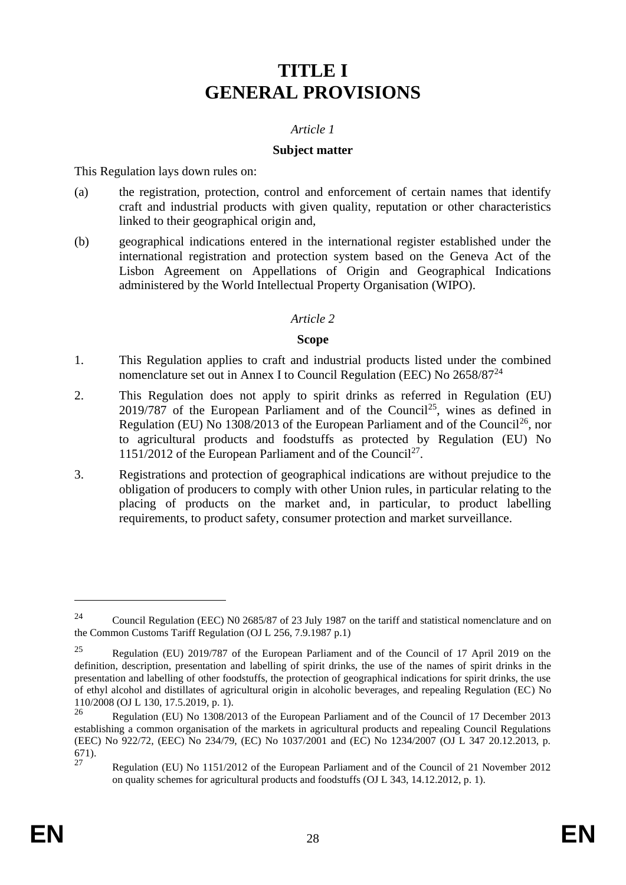# **TITLE I GENERAL PROVISIONS**

## *Article 1*

#### **Subject matter**

This Regulation lays down rules on:

- (a) the registration, protection, control and enforcement of certain names that identify craft and industrial products with given quality, reputation or other characteristics linked to their geographical origin and,
- (b) geographical indications entered in the international register established under the international registration and protection system based on the Geneva Act of the Lisbon Agreement on Appellations of Origin and Geographical Indications administered by the World Intellectual Property Organisation (WIPO).

#### *Article 2*

#### **Scope**

- 1. This Regulation applies to craft and industrial products listed under the combined nomenclature set out in Annex I to Council Regulation (EEC) No  $2658/87^{24}$
- 2. This Regulation does not apply to spirit drinks as referred in Regulation (EU)  $2019/787$  of the European Parliament and of the Council<sup>25</sup>, wines as defined in Regulation (EU) No  $1308/2013$  of the European Parliament and of the Council<sup>26</sup>, nor to agricultural products and foodstuffs as protected by Regulation (EU) No 1151/2012 of the European Parliament and of the Council<sup>27</sup>.
- 3. Registrations and protection of geographical indications are without prejudice to the obligation of producers to comply with other Union rules, in particular relating to the placing of products on the market and, in particular, to product labelling requirements, to product safety, consumer protection and market surveillance.

<sup>&</sup>lt;sup>24</sup> Council Regulation (EEC) N0 2685/87 of 23 July 1987 on the tariff and statistical nomenclature and on the Common Customs Tariff Regulation (OJ L 256, 7.9.1987 p.1)

<sup>25</sup> Regulation (EU) 2019/787 of the European Parliament and of the Council of 17 April 2019 on the definition, description, presentation and labelling of spirit drinks, the use of the names of spirit drinks in the presentation and labelling of other foodstuffs, the protection of geographical indications for spirit drinks, the use of ethyl alcohol and distillates of agricultural origin in alcoholic beverages, and repealing Regulation (EC) No 110/2008 (OJ L 130, 17.5.2019, p. 1).

<sup>26</sup> Regulation (EU) No 1308/2013 of the European Parliament and of the Council of 17 December 2013 establishing a common organisation of the markets in agricultural products and repealing Council Regulations (EEC) No 922/72, (EEC) No 234/79, (EC) No 1037/2001 and (EC) No 1234/2007 (OJ L 347 20.12.2013, p.  $671$ .<br>27

<sup>27</sup> Regulation (EU) No 1151/2012 of the European Parliament and of the Council of 21 November 2012 on quality schemes for agricultural products and foodstuffs (OJ L 343, 14.12.2012, p. 1).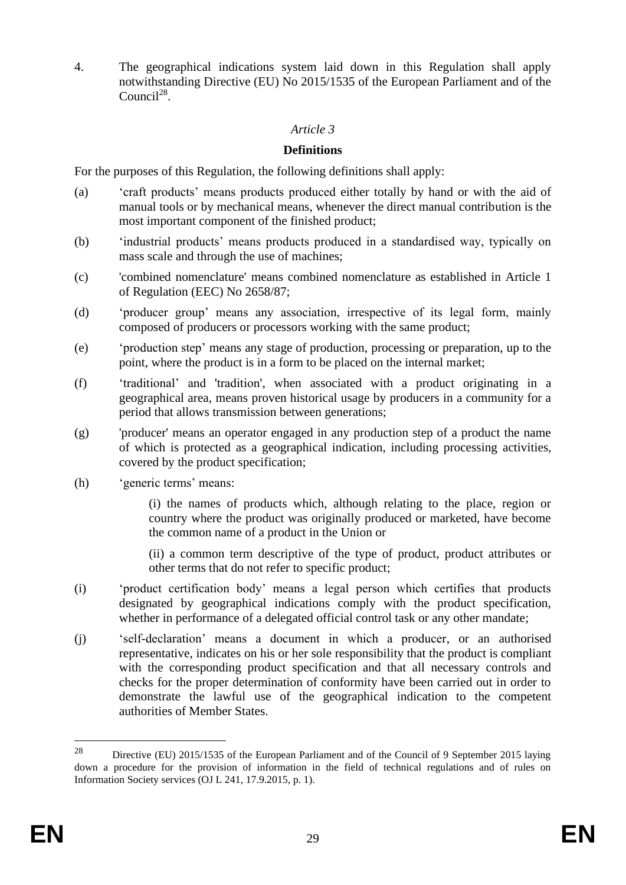4. The geographical indications system laid down in this Regulation shall apply notwithstanding Directive (EU) No 2015/1535 of the European Parliament and of the Council $^{28}$ .

## *Article 3*

#### **Definitions**

For the purposes of this Regulation, the following definitions shall apply:

- (a) 'craft products' means products produced either totally by hand or with the aid of manual tools or by mechanical means, whenever the direct manual contribution is the most important component of the finished product;
- (b) 'industrial products' means products produced in a standardised way, typically on mass scale and through the use of machines;
- (c) 'combined nomenclature' means combined nomenclature as established in Article 1 of Regulation (EEC) No 2658/87;
- (d) 'producer group' means any association, irrespective of its legal form, mainly composed of producers or processors working with the same product;
- (e) 'production step' means any stage of production, processing or preparation, up to the point, where the product is in a form to be placed on the internal market;
- (f) 'traditional' and 'tradition', when associated with a product originating in a geographical area, means proven historical usage by producers in a community for a period that allows transmission between generations;
- (g) 'producer' means an operator engaged in any production step of a product the name of which is protected as a geographical indication, including processing activities, covered by the product specification;
- (h) 'generic terms' means:

(i) the names of products which, although relating to the place, region or country where the product was originally produced or marketed, have become the common name of a product in the Union or

(ii) a common term descriptive of the type of product, product attributes or other terms that do not refer to specific product;

- (i) 'product certification body' means a legal person which certifies that products designated by geographical indications comply with the product specification, whether in performance of a delegated official control task or any other mandate;
- (j) 'self-declaration' means a document in which a producer, or an authorised representative, indicates on his or her sole responsibility that the product is compliant with the corresponding product specification and that all necessary controls and checks for the proper determination of conformity have been carried out in order to demonstrate the lawful use of the geographical indication to the competent authorities of Member States.

<sup>&</sup>lt;sup>28</sup> Directive (EU) 2015/1535 of the European Parliament and of the Council of 9 September 2015 laying down a procedure for the provision of information in the field of technical regulations and of rules on Information Society services (OJ L 241, 17.9.2015, p. 1).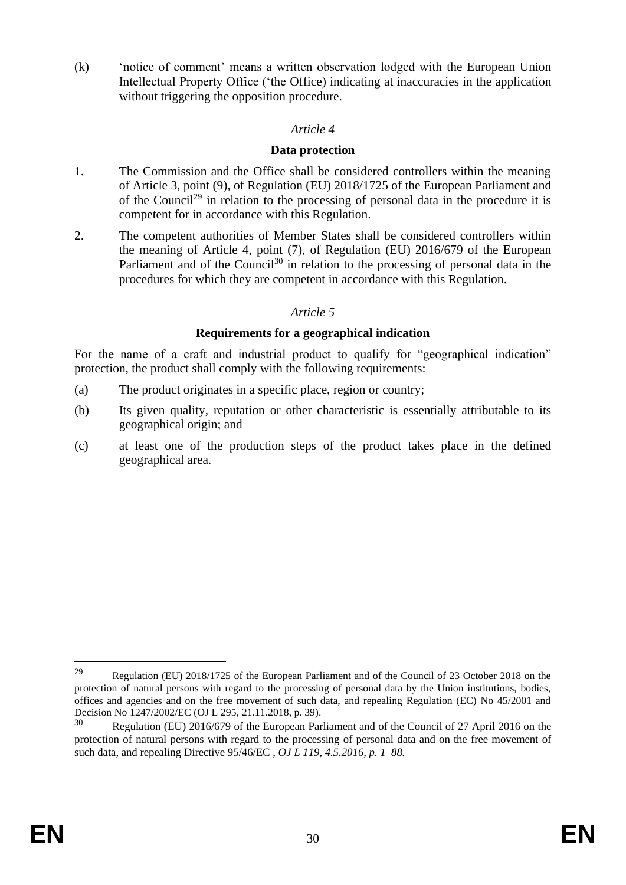(k) 'notice of comment' means a written observation lodged with the European Union Intellectual Property Office ('the Office) indicating at inaccuracies in the application without triggering the opposition procedure.

## *Article 4*

#### **Data protection**

- 1. The Commission and the Office shall be considered controllers within the meaning of Article 3, point (9), of Regulation (EU) 2018/1725 of the European Parliament and of the Council<sup>29</sup> in relation to the processing of personal data in the procedure it is competent for in accordance with this Regulation.
- 2. The competent authorities of Member States shall be considered controllers within the meaning of Article 4, point (7), of Regulation (EU) 2016/679 of the European Parliament and of the Council<sup>30</sup> in relation to the processing of personal data in the procedures for which they are competent in accordance with this Regulation.

# *Article 5*

## **Requirements for a geographical indication**

For the name of a craft and industrial product to qualify for "geographical indication" protection, the product shall comply with the following requirements:

- (a) The product originates in a specific place, region or country;
- (b) Its given quality, reputation or other characteristic is essentially attributable to its geographical origin; and
- (c) at least one of the production steps of the product takes place in the defined geographical area.

<sup>29</sup> Regulation (EU) 2018/1725 of the European Parliament and of the Council of 23 October 2018 on the protection of natural persons with regard to the processing of personal data by the Union institutions, bodies, offices and agencies and on the free movement of such data, and repealing Regulation (EC) No 45/2001 and Decision No 1247/2002/EC (OJ L 295, 21.11.2018, p. 39).

Regulation (EU) 2016/679 of the European Parliament and of the Council of 27 April 2016 on the protection of natural persons with regard to the processing of personal data and on the free movement of such data, and repealing Directive 95/46/EC , *OJ L 119, 4.5.2016, p. 1–88.*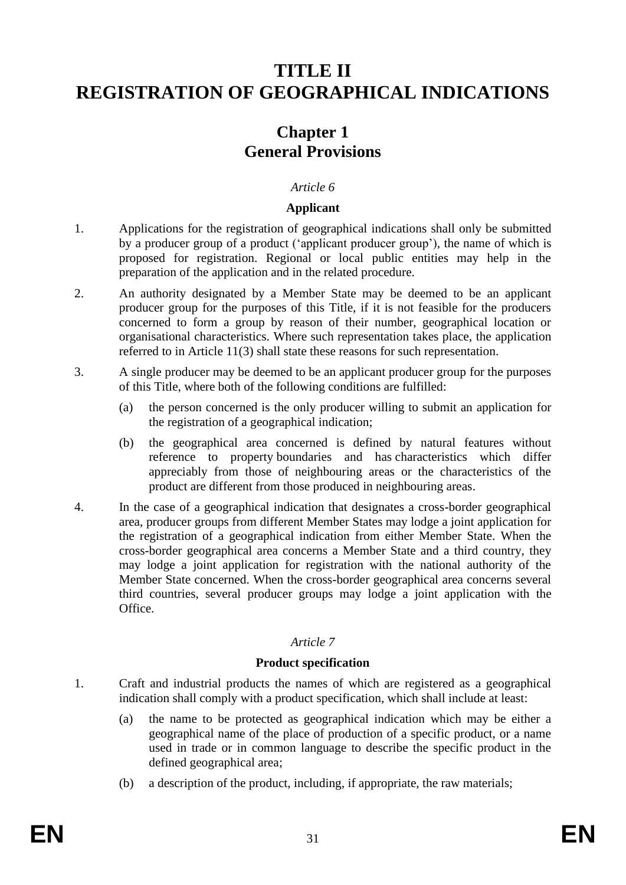# **TITLE II REGISTRATION OF GEOGRAPHICAL INDICATIONS**

# **Chapter 1 General Provisions**

#### *Article 6*

#### **Applicant**

- 1. Applications for the registration of geographical indications shall only be submitted by a producer group of a product ('applicant producer group'), the name of which is proposed for registration. Regional or local public entities may help in the preparation of the application and in the related procedure.
- 2. An authority designated by a Member State may be deemed to be an applicant producer group for the purposes of this Title, if it is not feasible for the producers concerned to form a group by reason of their number, geographical location or organisational characteristics. Where such representation takes place, the application referred to in Article 11(3) shall state these reasons for such representation.
- 3. A single producer may be deemed to be an applicant producer group for the purposes of this Title, where both of the following conditions are fulfilled:
	- (a) the person concerned is the only producer willing to submit an application for the registration of a geographical indication;
	- (b) the geographical area concerned is defined by natural features without reference to property boundaries and has characteristics which differ appreciably from those of neighbouring areas or the characteristics of the product are different from those produced in neighbouring areas.
- 4. In the case of a geographical indication that designates a cross-border geographical area, producer groups from different Member States may lodge a joint application for the registration of a geographical indication from either Member State. When the cross-border geographical area concerns a Member State and a third country, they may lodge a joint application for registration with the national authority of the Member State concerned. When the cross-border geographical area concerns several third countries, several producer groups may lodge a joint application with the Office.

# *Article 7*

#### **Product specification**

- 1. Craft and industrial products the names of which are registered as a geographical indication shall comply with a product specification, which shall include at least:
	- (a) the name to be protected as geographical indication which may be either a geographical name of the place of production of a specific product, or a name used in trade or in common language to describe the specific product in the defined geographical area;
	- (b) a description of the product, including, if appropriate, the raw materials;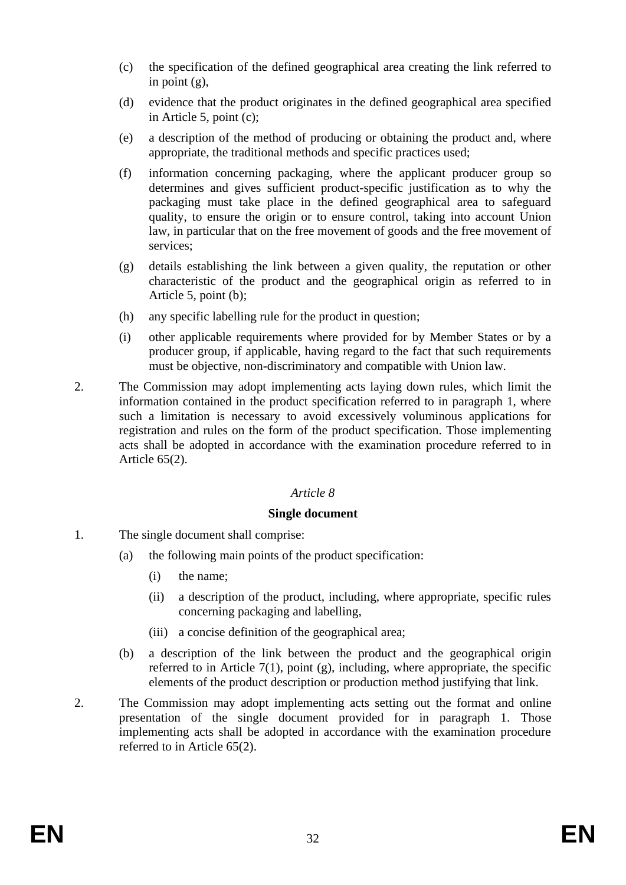- (c) the specification of the defined geographical area creating the link referred to in point (g),
- (d) evidence that the product originates in the defined geographical area specified in Article 5, point (c);
- (e) a description of the method of producing or obtaining the product and, where appropriate, the traditional methods and specific practices used;
- (f) information concerning packaging, where the applicant producer group so determines and gives sufficient product-specific justification as to why the packaging must take place in the defined geographical area to safeguard quality, to ensure the origin or to ensure control, taking into account Union law, in particular that on the free movement of goods and the free movement of services;
- (g) details establishing the link between a given quality, the reputation or other characteristic of the product and the geographical origin as referred to in Article 5, point (b);
- (h) any specific labelling rule for the product in question;
- (i) other applicable requirements where provided for by Member States or by a producer group, if applicable, having regard to the fact that such requirements must be objective, non-discriminatory and compatible with Union law.
- 2. The Commission may adopt implementing acts laying down rules, which limit the information contained in the product specification referred to in paragraph 1, where such a limitation is necessary to avoid excessively voluminous applications for registration and rules on the form of the product specification. Those implementing acts shall be adopted in accordance with the examination procedure referred to in Article 65(2).

# *Article 8*

#### **Single document**

- 1. The single document shall comprise:
	- (a) the following main points of the product specification:
		- (i) the name;
		- (ii) a description of the product, including, where appropriate, specific rules concerning packaging and labelling,
		- (iii) a concise definition of the geographical area;
	- (b) a description of the link between the product and the geographical origin referred to in Article 7(1), point  $(g)$ , including, where appropriate, the specific elements of the product description or production method justifying that link.
- 2. The Commission may adopt implementing acts setting out the format and online presentation of the single document provided for in paragraph 1. Those implementing acts shall be adopted in accordance with the examination procedure referred to in Article 65(2).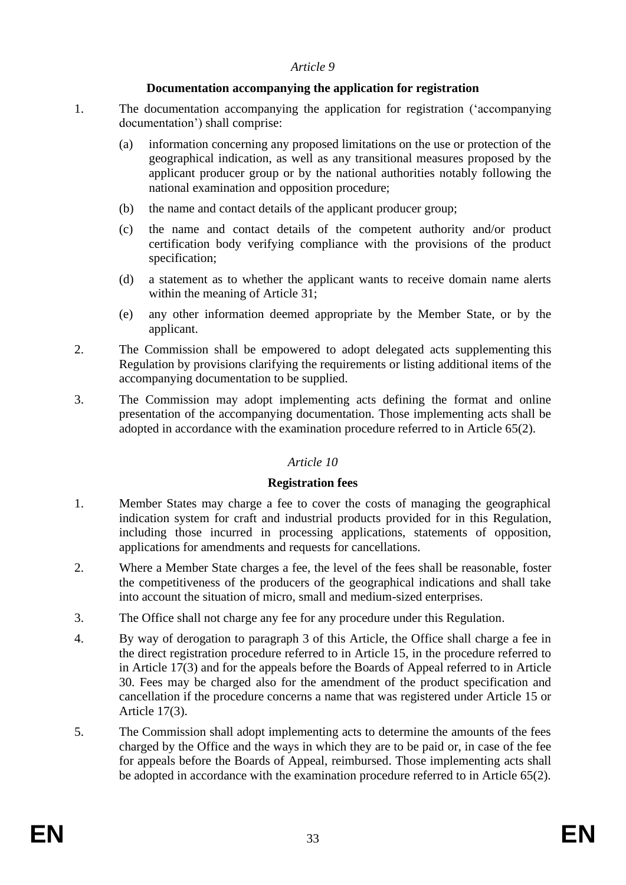#### *Article 9*

# **Documentation accompanying the application for registration**

- 1. The documentation accompanying the application for registration ('accompanying documentation') shall comprise:
	- (a) information concerning any proposed limitations on the use or protection of the geographical indication, as well as any transitional measures proposed by the applicant producer group or by the national authorities notably following the national examination and opposition procedure;
	- (b) the name and contact details of the applicant producer group;
	- (c) the name and contact details of the competent authority and/or product certification body verifying compliance with the provisions of the product specification;
	- (d) a statement as to whether the applicant wants to receive domain name alerts within the meaning of Article 31;
	- (e) any other information deemed appropriate by the Member State, or by the applicant.
- 2. The Commission shall be empowered to adopt delegated acts supplementing this Regulation by provisions clarifying the requirements or listing additional items of the accompanying documentation to be supplied.
- 3. The Commission may adopt implementing acts defining the format and online presentation of the accompanying documentation. Those implementing acts shall be adopted in accordance with the examination procedure referred to in Article 65(2).

# *Article 10*

# **Registration fees**

- 1. Member States may charge a fee to cover the costs of managing the geographical indication system for craft and industrial products provided for in this Regulation, including those incurred in processing applications, statements of opposition, applications for amendments and requests for cancellations.
- 2. Where a Member State charges a fee, the level of the fees shall be reasonable, foster the competitiveness of the producers of the geographical indications and shall take into account the situation of micro, small and medium-sized enterprises.
- 3. The Office shall not charge any fee for any procedure under this Regulation.
- 4. By way of derogation to paragraph 3 of this Article, the Office shall charge a fee in the direct registration procedure referred to in Article 15, in the procedure referred to in Article 17(3) and for the appeals before the Boards of Appeal referred to in Article 30. Fees may be charged also for the amendment of the product specification and cancellation if the procedure concerns a name that was registered under Article 15 or Article 17(3).
- 5. The Commission shall adopt implementing acts to determine the amounts of the fees charged by the Office and the ways in which they are to be paid or, in case of the fee for appeals before the Boards of Appeal, reimbursed. Those implementing acts shall be adopted in accordance with the examination procedure referred to in Article 65(2).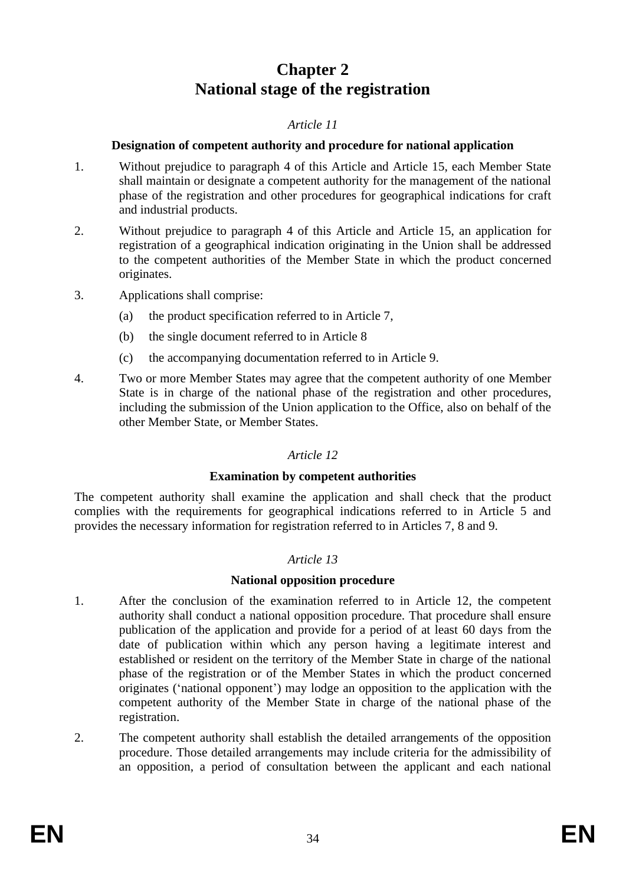# **Chapter 2 National stage of the registration**

## *Article 11*

#### **Designation of competent authority and procedure for national application**

- 1. Without prejudice to paragraph 4 of this Article and Article 15, each Member State shall maintain or designate a competent authority for the management of the national phase of the registration and other procedures for geographical indications for craft and industrial products.
- 2. Without prejudice to paragraph 4 of this Article and Article 15, an application for registration of a geographical indication originating in the Union shall be addressed to the competent authorities of the Member State in which the product concerned originates.
- 3. Applications shall comprise:
	- (a) the product specification referred to in Article 7,
	- (b) the single document referred to in Article 8
	- (c) the accompanying documentation referred to in Article 9.
- 4. Two or more Member States may agree that the competent authority of one Member State is in charge of the national phase of the registration and other procedures, including the submission of the Union application to the Office, also on behalf of the other Member State, or Member States.

# *Article 12*

#### **Examination by competent authorities**

The competent authority shall examine the application and shall check that the product complies with the requirements for geographical indications referred to in Article 5 and provides the necessary information for registration referred to in Articles 7, 8 and 9.

#### *Article 13*

#### **National opposition procedure**

- 1. After the conclusion of the examination referred to in Article 12, the competent authority shall conduct a national opposition procedure. That procedure shall ensure publication of the application and provide for a period of at least 60 days from the date of publication within which any person having a legitimate interest and established or resident on the territory of the Member State in charge of the national phase of the registration or of the Member States in which the product concerned originates ('national opponent') may lodge an opposition to the application with the competent authority of the Member State in charge of the national phase of the registration.
- 2. The competent authority shall establish the detailed arrangements of the opposition procedure. Those detailed arrangements may include criteria for the admissibility of an opposition, a period of consultation between the applicant and each national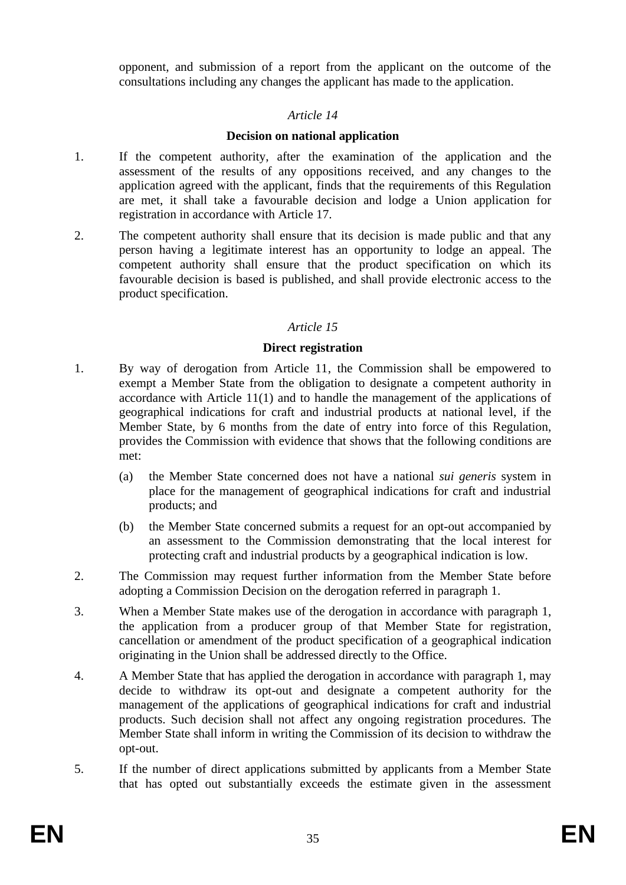opponent, and submission of a report from the applicant on the outcome of the consultations including any changes the applicant has made to the application.

#### *Article 14*

## **Decision on national application**

- 1. If the competent authority, after the examination of the application and the assessment of the results of any oppositions received, and any changes to the application agreed with the applicant, finds that the requirements of this Regulation are met, it shall take a favourable decision and lodge a Union application for registration in accordance with Article 17.
- 2. The competent authority shall ensure that its decision is made public and that any person having a legitimate interest has an opportunity to lodge an appeal. The competent authority shall ensure that the product specification on which its favourable decision is based is published, and shall provide electronic access to the product specification.

## *Article 15*

## **Direct registration**

- 1. By way of derogation from Article 11, the Commission shall be empowered to exempt a Member State from the obligation to designate a competent authority in accordance with Article 11(1) and to handle the management of the applications of geographical indications for craft and industrial products at national level, if the Member State, by 6 months from the date of entry into force of this Regulation, provides the Commission with evidence that shows that the following conditions are met:
	- (a) the Member State concerned does not have a national *sui generis* system in place for the management of geographical indications for craft and industrial products; and
	- (b) the Member State concerned submits a request for an opt-out accompanied by an assessment to the Commission demonstrating that the local interest for protecting craft and industrial products by a geographical indication is low.
- 2. The Commission may request further information from the Member State before adopting a Commission Decision on the derogation referred in paragraph 1.
- 3. When a Member State makes use of the derogation in accordance with paragraph 1, the application from a producer group of that Member State for registration, cancellation or amendment of the product specification of a geographical indication originating in the Union shall be addressed directly to the Office.
- 4. A Member State that has applied the derogation in accordance with paragraph 1, may decide to withdraw its opt-out and designate a competent authority for the management of the applications of geographical indications for craft and industrial products. Such decision shall not affect any ongoing registration procedures. The Member State shall inform in writing the Commission of its decision to withdraw the opt-out.
- 5. If the number of direct applications submitted by applicants from a Member State that has opted out substantially exceeds the estimate given in the assessment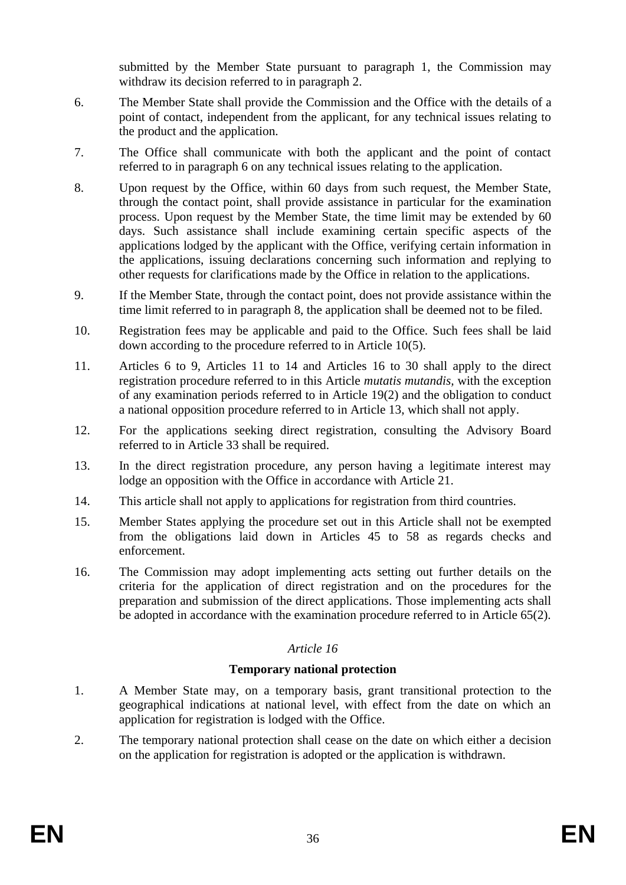submitted by the Member State pursuant to paragraph 1, the Commission may withdraw its decision referred to in paragraph 2.

- 6. The Member State shall provide the Commission and the Office with the details of a point of contact, independent from the applicant, for any technical issues relating to the product and the application.
- 7. The Office shall communicate with both the applicant and the point of contact referred to in paragraph 6 on any technical issues relating to the application.
- 8. Upon request by the Office, within 60 days from such request, the Member State, through the contact point, shall provide assistance in particular for the examination process. Upon request by the Member State, the time limit may be extended by 60 days. Such assistance shall include examining certain specific aspects of the applications lodged by the applicant with the Office, verifying certain information in the applications, issuing declarations concerning such information and replying to other requests for clarifications made by the Office in relation to the applications.
- 9. If the Member State, through the contact point, does not provide assistance within the time limit referred to in paragraph 8, the application shall be deemed not to be filed.
- 10. Registration fees may be applicable and paid to the Office. Such fees shall be laid down according to the procedure referred to in Article 10(5).
- 11. Articles 6 to 9, Articles 11 to 14 and Articles 16 to 30 shall apply to the direct registration procedure referred to in this Article *mutatis mutandis,* with the exception of any examination periods referred to in Article 19(2) and the obligation to conduct a national opposition procedure referred to in Article 13, which shall not apply.
- 12. For the applications seeking direct registration, consulting the Advisory Board referred to in Article 33 shall be required.
- 13. In the direct registration procedure, any person having a legitimate interest may lodge an opposition with the Office in accordance with Article 21.
- 14. This article shall not apply to applications for registration from third countries.
- 15. Member States applying the procedure set out in this Article shall not be exempted from the obligations laid down in Articles 45 to 58 as regards checks and enforcement.
- 16. The Commission may adopt implementing acts setting out further details on the criteria for the application of direct registration and on the procedures for the preparation and submission of the direct applications. Those implementing acts shall be adopted in accordance with the examination procedure referred to in Article 65(2).

# *Article 16*

#### **Temporary national protection**

- 1. A Member State may, on a temporary basis, grant transitional protection to the geographical indications at national level, with effect from the date on which an application for registration is lodged with the Office.
- 2. The temporary national protection shall cease on the date on which either a decision on the application for registration is adopted or the application is withdrawn.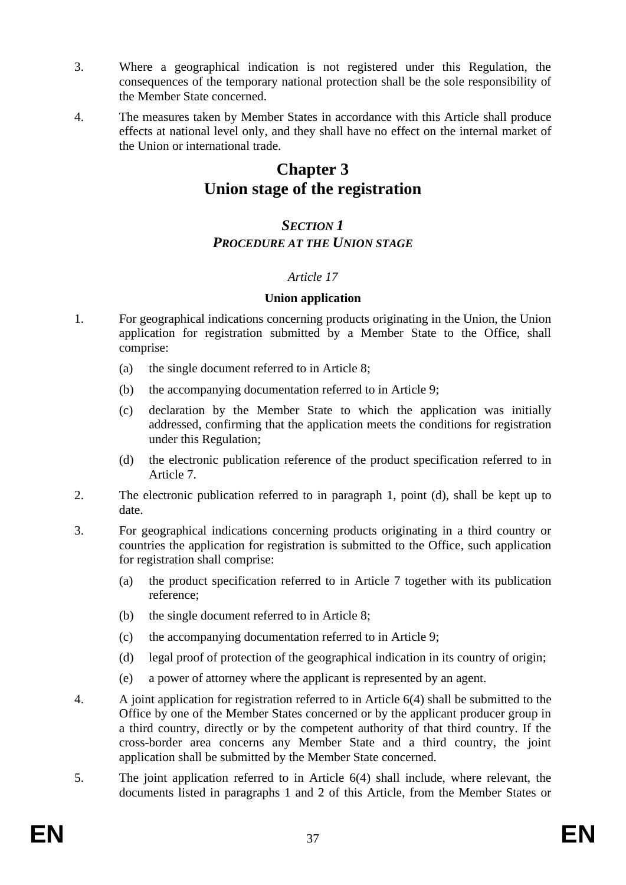- 3. Where a geographical indication is not registered under this Regulation, the consequences of the temporary national protection shall be the sole responsibility of the Member State concerned.
- 4. The measures taken by Member States in accordance with this Article shall produce effects at national level only, and they shall have no effect on the internal market of the Union or international trade.

# **Chapter 3 Union stage of the registration**

# *SECTION 1 PROCEDURE AT THE UNION STAGE*

# *Article 17*

#### **Union application**

- 1. For geographical indications concerning products originating in the Union, the Union application for registration submitted by a Member State to the Office, shall comprise:
	- (a) the single document referred to in Article 8;
	- (b) the accompanying documentation referred to in Article 9;
	- (c) declaration by the Member State to which the application was initially addressed, confirming that the application meets the conditions for registration under this Regulation;
	- (d) the electronic publication reference of the product specification referred to in Article 7.
- 2. The electronic publication referred to in paragraph 1, point (d), shall be kept up to date.
- 3. For geographical indications concerning products originating in a third country or countries the application for registration is submitted to the Office, such application for registration shall comprise:
	- (a) the product specification referred to in Article 7 together with its publication reference;
	- (b) the single document referred to in Article 8;
	- (c) the accompanying documentation referred to in Article 9;
	- (d) legal proof of protection of the geographical indication in its country of origin;
	- (e) a power of attorney where the applicant is represented by an agent.
- 4. A joint application for registration referred to in Article 6(4) shall be submitted to the Office by one of the Member States concerned or by the applicant producer group in a third country, directly or by the competent authority of that third country. If the cross-border area concerns any Member State and a third country, the joint application shall be submitted by the Member State concerned.
- 5. The joint application referred to in Article 6(4) shall include, where relevant, the documents listed in paragraphs 1 and 2 of this Article, from the Member States or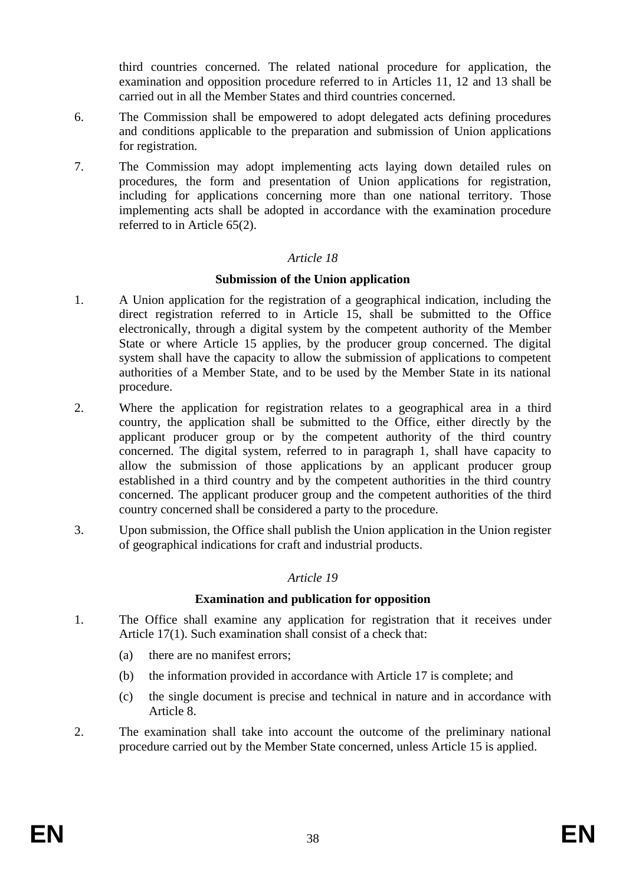third countries concerned. The related national procedure for application, the examination and opposition procedure referred to in Articles 11, 12 and 13 shall be carried out in all the Member States and third countries concerned.

- 6. The Commission shall be empowered to adopt delegated acts defining procedures and conditions applicable to the preparation and submission of Union applications for registration.
- 7. The Commission may adopt implementing acts laying down detailed rules on procedures, the form and presentation of Union applications for registration, including for applications concerning more than one national territory. Those implementing acts shall be adopted in accordance with the examination procedure referred to in Article 65(2).

# *Article 18*

# **Submission of the Union application**

- 1. A Union application for the registration of a geographical indication, including the direct registration referred to in Article 15, shall be submitted to the Office electronically, through a digital system by the competent authority of the Member State or where Article 15 applies, by the producer group concerned. The digital system shall have the capacity to allow the submission of applications to competent authorities of a Member State, and to be used by the Member State in its national procedure.
- 2. Where the application for registration relates to a geographical area in a third country, the application shall be submitted to the Office, either directly by the applicant producer group or by the competent authority of the third country concerned. The digital system, referred to in paragraph 1, shall have capacity to allow the submission of those applications by an applicant producer group established in a third country and by the competent authorities in the third country concerned. The applicant producer group and the competent authorities of the third country concerned shall be considered a party to the procedure.
- 3. Upon submission, the Office shall publish the Union application in the Union register of geographical indications for craft and industrial products.

# *Article 19*

#### **Examination and publication for opposition**

- 1. The Office shall examine any application for registration that it receives under Article 17(1). Such examination shall consist of a check that:
	- (a) there are no manifest errors;
	- (b) the information provided in accordance with Article 17 is complete; and
	- (c) the single document is precise and technical in nature and in accordance with Article 8.
- 2. The examination shall take into account the outcome of the preliminary national procedure carried out by the Member State concerned, unless Article 15 is applied.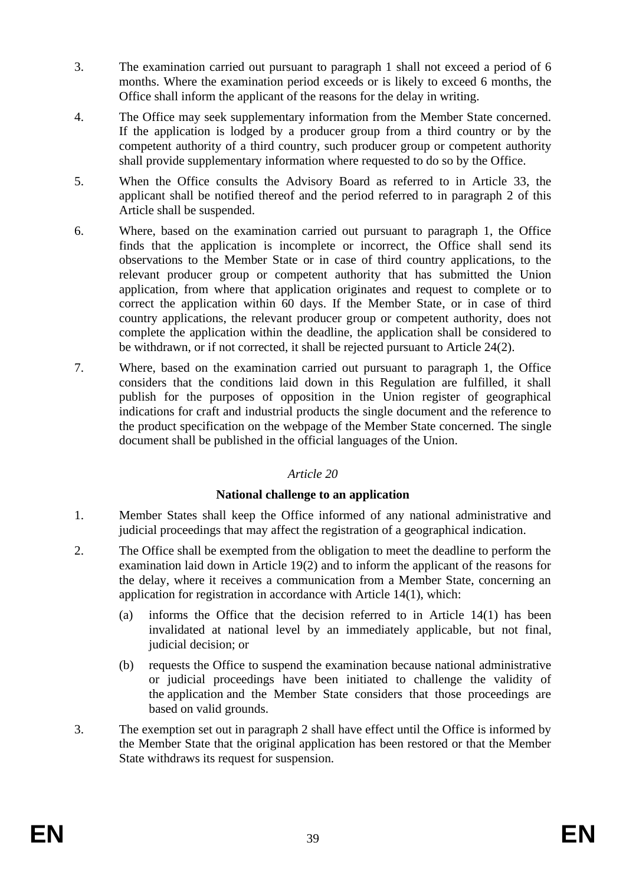- 3. The examination carried out pursuant to paragraph 1 shall not exceed a period of 6 months. Where the examination period exceeds or is likely to exceed 6 months, the Office shall inform the applicant of the reasons for the delay in writing.
- 4. The Office may seek supplementary information from the Member State concerned. If the application is lodged by a producer group from a third country or by the competent authority of a third country, such producer group or competent authority shall provide supplementary information where requested to do so by the Office.
- 5. When the Office consults the Advisory Board as referred to in Article 33, the applicant shall be notified thereof and the period referred to in paragraph 2 of this Article shall be suspended.
- 6. Where, based on the examination carried out pursuant to paragraph 1, the Office finds that the application is incomplete or incorrect, the Office shall send its observations to the Member State or in case of third country applications, to the relevant producer group or competent authority that has submitted the Union application, from where that application originates and request to complete or to correct the application within 60 days. If the Member State, or in case of third country applications, the relevant producer group or competent authority, does not complete the application within the deadline, the application shall be considered to be withdrawn, or if not corrected, it shall be rejected pursuant to Article 24(2).
- 7. Where, based on the examination carried out pursuant to paragraph 1, the Office considers that the conditions laid down in this Regulation are fulfilled, it shall publish for the purposes of opposition in the Union register of geographical indications for craft and industrial products the single document and the reference to the product specification on the webpage of the Member State concerned. The single document shall be published in the official languages of the Union.

# **National challenge to an application**

- 1. Member States shall keep the Office informed of any national administrative and judicial proceedings that may affect the registration of a geographical indication.
- 2. The Office shall be exempted from the obligation to meet the deadline to perform the examination laid down in Article 19(2) and to inform the applicant of the reasons for the delay, where it receives a communication from a Member State, concerning an application for registration in accordance with Article 14(1), which:
	- (a) informs the Office that the decision referred to in Article 14(1) has been invalidated at national level by an immediately applicable, but not final, judicial decision; or
	- (b) requests the Office to suspend the examination because national administrative or judicial proceedings have been initiated to challenge the validity of the application and the Member State considers that those proceedings are based on valid grounds.
- 3. The exemption set out in paragraph 2 shall have effect until the Office is informed by the Member State that the original application has been restored or that the Member State withdraws its request for suspension.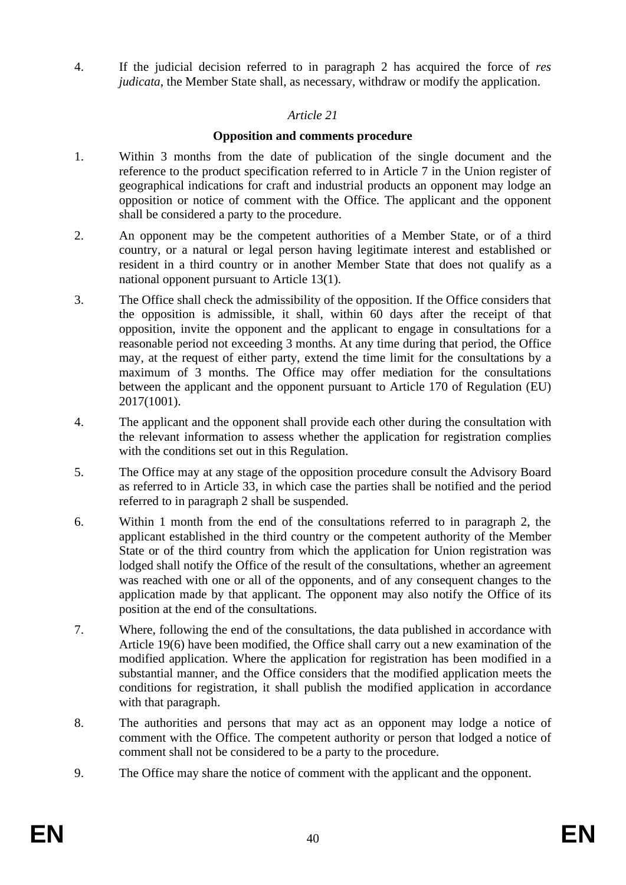4. If the judicial decision referred to in paragraph 2 has acquired the force of *res judicata*, the Member State shall, as necessary, withdraw or modify the application.

# *Article 21*

# **Opposition and comments procedure**

- 1. Within 3 months from the date of publication of the single document and the reference to the product specification referred to in Article 7 in the Union register of geographical indications for craft and industrial products an opponent may lodge an opposition or notice of comment with the Office. The applicant and the opponent shall be considered a party to the procedure.
- 2. An opponent may be the competent authorities of a Member State, or of a third country, or a natural or legal person having legitimate interest and established or resident in a third country or in another Member State that does not qualify as a national opponent pursuant to Article 13(1).
- 3. The Office shall check the admissibility of the opposition. If the Office considers that the opposition is admissible, it shall, within 60 days after the receipt of that opposition, invite the opponent and the applicant to engage in consultations for a reasonable period not exceeding 3 months. At any time during that period, the Office may, at the request of either party, extend the time limit for the consultations by a maximum of 3 months. The Office may offer mediation for the consultations between the applicant and the opponent pursuant to Article 170 of Regulation (EU) 2017(1001).
- 4. The applicant and the opponent shall provide each other during the consultation with the relevant information to assess whether the application for registration complies with the conditions set out in this Regulation.
- 5. The Office may at any stage of the opposition procedure consult the Advisory Board as referred to in Article 33, in which case the parties shall be notified and the period referred to in paragraph 2 shall be suspended.
- 6. Within 1 month from the end of the consultations referred to in paragraph 2, the applicant established in the third country or the competent authority of the Member State or of the third country from which the application for Union registration was lodged shall notify the Office of the result of the consultations, whether an agreement was reached with one or all of the opponents, and of any consequent changes to the application made by that applicant. The opponent may also notify the Office of its position at the end of the consultations.
- 7. Where, following the end of the consultations, the data published in accordance with Article 19(6) have been modified, the Office shall carry out a new examination of the modified application. Where the application for registration has been modified in a substantial manner, and the Office considers that the modified application meets the conditions for registration, it shall publish the modified application in accordance with that paragraph.
- 8. The authorities and persons that may act as an opponent may lodge a notice of comment with the Office. The competent authority or person that lodged a notice of comment shall not be considered to be a party to the procedure.
- 9. The Office may share the notice of comment with the applicant and the opponent.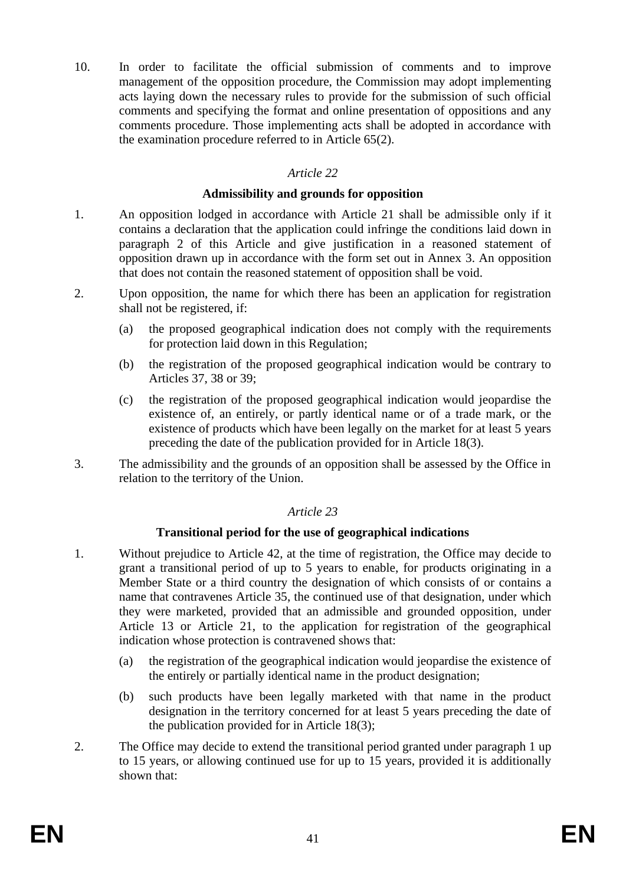10. In order to facilitate the official submission of comments and to improve management of the opposition procedure, the Commission may adopt implementing acts laying down the necessary rules to provide for the submission of such official comments and specifying the format and online presentation of oppositions and any comments procedure. Those implementing acts shall be adopted in accordance with the examination procedure referred to in Article 65(2).

# *Article 22*

# **Admissibility and grounds for opposition**

- 1. An opposition lodged in accordance with Article 21 shall be admissible only if it contains a declaration that the application could infringe the conditions laid down in paragraph 2 of this Article and give justification in a reasoned statement of opposition drawn up in accordance with the form set out in Annex 3. An opposition that does not contain the reasoned statement of opposition shall be void.
- 2. Upon opposition, the name for which there has been an application for registration shall not be registered, if:
	- (a) the proposed geographical indication does not comply with the requirements for protection laid down in this Regulation;
	- (b) the registration of the proposed geographical indication would be contrary to Articles 37, 38 or 39;
	- (c) the registration of the proposed geographical indication would jeopardise the existence of, an entirely, or partly identical name or of a trade mark, or the existence of products which have been legally on the market for at least 5 years preceding the date of the publication provided for in Article 18(3).
- 3. The admissibility and the grounds of an opposition shall be assessed by the Office in relation to the territory of the Union.

# *Article 23*

# **Transitional period for the use of geographical indications**

- 1. Without prejudice to Article 42, at the time of registration, the Office may decide to grant a transitional period of up to 5 years to enable, for products originating in a Member State or a third country the designation of which consists of or contains a name that contravenes Article 35, the continued use of that designation, under which they were marketed, provided that an admissible and grounded opposition, under Article 13 or Article 21, to the application for registration of the geographical indication whose protection is contravened shows that:
	- (a) the registration of the geographical indication would jeopardise the existence of the entirely or partially identical name in the product designation;
	- (b) such products have been legally marketed with that name in the product designation in the territory concerned for at least 5 years preceding the date of the publication provided for in Article 18(3);
- 2. The Office may decide to extend the transitional period granted under paragraph 1 up to 15 years, or allowing continued use for up to 15 years, provided it is additionally shown that: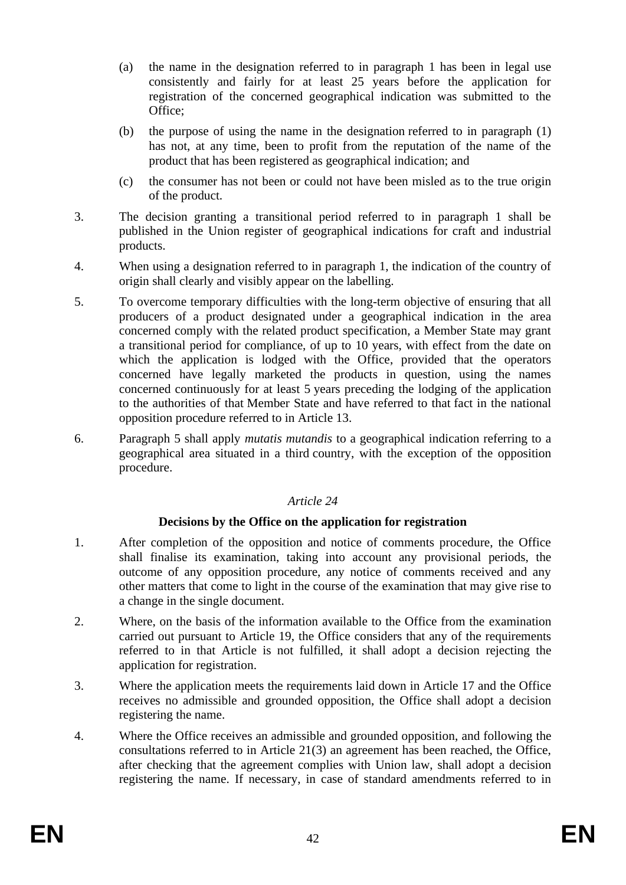- (a) the name in the designation referred to in paragraph 1 has been in legal use consistently and fairly for at least 25 years before the application for registration of the concerned geographical indication was submitted to the Office;
- (b) the purpose of using the name in the designation referred to in paragraph (1) has not, at any time, been to profit from the reputation of the name of the product that has been registered as geographical indication; and
- (c) the consumer has not been or could not have been misled as to the true origin of the product.
- 3. The decision granting a transitional period referred to in paragraph 1 shall be published in the Union register of geographical indications for craft and industrial products.
- 4. When using a designation referred to in paragraph 1, the indication of the country of origin shall clearly and visibly appear on the labelling.
- 5. To overcome temporary difficulties with the long-term objective of ensuring that all producers of a product designated under a geographical indication in the area concerned comply with the related product specification, a Member State may grant a transitional period for compliance, of up to 10 years, with effect from the date on which the application is lodged with the Office, provided that the operators concerned have legally marketed the products in question, using the names concerned continuously for at least 5 years preceding the lodging of the application to the authorities of that Member State and have referred to that fact in the national opposition procedure referred to in Article 13.
- 6. Paragraph 5 shall apply *mutatis mutandis* to a geographical indication referring to a geographical area situated in a third country, with the exception of the opposition procedure.

# **Decisions by the Office on the application for registration**

- 1. After completion of the opposition and notice of comments procedure, the Office shall finalise its examination, taking into account any provisional periods, the outcome of any opposition procedure, any notice of comments received and any other matters that come to light in the course of the examination that may give rise to a change in the single document.
- 2. Where, on the basis of the information available to the Office from the examination carried out pursuant to Article 19, the Office considers that any of the requirements referred to in that Article is not fulfilled, it shall adopt a decision rejecting the application for registration.
- 3. Where the application meets the requirements laid down in Article 17 and the Office receives no admissible and grounded opposition, the Office shall adopt a decision registering the name.
- 4. Where the Office receives an admissible and grounded opposition, and following the consultations referred to in Article 21(3) an agreement has been reached, the Office, after checking that the agreement complies with Union law, shall adopt a decision registering the name. If necessary, in case of standard amendments referred to in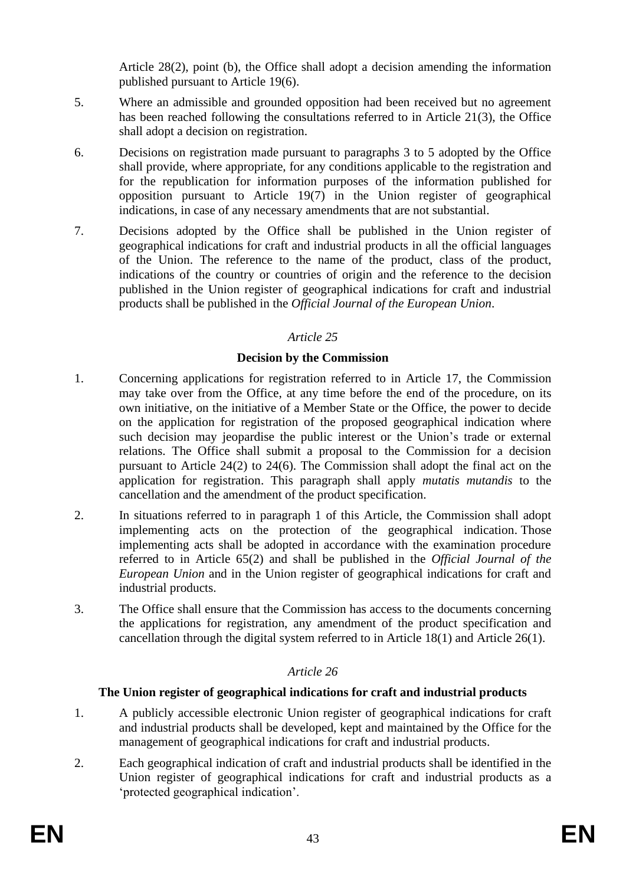Article 28(2), point (b), the Office shall adopt a decision amending the information published pursuant to Article 19(6).

- 5. Where an admissible and grounded opposition had been received but no agreement has been reached following the consultations referred to in Article 21(3), the Office shall adopt a decision on registration.
- 6. Decisions on registration made pursuant to paragraphs 3 to 5 adopted by the Office shall provide, where appropriate, for any conditions applicable to the registration and for the republication for information purposes of the information published for opposition pursuant to Article 19(7) in the Union register of geographical indications, in case of any necessary amendments that are not substantial.
- 7. Decisions adopted by the Office shall be published in the Union register of geographical indications for craft and industrial products in all the official languages of the Union. The reference to the name of the product, class of the product, indications of the country or countries of origin and the reference to the decision published in the Union register of geographical indications for craft and industrial products shall be published in the *Official Journal of the European Union*.

# *Article 25*

# **Decision by the Commission**

- 1. Concerning applications for registration referred to in Article 17, the Commission may take over from the Office, at any time before the end of the procedure, on its own initiative, on the initiative of a Member State or the Office, the power to decide on the application for registration of the proposed geographical indication where such decision may jeopardise the public interest or the Union's trade or external relations. The Office shall submit a proposal to the Commission for a decision pursuant to Article 24(2) to 24(6). The Commission shall adopt the final act on the application for registration. This paragraph shall apply *mutatis mutandis* to the cancellation and the amendment of the product specification.
- 2. In situations referred to in paragraph 1 of this Article, the Commission shall adopt implementing acts on the protection of the geographical indication. Those implementing acts shall be adopted in accordance with the examination procedure referred to in Article 65(2) and shall be published in the *Official Journal of the European Union* and in the Union register of geographical indications for craft and industrial products.
- 3. The Office shall ensure that the Commission has access to the documents concerning the applications for registration, any amendment of the product specification and cancellation through the digital system referred to in Article 18(1) and Article 26(1).

# *Article 26*

# **The Union register of geographical indications for craft and industrial products**

- 1. A publicly accessible electronic Union register of geographical indications for craft and industrial products shall be developed, kept and maintained by the Office for the management of geographical indications for craft and industrial products.
- 2. Each geographical indication of craft and industrial products shall be identified in the Union register of geographical indications for craft and industrial products as a 'protected geographical indication'.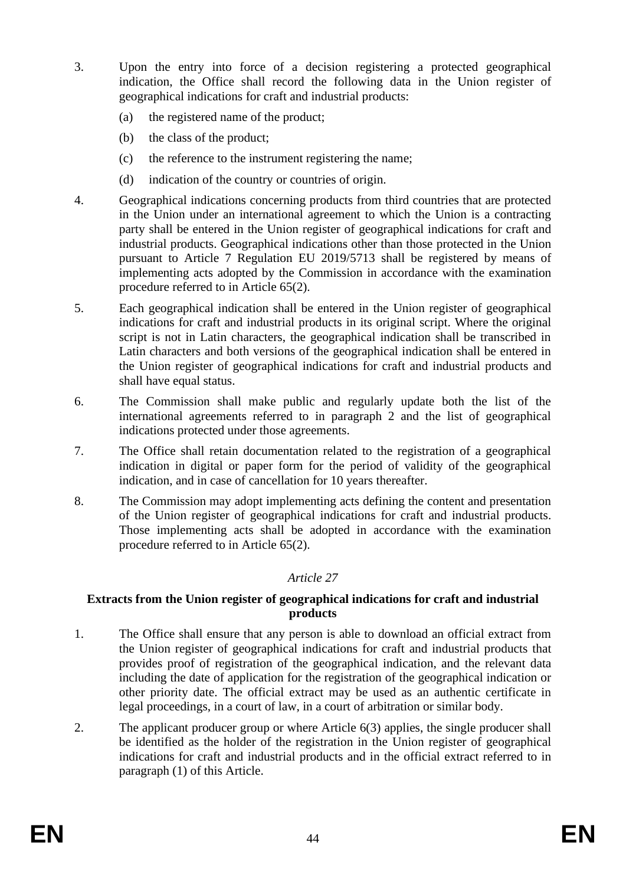- 3. Upon the entry into force of a decision registering a protected geographical indication, the Office shall record the following data in the Union register of geographical indications for craft and industrial products:
	- (a) the registered name of the product;
	- (b) the class of the product;
	- (c) the reference to the instrument registering the name;
	- (d) indication of the country or countries of origin.
- 4. Geographical indications concerning products from third countries that are protected in the Union under an international agreement to which the Union is a contracting party shall be entered in the Union register of geographical indications for craft and industrial products. Geographical indications other than those protected in the Union pursuant to Article 7 Regulation EU 2019/5713 shall be registered by means of implementing acts adopted by the Commission in accordance with the examination procedure referred to in Article 65(2).
- 5. Each geographical indication shall be entered in the Union register of geographical indications for craft and industrial products in its original script. Where the original script is not in Latin characters, the geographical indication shall be transcribed in Latin characters and both versions of the geographical indication shall be entered in the Union register of geographical indications for craft and industrial products and shall have equal status.
- 6. The Commission shall make public and regularly update both the list of the international agreements referred to in paragraph 2 and the list of geographical indications protected under those agreements.
- 7. The Office shall retain documentation related to the registration of a geographical indication in digital or paper form for the period of validity of the geographical indication, and in case of cancellation for 10 years thereafter.
- 8. The Commission may adopt implementing acts defining the content and presentation of the Union register of geographical indications for craft and industrial products. Those implementing acts shall be adopted in accordance with the examination procedure referred to in Article 65(2).

#### **Extracts from the Union register of geographical indications for craft and industrial products**

- 1. The Office shall ensure that any person is able to download an official extract from the Union register of geographical indications for craft and industrial products that provides proof of registration of the geographical indication, and the relevant data including the date of application for the registration of the geographical indication or other priority date. The official extract may be used as an authentic certificate in legal proceedings, in a court of law, in a court of arbitration or similar body.
- 2. The applicant producer group or where Article 6(3) applies, the single producer shall be identified as the holder of the registration in the Union register of geographical indications for craft and industrial products and in the official extract referred to in paragraph (1) of this Article.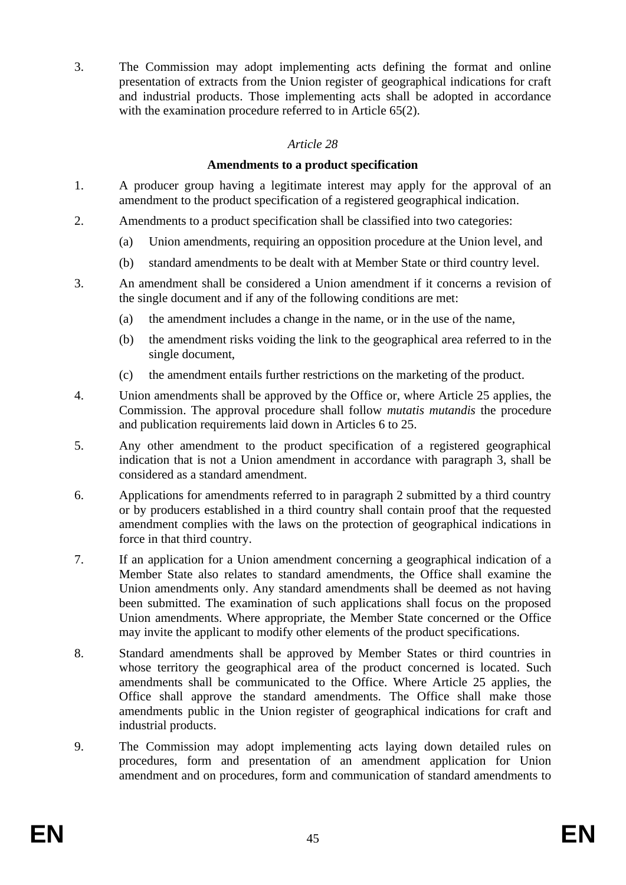3. The Commission may adopt implementing acts defining the format and online presentation of extracts from the Union register of geographical indications for craft and industrial products. Those implementing acts shall be adopted in accordance with the examination procedure referred to in Article 65(2).

# *Article 28*

#### **Amendments to a product specification**

- 1. A producer group having a legitimate interest may apply for the approval of an amendment to the product specification of a registered geographical indication.
- 2. Amendments to a product specification shall be classified into two categories:
	- (a) Union amendments, requiring an opposition procedure at the Union level, and
	- (b) standard amendments to be dealt with at Member State or third country level.
- 3. An amendment shall be considered a Union amendment if it concerns a revision of the single document and if any of the following conditions are met:
	- (a) the amendment includes a change in the name, or in the use of the name,
	- (b) the amendment risks voiding the link to the geographical area referred to in the single document,
	- (c) the amendment entails further restrictions on the marketing of the product.
- 4. Union amendments shall be approved by the Office or, where Article 25 applies, the Commission. The approval procedure shall follow *mutatis mutandis* the procedure and publication requirements laid down in Articles 6 to 25.
- 5. Any other amendment to the product specification of a registered geographical indication that is not a Union amendment in accordance with paragraph 3, shall be considered as a standard amendment.
- 6. Applications for amendments referred to in paragraph 2 submitted by a third country or by producers established in a third country shall contain proof that the requested amendment complies with the laws on the protection of geographical indications in force in that third country.
- 7. If an application for a Union amendment concerning a geographical indication of a Member State also relates to standard amendments, the Office shall examine the Union amendments only. Any standard amendments shall be deemed as not having been submitted. The examination of such applications shall focus on the proposed Union amendments. Where appropriate, the Member State concerned or the Office may invite the applicant to modify other elements of the product specifications.
- 8. Standard amendments shall be approved by Member States or third countries in whose territory the geographical area of the product concerned is located. Such amendments shall be communicated to the Office. Where Article 25 applies, the Office shall approve the standard amendments. The Office shall make those amendments public in the Union register of geographical indications for craft and industrial products.
- 9. The Commission may adopt implementing acts laying down detailed rules on procedures, form and presentation of an amendment application for Union amendment and on procedures, form and communication of standard amendments to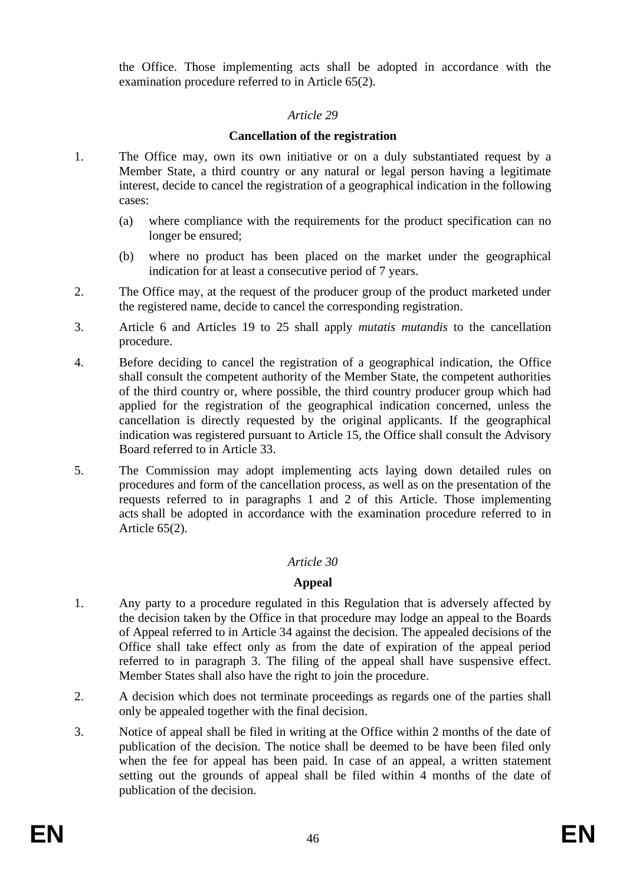the Office. Those implementing acts shall be adopted in accordance with the examination procedure referred to in Article 65(2).

# *Article 29*

# **Cancellation of the registration**

- 1. The Office may, own its own initiative or on a duly substantiated request by a Member State, a third country or any natural or legal person having a legitimate interest, decide to cancel the registration of a geographical indication in the following cases:
	- (a) where compliance with the requirements for the product specification can no longer be ensured;
	- (b) where no product has been placed on the market under the geographical indication for at least a consecutive period of 7 years.
- 2. The Office may, at the request of the producer group of the product marketed under the registered name, decide to cancel the corresponding registration.
- 3. Article 6 and Articles 19 to 25 shall apply *mutatis mutandis* to the cancellation procedure.
- 4. Before deciding to cancel the registration of a geographical indication, the Office shall consult the competent authority of the Member State, the competent authorities of the third country or, where possible, the third country producer group which had applied for the registration of the geographical indication concerned, unless the cancellation is directly requested by the original applicants. If the geographical indication was registered pursuant to Article 15, the Office shall consult the Advisory Board referred to in Article 33.
- 5. The Commission may adopt implementing acts laying down detailed rules on procedures and form of the cancellation process, as well as on the presentation of the requests referred to in paragraphs 1 and 2 of this Article. Those implementing acts shall be adopted in accordance with the examination procedure referred to in Article 65(2).

# *Article 30*

# **Appeal**

- 1. Any party to a procedure regulated in this Regulation that is adversely affected by the decision taken by the Office in that procedure may lodge an appeal to the Boards of Appeal referred to in Article 34 against the decision. The appealed decisions of the Office shall take effect only as from the date of expiration of the appeal period referred to in paragraph 3. The filing of the appeal shall have suspensive effect. Member States shall also have the right to join the procedure.
- 2. A decision which does not terminate proceedings as regards one of the parties shall only be appealed together with the final decision.
- 3. Notice of appeal shall be filed in writing at the Office within 2 months of the date of publication of the decision. The notice shall be deemed to be have been filed only when the fee for appeal has been paid. In case of an appeal, a written statement setting out the grounds of appeal shall be filed within 4 months of the date of publication of the decision.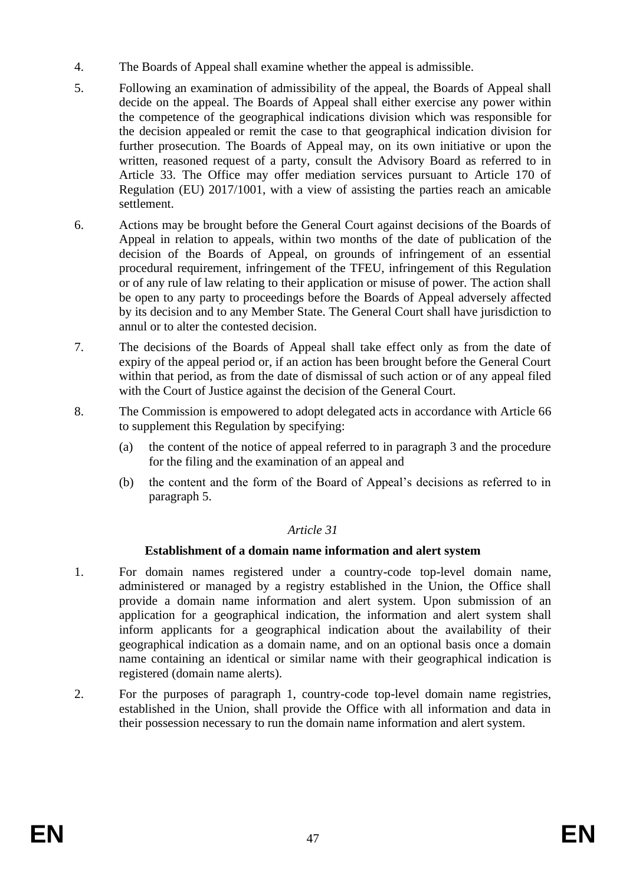- 4. The Boards of Appeal shall examine whether the appeal is admissible.
- 5. Following an examination of admissibility of the appeal, the Boards of Appeal shall decide on the appeal. The Boards of Appeal shall either exercise any power within the competence of the geographical indications division which was responsible for the decision appealed or remit the case to that geographical indication division for further prosecution. The Boards of Appeal may, on its own initiative or upon the written, reasoned request of a party, consult the Advisory Board as referred to in Article 33. The Office may offer mediation services pursuant to Article 170 of Regulation (EU) 2017/1001, with a view of assisting the parties reach an amicable settlement.
- 6. Actions may be brought before the General Court against decisions of the Boards of Appeal in relation to appeals, within two months of the date of publication of the decision of the Boards of Appeal, on grounds of infringement of an essential procedural requirement, infringement of the TFEU, infringement of this Regulation or of any rule of law relating to their application or misuse of power. The action shall be open to any party to proceedings before the Boards of Appeal adversely affected by its decision and to any Member State. The General Court shall have jurisdiction to annul or to alter the contested decision.
- 7. The decisions of the Boards of Appeal shall take effect only as from the date of expiry of the appeal period or, if an action has been brought before the General Court within that period, as from the date of dismissal of such action or of any appeal filed with the Court of Justice against the decision of the General Court.
- 8. The Commission is empowered to adopt delegated acts in accordance with Article 66 to supplement this Regulation by specifying:
	- (a) the content of the notice of appeal referred to in paragraph 3 and the procedure for the filing and the examination of an appeal and
	- (b) the content and the form of the Board of Appeal's decisions as referred to in paragraph 5.

# **Establishment of a domain name information and alert system**

- 1. For domain names registered under a country-code top-level domain name, administered or managed by a registry established in the Union, the Office shall provide a domain name information and alert system. Upon submission of an application for a geographical indication, the information and alert system shall inform applicants for a geographical indication about the availability of their geographical indication as a domain name, and on an optional basis once a domain name containing an identical or similar name with their geographical indication is registered (domain name alerts).
- 2. For the purposes of paragraph 1, country-code top-level domain name registries, established in the Union, shall provide the Office with all information and data in their possession necessary to run the domain name information and alert system.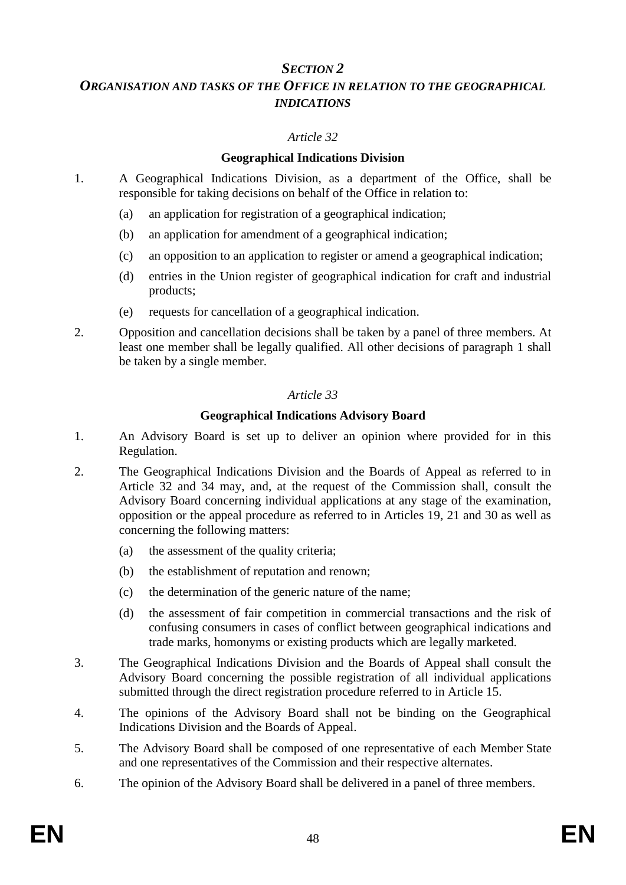# *SECTION 2*

# *ORGANISATION AND TASKS OF THE OFFICE IN RELATION TO THE GEOGRAPHICAL INDICATIONS*

# *Article 32*

# **Geographical Indications Division**

- 1. A Geographical Indications Division, as a department of the Office, shall be responsible for taking decisions on behalf of the Office in relation to:
	- (a) an application for registration of a geographical indication;
	- (b) an application for amendment of a geographical indication;
	- (c) an opposition to an application to register or amend a geographical indication;
	- (d) entries in the Union register of geographical indication for craft and industrial products;
	- (e) requests for cancellation of a geographical indication.
- 2. Opposition and cancellation decisions shall be taken by a panel of three members. At least one member shall be legally qualified. All other decisions of paragraph 1 shall be taken by a single member.

# *Article 33*

# **Geographical Indications Advisory Board**

- 1. An Advisory Board is set up to deliver an opinion where provided for in this Regulation.
- 2. The Geographical Indications Division and the Boards of Appeal as referred to in Article 32 and 34 may, and, at the request of the Commission shall, consult the Advisory Board concerning individual applications at any stage of the examination, opposition or the appeal procedure as referred to in Articles 19, 21 and 30 as well as concerning the following matters:
	- (a) the assessment of the quality criteria;
	- (b) the establishment of reputation and renown;
	- (c) the determination of the generic nature of the name;
	- (d) the assessment of fair competition in commercial transactions and the risk of confusing consumers in cases of conflict between geographical indications and trade marks, homonyms or existing products which are legally marketed.
- 3. The Geographical Indications Division and the Boards of Appeal shall consult the Advisory Board concerning the possible registration of all individual applications submitted through the direct registration procedure referred to in Article 15.
- 4. The opinions of the Advisory Board shall not be binding on the Geographical Indications Division and the Boards of Appeal.
- 5. The Advisory Board shall be composed of one representative of each Member State and one representatives of the Commission and their respective alternates.
- 6. The opinion of the Advisory Board shall be delivered in a panel of three members.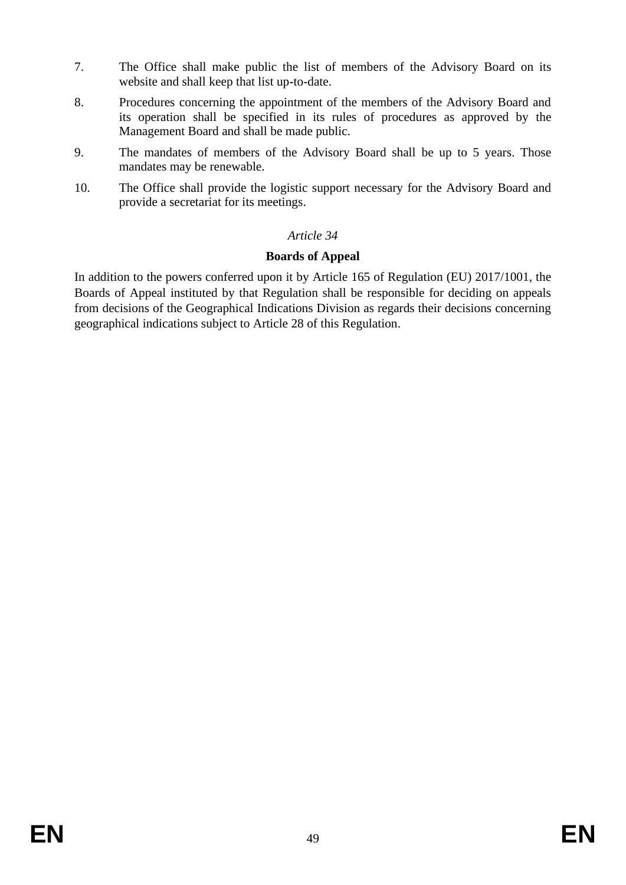- 7. The Office shall make public the list of members of the Advisory Board on its website and shall keep that list up-to-date.
- 8. Procedures concerning the appointment of the members of the Advisory Board and its operation shall be specified in its rules of procedures as approved by the Management Board and shall be made public.
- 9. The mandates of members of the Advisory Board shall be up to 5 years. Those mandates may be renewable.
- 10. The Office shall provide the logistic support necessary for the Advisory Board and provide a secretariat for its meetings.

# **Boards of Appeal**

In addition to the powers conferred upon it by Article 165 of Regulation (EU) 2017/1001, the Boards of Appeal instituted by that Regulation shall be responsible for deciding on appeals from decisions of the Geographical Indications Division as regards their decisions concerning geographical indications subject to Article 28 of this Regulation.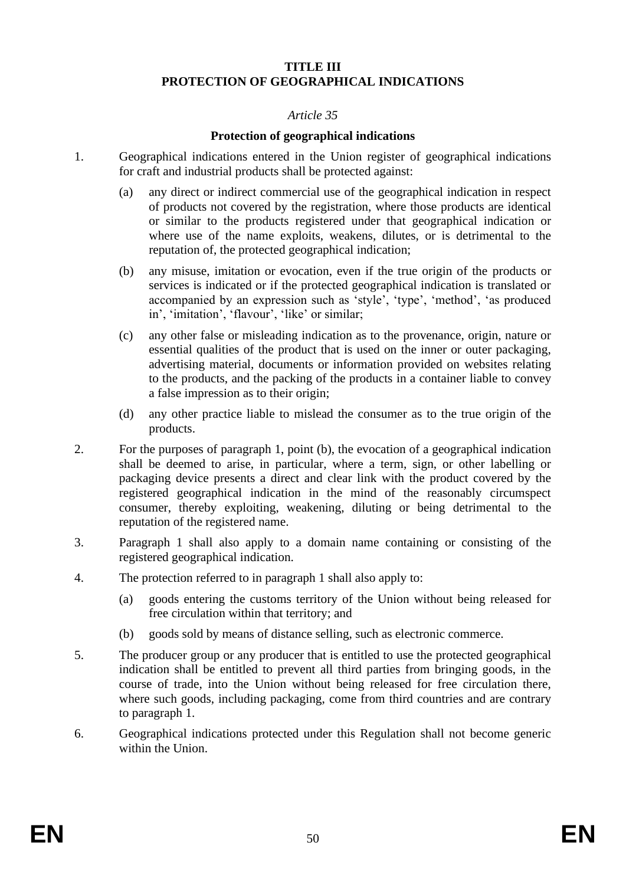# **TITLE III PROTECTION OF GEOGRAPHICAL INDICATIONS**

#### *Article 35*

#### **Protection of geographical indications**

- 1. Geographical indications entered in the Union register of geographical indications for craft and industrial products shall be protected against:
	- (a) any direct or indirect commercial use of the geographical indication in respect of products not covered by the registration, where those products are identical or similar to the products registered under that geographical indication or where use of the name exploits, weakens, dilutes, or is detrimental to the reputation of, the protected geographical indication;
	- (b) any misuse, imitation or evocation, even if the true origin of the products or services is indicated or if the protected geographical indication is translated or accompanied by an expression such as 'style', 'type', 'method', 'as produced in', 'imitation', 'flavour', 'like' or similar;
	- (c) any other false or misleading indication as to the provenance, origin, nature or essential qualities of the product that is used on the inner or outer packaging, advertising material, documents or information provided on websites relating to the products, and the packing of the products in a container liable to convey a false impression as to their origin;
	- (d) any other practice liable to mislead the consumer as to the true origin of the products.
- 2. For the purposes of paragraph 1, point (b), the evocation of a geographical indication shall be deemed to arise, in particular, where a term, sign, or other labelling or packaging device presents a direct and clear link with the product covered by the registered geographical indication in the mind of the reasonably circumspect consumer, thereby exploiting, weakening, diluting or being detrimental to the reputation of the registered name.
- 3. Paragraph 1 shall also apply to a domain name containing or consisting of the registered geographical indication.
- 4. The protection referred to in paragraph 1 shall also apply to:
	- (a) goods entering the customs territory of the Union without being released for free circulation within that territory; and
	- (b) goods sold by means of distance selling, such as electronic commerce.
- 5. The producer group or any producer that is entitled to use the protected geographical indication shall be entitled to prevent all third parties from bringing goods, in the course of trade, into the Union without being released for free circulation there, where such goods, including packaging, come from third countries and are contrary to paragraph 1.
- 6. Geographical indications protected under this Regulation shall not become generic within the Union.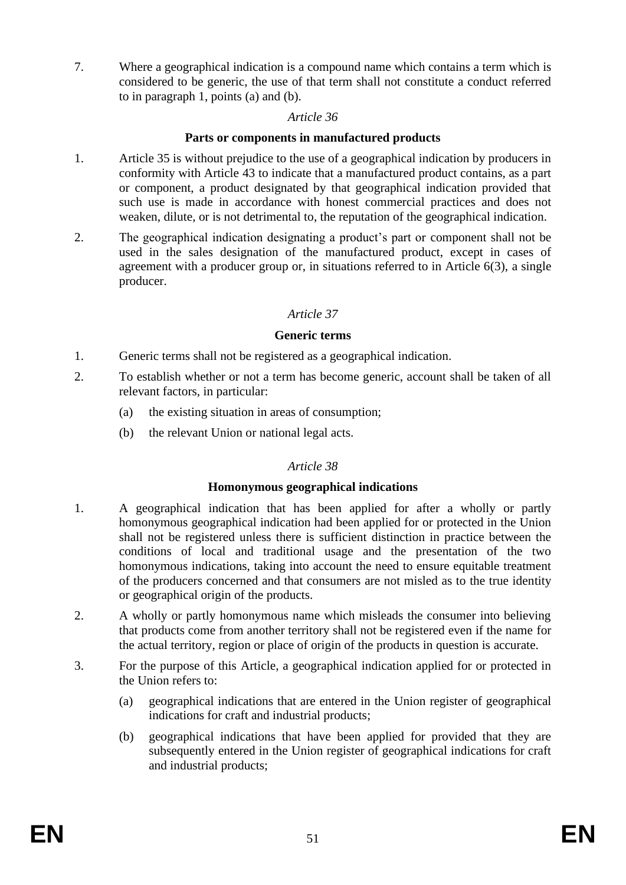7. Where a geographical indication is a compound name which contains a term which is considered to be generic, the use of that term shall not constitute a conduct referred to in paragraph 1, points (a) and (b).

#### *Article 36*

#### **Parts or components in manufactured products**

- 1. Article 35 is without prejudice to the use of a geographical indication by producers in conformity with Article 43 to indicate that a manufactured product contains, as a part or component, a product designated by that geographical indication provided that such use is made in accordance with honest commercial practices and does not weaken, dilute, or is not detrimental to, the reputation of the geographical indication.
- 2. The geographical indication designating a product's part or component shall not be used in the sales designation of the manufactured product, except in cases of agreement with a producer group or, in situations referred to in Article 6(3), a single producer.

# *Article 37*

#### **Generic terms**

- 1. Generic terms shall not be registered as a geographical indication.
- 2. To establish whether or not a term has become generic, account shall be taken of all relevant factors, in particular:
	- (a) the existing situation in areas of consumption;
	- (b) the relevant Union or national legal acts.

#### *Article 38*

#### **Homonymous geographical indications**

- 1. A geographical indication that has been applied for after a wholly or partly homonymous geographical indication had been applied for or protected in the Union shall not be registered unless there is sufficient distinction in practice between the conditions of local and traditional usage and the presentation of the two homonymous indications, taking into account the need to ensure equitable treatment of the producers concerned and that consumers are not misled as to the true identity or geographical origin of the products.
- 2. A wholly or partly homonymous name which misleads the consumer into believing that products come from another territory shall not be registered even if the name for the actual territory, region or place of origin of the products in question is accurate.
- 3. For the purpose of this Article, a geographical indication applied for or protected in the Union refers to:
	- (a) geographical indications that are entered in the Union register of geographical indications for craft and industrial products;
	- (b) geographical indications that have been applied for provided that they are subsequently entered in the Union register of geographical indications for craft and industrial products;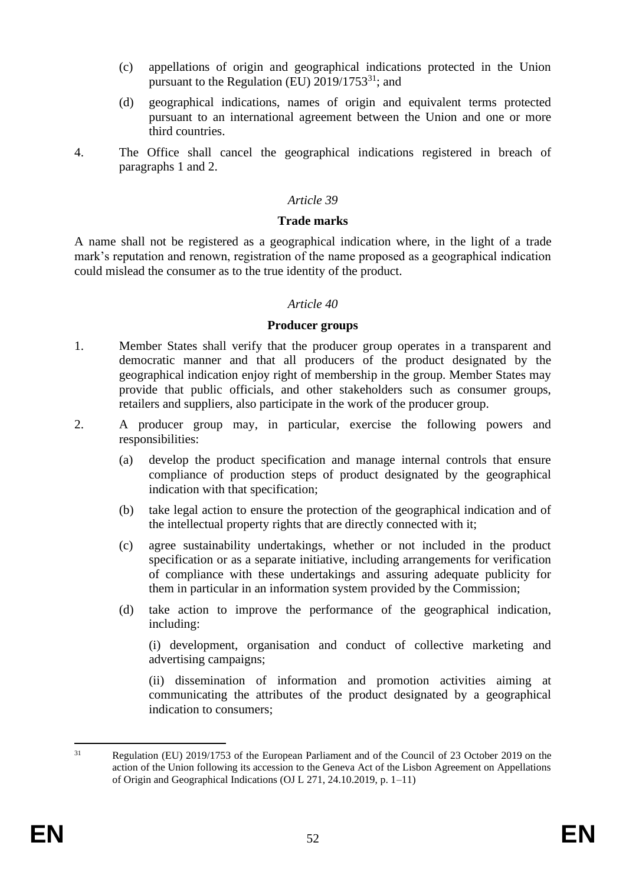- (c) appellations of origin and geographical indications protected in the Union pursuant to the Regulation (EU)  $2019/1753^{31}$ ; and
- (d) geographical indications, names of origin and equivalent terms protected pursuant to an international agreement between the Union and one or more third countries.
- 4. The Office shall cancel the geographical indications registered in breach of paragraphs 1 and 2.

#### **Trade marks**

A name shall not be registered as a geographical indication where, in the light of a trade mark's reputation and renown, registration of the name proposed as a geographical indication could mislead the consumer as to the true identity of the product.

#### *Article 40*

#### **Producer groups**

- 1. Member States shall verify that the producer group operates in a transparent and democratic manner and that all producers of the product designated by the geographical indication enjoy right of membership in the group. Member States may provide that public officials, and other stakeholders such as consumer groups, retailers and suppliers, also participate in the work of the producer group.
- 2. A producer group may, in particular, exercise the following powers and responsibilities:
	- (a) develop the product specification and manage internal controls that ensure compliance of production steps of product designated by the geographical indication with that specification;
	- (b) take legal action to ensure the protection of the geographical indication and of the intellectual property rights that are directly connected with it;
	- (c) agree sustainability undertakings, whether or not included in the product specification or as a separate initiative, including arrangements for verification of compliance with these undertakings and assuring adequate publicity for them in particular in an information system provided by the Commission;
	- (d) take action to improve the performance of the geographical indication, including:

(i) development, organisation and conduct of collective marketing and advertising campaigns;

(ii) dissemination of information and promotion activities aiming at communicating the attributes of the product designated by a geographical indication to consumers;

<sup>&</sup>lt;sup>31</sup> Regulation (EU) 2019/1753 of the European Parliament and of the Council of 23 October 2019 on the action of the Union following its accession to the Geneva Act of the Lisbon Agreement on Appellations of Origin and Geographical Indications (OJ L 271, 24.10.2019, p. 1–11)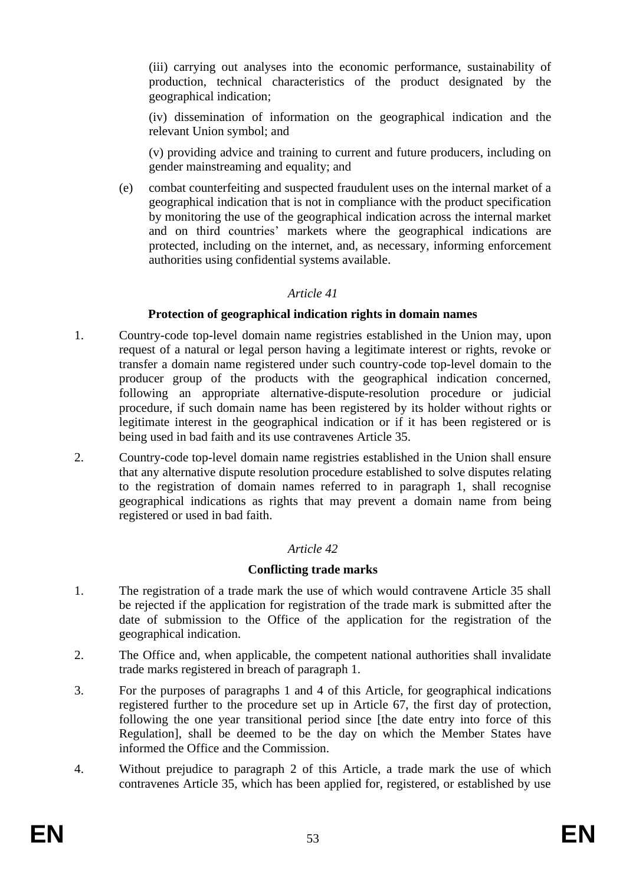(iii) carrying out analyses into the economic performance, sustainability of production, technical characteristics of the product designated by the geographical indication;

(iv) dissemination of information on the geographical indication and the relevant Union symbol; and

(v) providing advice and training to current and future producers, including on gender mainstreaming and equality; and

(e) combat counterfeiting and suspected fraudulent uses on the internal market of a geographical indication that is not in compliance with the product specification by monitoring the use of the geographical indication across the internal market and on third countries' markets where the geographical indications are protected, including on the internet, and, as necessary, informing enforcement authorities using confidential systems available.

#### *Article 41*

#### **Protection of geographical indication rights in domain names**

- 1. Country-code top-level domain name registries established in the Union may, upon request of a natural or legal person having a legitimate interest or rights, revoke or transfer a domain name registered under such country-code top-level domain to the producer group of the products with the geographical indication concerned, following an appropriate alternative-dispute-resolution procedure or judicial procedure, if such domain name has been registered by its holder without rights or legitimate interest in the geographical indication or if it has been registered or is being used in bad faith and its use contravenes Article 35.
- 2. Country-code top-level domain name registries established in the Union shall ensure that any alternative dispute resolution procedure established to solve disputes relating to the registration of domain names referred to in paragraph 1, shall recognise geographical indications as rights that may prevent a domain name from being registered or used in bad faith.

# *Article 42*

# **Conflicting trade marks**

- 1. The registration of a trade mark the use of which would contravene Article 35 shall be rejected if the application for registration of the trade mark is submitted after the date of submission to the Office of the application for the registration of the geographical indication.
- 2. The Office and, when applicable, the competent national authorities shall invalidate trade marks registered in breach of paragraph 1.
- 3. For the purposes of paragraphs 1 and 4 of this Article, for geographical indications registered further to the procedure set up in Article 67, the first day of protection, following the one year transitional period since [the date entry into force of this Regulation], shall be deemed to be the day on which the Member States have informed the Office and the Commission.
- 4. Without prejudice to paragraph 2 of this Article, a trade mark the use of which contravenes Article 35, which has been applied for, registered, or established by use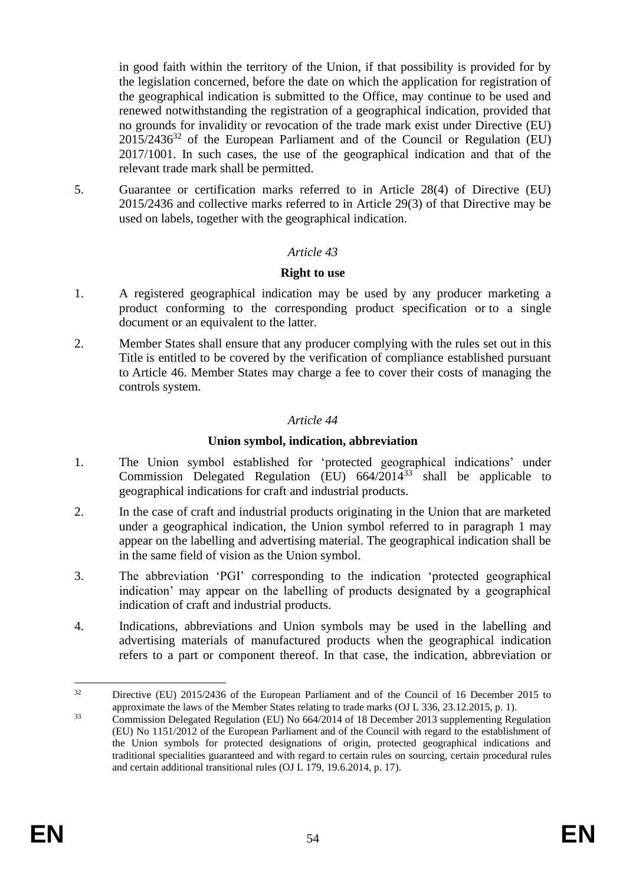in good faith within the territory of the Union, if that possibility is provided for by the legislation concerned, before the date on which the application for registration of the geographical indication is submitted to the Office, may continue to be used and renewed notwithstanding the registration of a geographical indication, provided that no grounds for invalidity or revocation of the trade mark exist under Directive (EU)  $2015/2436^{32}$  of the European Parliament and of the Council or Regulation (EU) 2017/1001. In such cases, the use of the geographical indication and that of the relevant trade mark shall be permitted.

5. Guarantee or certification marks referred to in Article 28(4) of Directive (EU) 2015/2436 and collective marks referred to in Article 29(3) of that Directive may be used on labels, together with the geographical indication.

# *Article 43*

#### **Right to use**

- 1. A registered geographical indication may be used by any producer marketing a product conforming to the corresponding product specification or to a single document or an equivalent to the latter.
- 2. Member States shall ensure that any producer complying with the rules set out in this Title is entitled to be covered by the verification of compliance established pursuant to Article 46. Member States may charge a fee to cover their costs of managing the controls system.

#### *Article 44*

# **Union symbol, indication, abbreviation**

- 1. The Union symbol established for 'protected geographical indications' under Commission Delegated Regulation (EU)  $664/2014^{33}$  shall be applicable to geographical indications for craft and industrial products.
- 2. In the case of craft and industrial products originating in the Union that are marketed under a geographical indication, the Union symbol referred to in paragraph 1 may appear on the labelling and advertising material. The geographical indication shall be in the same field of vision as the Union symbol.
- 3. The abbreviation 'PGI' corresponding to the indication 'protected geographical indication' may appear on the labelling of products designated by a geographical indication of craft and industrial products.
- 4. Indications, abbreviations and Union symbols may be used in the labelling and advertising materials of manufactured products when the geographical indication refers to a part or component thereof. In that case, the indication, abbreviation or

<sup>&</sup>lt;sup>32</sup> Directive (EU) 2015/2436 of the European Parliament and of the Council of 16 December 2015 to approximate the laws of the Member States relating to trade marks (OJ L 336, 23.12.2015, p. 1).

 $33$  Commission Delegated Regulation (EU) No 664/2014 of 18 December 2013 supplementing Regulation (EU) No 1151/2012 of the European Parliament and of the Council with regard to the establishment of the Union symbols for protected designations of origin, protected geographical indications and traditional specialities guaranteed and with regard to certain rules on sourcing, certain procedural rules and certain additional transitional rules (OJ L 179, 19.6.2014, p. 17).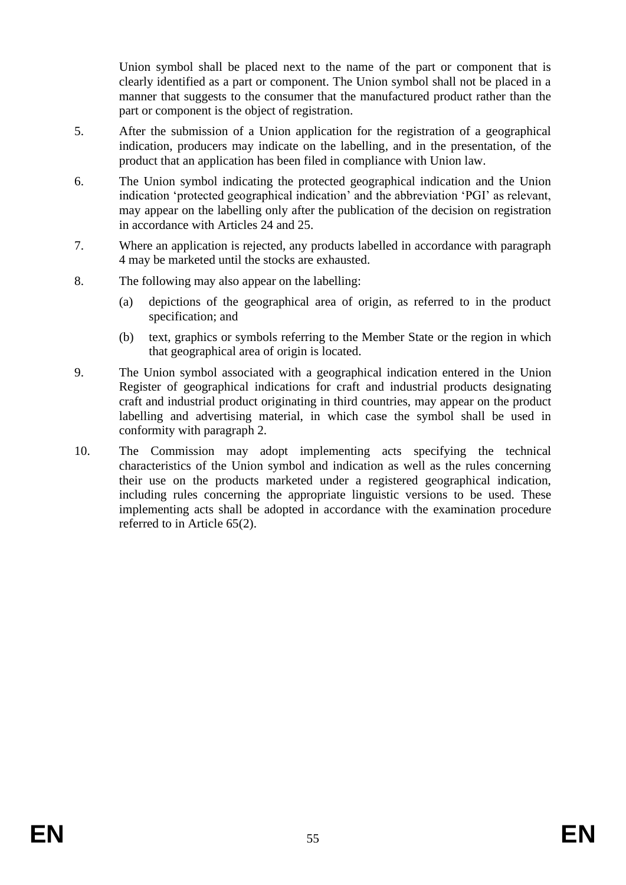Union symbol shall be placed next to the name of the part or component that is clearly identified as a part or component. The Union symbol shall not be placed in a manner that suggests to the consumer that the manufactured product rather than the part or component is the object of registration.

- 5. After the submission of a Union application for the registration of a geographical indication, producers may indicate on the labelling, and in the presentation, of the product that an application has been filed in compliance with Union law.
- 6. The Union symbol indicating the protected geographical indication and the Union indication 'protected geographical indication' and the abbreviation 'PGI' as relevant, may appear on the labelling only after the publication of the decision on registration in accordance with Articles 24 and 25.
- 7. Where an application is rejected, any products labelled in accordance with paragraph 4 may be marketed until the stocks are exhausted.
- 8. The following may also appear on the labelling:
	- (a) depictions of the geographical area of origin, as referred to in the product specification; and
	- (b) text, graphics or symbols referring to the Member State or the region in which that geographical area of origin is located.
- 9. The Union symbol associated with a geographical indication entered in the Union Register of geographical indications for craft and industrial products designating craft and industrial product originating in third countries, may appear on the product labelling and advertising material, in which case the symbol shall be used in conformity with paragraph 2.
- 10. The Commission may adopt implementing acts specifying the technical characteristics of the Union symbol and indication as well as the rules concerning their use on the products marketed under a registered geographical indication, including rules concerning the appropriate linguistic versions to be used. These implementing acts shall be adopted in accordance with the examination procedure referred to in Article 65(2).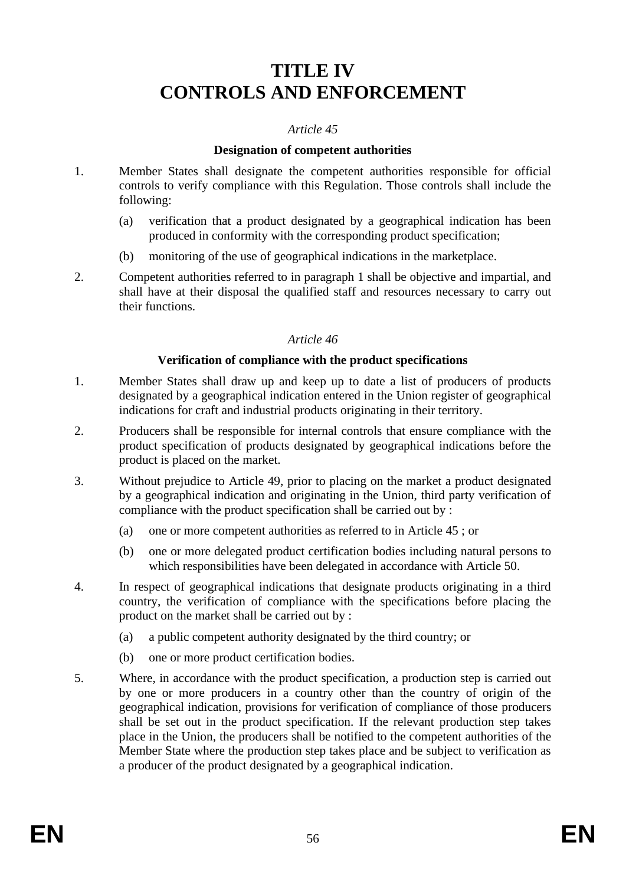# **TITLE IV CONTROLS AND ENFORCEMENT**

#### *Article 45*

#### **Designation of competent authorities**

- 1. Member States shall designate the competent authorities responsible for official controls to verify compliance with this Regulation. Those controls shall include the following:
	- (a) verification that a product designated by a geographical indication has been produced in conformity with the corresponding product specification;
	- (b) monitoring of the use of geographical indications in the marketplace.
- 2. Competent authorities referred to in paragraph 1 shall be objective and impartial, and shall have at their disposal the qualified staff and resources necessary to carry out their functions.

#### *Article 46*

#### **Verification of compliance with the product specifications**

- 1. Member States shall draw up and keep up to date a list of producers of products designated by a geographical indication entered in the Union register of geographical indications for craft and industrial products originating in their territory.
- 2. Producers shall be responsible for internal controls that ensure compliance with the product specification of products designated by geographical indications before the product is placed on the market.
- 3. Without prejudice to Article 49, prior to placing on the market a product designated by a geographical indication and originating in the Union, third party verification of compliance with the product specification shall be carried out by :
	- (a) one or more competent authorities as referred to in Article 45 ; or
	- (b) one or more delegated product certification bodies including natural persons to which responsibilities have been delegated in accordance with Article 50.
- 4. In respect of geographical indications that designate products originating in a third country, the verification of compliance with the specifications before placing the product on the market shall be carried out by :
	- (a) a public competent authority designated by the third country; or
	- (b) one or more product certification bodies.
- 5. Where, in accordance with the product specification, a production step is carried out by one or more producers in a country other than the country of origin of the geographical indication, provisions for verification of compliance of those producers shall be set out in the product specification. If the relevant production step takes place in the Union, the producers shall be notified to the competent authorities of the Member State where the production step takes place and be subject to verification as a producer of the product designated by a geographical indication.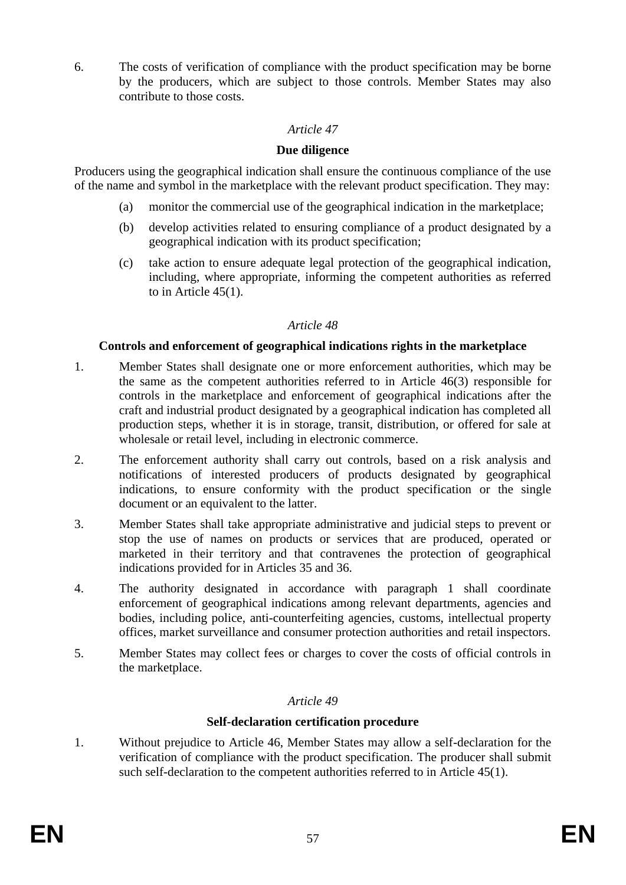6. The costs of verification of compliance with the product specification may be borne by the producers, which are subject to those controls. Member States may also contribute to those costs.

# *Article 47*

# **Due diligence**

Producers using the geographical indication shall ensure the continuous compliance of the use of the name and symbol in the marketplace with the relevant product specification. They may:

- (a) monitor the commercial use of the geographical indication in the marketplace;
- (b) develop activities related to ensuring compliance of a product designated by a geographical indication with its product specification;
- (c) take action to ensure adequate legal protection of the geographical indication, including, where appropriate, informing the competent authorities as referred to in Article 45(1).

# *Article 48*

# **Controls and enforcement of geographical indications rights in the marketplace**

- 1. Member States shall designate one or more enforcement authorities, which may be the same as the competent authorities referred to in Article 46(3) responsible for controls in the marketplace and enforcement of geographical indications after the craft and industrial product designated by a geographical indication has completed all production steps, whether it is in storage, transit, distribution, or offered for sale at wholesale or retail level, including in electronic commerce.
- 2. The enforcement authority shall carry out controls, based on a risk analysis and notifications of interested producers of products designated by geographical indications, to ensure conformity with the product specification or the single document or an equivalent to the latter.
- 3. Member States shall take appropriate administrative and judicial steps to prevent or stop the use of names on products or services that are produced, operated or marketed in their territory and that contravenes the protection of geographical indications provided for in Articles 35 and 36.
- 4. The authority designated in accordance with paragraph 1 shall coordinate enforcement of geographical indications among relevant departments, agencies and bodies, including police, anti-counterfeiting agencies, customs, intellectual property offices, market surveillance and consumer protection authorities and retail inspectors.
- 5. Member States may collect fees or charges to cover the costs of official controls in the marketplace.

# *Article 49*

# **Self-declaration certification procedure**

1. Without prejudice to Article 46, Member States may allow a self-declaration for the verification of compliance with the product specification. The producer shall submit such self-declaration to the competent authorities referred to in Article 45(1).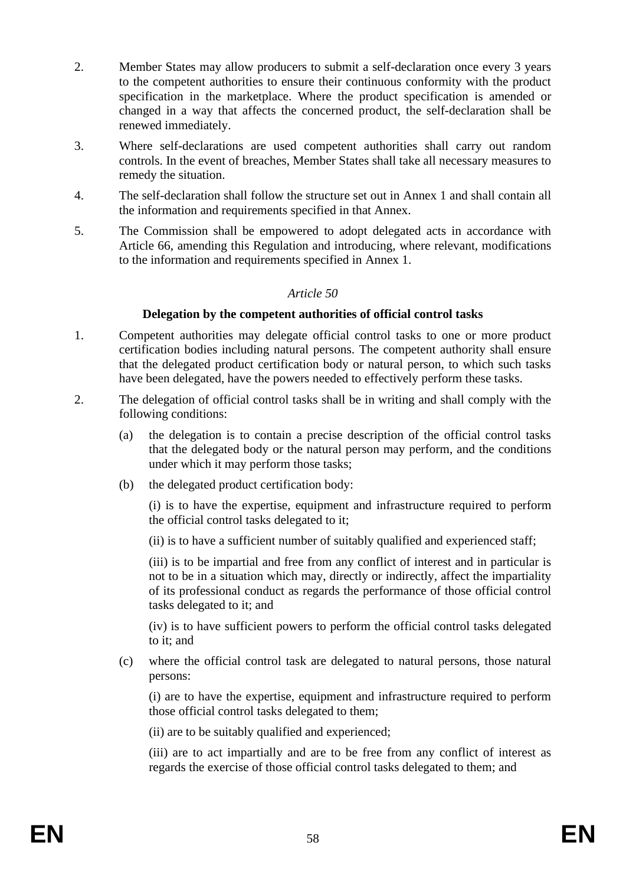- 2. Member States may allow producers to submit a self-declaration once every 3 years to the competent authorities to ensure their continuous conformity with the product specification in the marketplace. Where the product specification is amended or changed in a way that affects the concerned product, the self-declaration shall be renewed immediately.
- 3. Where self-declarations are used competent authorities shall carry out random controls. In the event of breaches, Member States shall take all necessary measures to remedy the situation.
- 4. The self-declaration shall follow the structure set out in Annex 1 and shall contain all the information and requirements specified in that Annex.
- 5. The Commission shall be empowered to adopt delegated acts in accordance with Article 66, amending this Regulation and introducing, where relevant, modifications to the information and requirements specified in Annex 1.

#### **Delegation by the competent authorities of official control tasks**

- 1. Competent authorities may delegate official control tasks to one or more product certification bodies including natural persons. The competent authority shall ensure that the delegated product certification body or natural person, to which such tasks have been delegated, have the powers needed to effectively perform these tasks.
- 2. The delegation of official control tasks shall be in writing and shall comply with the following conditions:
	- (a) the delegation is to contain a precise description of the official control tasks that the delegated body or the natural person may perform, and the conditions under which it may perform those tasks;
	- (b) the delegated product certification body:

(i) is to have the expertise, equipment and infrastructure required to perform the official control tasks delegated to it;

(ii) is to have a sufficient number of suitably qualified and experienced staff;

(iii) is to be impartial and free from any conflict of interest and in particular is not to be in a situation which may, directly or indirectly, affect the impartiality of its professional conduct as regards the performance of those official control tasks delegated to it; and

(iv) is to have sufficient powers to perform the official control tasks delegated to it; and

(c) where the official control task are delegated to natural persons, those natural persons:

(i) are to have the expertise, equipment and infrastructure required to perform those official control tasks delegated to them;

(ii) are to be suitably qualified and experienced;

(iii) are to act impartially and are to be free from any conflict of interest as regards the exercise of those official control tasks delegated to them; and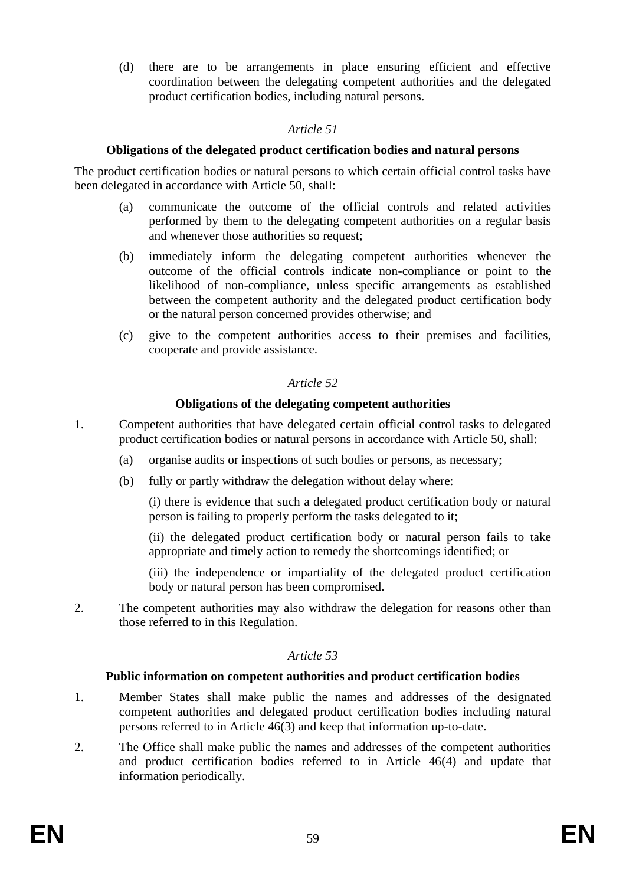(d) there are to be arrangements in place ensuring efficient and effective coordination between the delegating competent authorities and the delegated product certification bodies, including natural persons.

# *Article 51*

# **Obligations of the delegated product certification bodies and natural persons**

The product certification bodies or natural persons to which certain official control tasks have been delegated in accordance with Article 50, shall:

- (a) communicate the outcome of the official controls and related activities performed by them to the delegating competent authorities on a regular basis and whenever those authorities so request;
- (b) immediately inform the delegating competent authorities whenever the outcome of the official controls indicate non-compliance or point to the likelihood of non-compliance, unless specific arrangements as established between the competent authority and the delegated product certification body or the natural person concerned provides otherwise; and
- (c) give to the competent authorities access to their premises and facilities, cooperate and provide assistance.

# *Article 52*

# **Obligations of the delegating competent authorities**

- 1. Competent authorities that have delegated certain official control tasks to delegated product certification bodies or natural persons in accordance with Article 50, shall:
	- (a) organise audits or inspections of such bodies or persons, as necessary;
	- (b) fully or partly withdraw the delegation without delay where:

(i) there is evidence that such a delegated product certification body or natural person is failing to properly perform the tasks delegated to it;

(ii) the delegated product certification body or natural person fails to take appropriate and timely action to remedy the shortcomings identified; or

(iii) the independence or impartiality of the delegated product certification body or natural person has been compromised.

2. The competent authorities may also withdraw the delegation for reasons other than those referred to in this Regulation.

#### *Article 53*

# **Public information on competent authorities and product certification bodies**

- 1. Member States shall make public the names and addresses of the designated competent authorities and delegated product certification bodies including natural persons referred to in Article 46(3) and keep that information up-to-date.
- 2. The Office shall make public the names and addresses of the competent authorities and product certification bodies referred to in Article 46(4) and update that information periodically.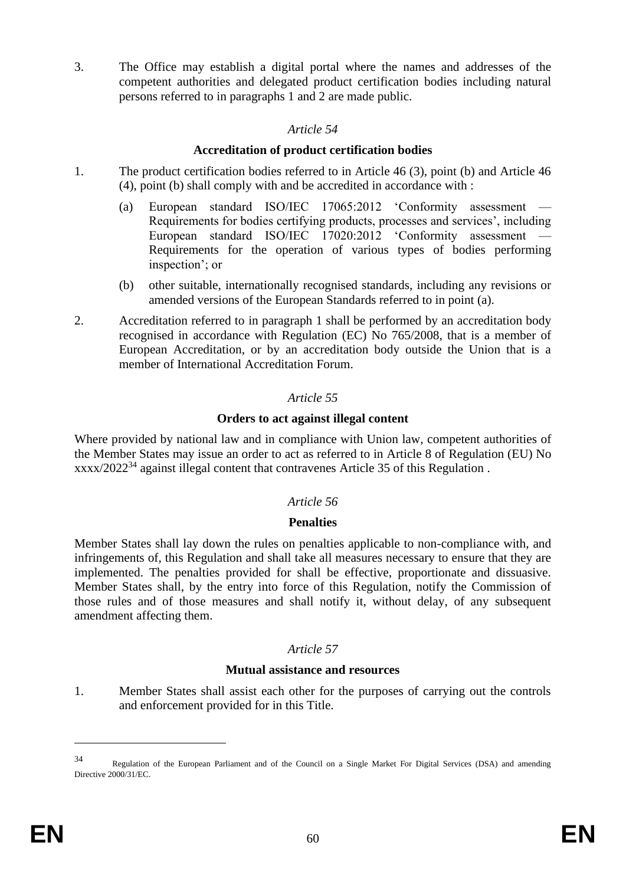3. The Office may establish a digital portal where the names and addresses of the competent authorities and delegated product certification bodies including natural persons referred to in paragraphs 1 and 2 are made public.

# *Article 54*

# **Accreditation of product certification bodies**

- 1. The product certification bodies referred to in Article 46 (3), point (b) and Article 46 (4), point (b) shall comply with and be accredited in accordance with :
	- (a) European standard ISO/IEC  $17065:2012$  'Conformity assessment Requirements for bodies certifying products, processes and services', including European standard ISO/IEC 17020:2012 'Conformity assessment Requirements for the operation of various types of bodies performing inspection'; or
	- (b) other suitable, internationally recognised standards, including any revisions or amended versions of the European Standards referred to in point (a).
- 2. Accreditation referred to in paragraph 1 shall be performed by an accreditation body recognised in accordance with Regulation (EC) No 765/2008, that is a member of European Accreditation, or by an accreditation body outside the Union that is a member of International Accreditation Forum.

# *Article 55*

# **Orders to act against illegal content**

Where provided by national law and in compliance with Union law, competent authorities of the Member States may issue an order to act as referred to in Article 8 of Regulation (EU) No xxxx/2022<sup>34</sup> against illegal content that contravenes Article 35 of this Regulation .

# *Article 56*

# **Penalties**

Member States shall lay down the rules on penalties applicable to non-compliance with, and infringements of, this Regulation and shall take all measures necessary to ensure that they are implemented. The penalties provided for shall be effective, proportionate and dissuasive. Member States shall, by the entry into force of this Regulation, notify the Commission of those rules and of those measures and shall notify it, without delay, of any subsequent amendment affecting them.

# *Article 57*

#### **Mutual assistance and resources**

1. Member States shall assist each other for the purposes of carrying out the controls and enforcement provided for in this Title.

<sup>34</sup> Regulation of the European Parliament and of the Council on a Single Market For Digital Services (DSA) and amending Directive 2000/31/EC.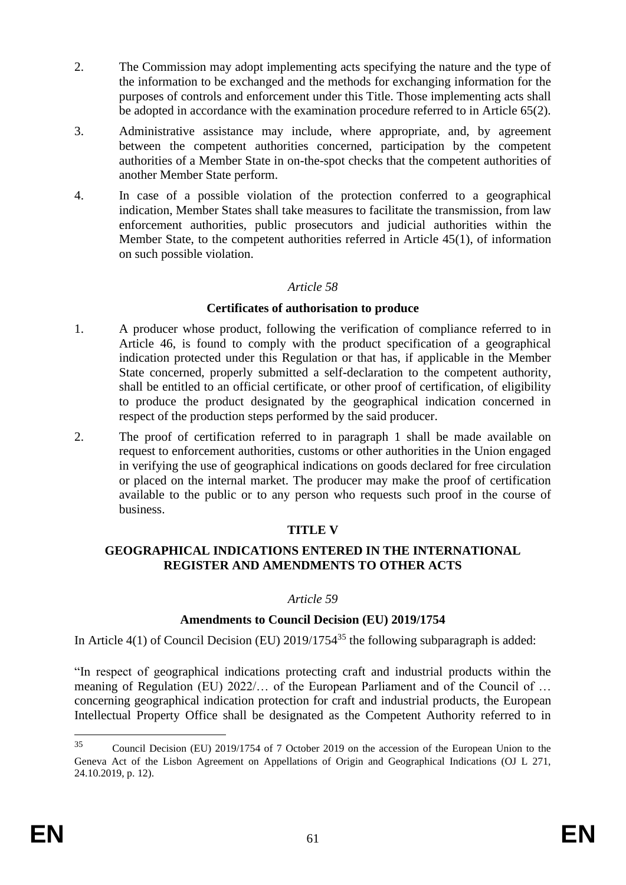- 2. The Commission may adopt implementing acts specifying the nature and the type of the information to be exchanged and the methods for exchanging information for the purposes of controls and enforcement under this Title. Those implementing acts shall be adopted in accordance with the examination procedure referred to in Article 65(2).
- 3. Administrative assistance may include, where appropriate, and, by agreement between the competent authorities concerned, participation by the competent authorities of a Member State in on-the-spot checks that the competent authorities of another Member State perform.
- 4. In case of a possible violation of the protection conferred to a geographical indication, Member States shall take measures to facilitate the transmission, from law enforcement authorities, public prosecutors and judicial authorities within the Member State, to the competent authorities referred in Article 45(1), of information on such possible violation.

# **Certificates of authorisation to produce**

- 1. A producer whose product, following the verification of compliance referred to in Article 46, is found to comply with the product specification of a geographical indication protected under this Regulation or that has, if applicable in the Member State concerned, properly submitted a self-declaration to the competent authority, shall be entitled to an official certificate, or other proof of certification, of eligibility to produce the product designated by the geographical indication concerned in respect of the production steps performed by the said producer.
- 2. The proof of certification referred to in paragraph 1 shall be made available on request to enforcement authorities, customs or other authorities in the Union engaged in verifying the use of geographical indications on goods declared for free circulation or placed on the internal market. The producer may make the proof of certification available to the public or to any person who requests such proof in the course of business.

#### **TITLE V**

# **GEOGRAPHICAL INDICATIONS ENTERED IN THE INTERNATIONAL REGISTER AND AMENDMENTS TO OTHER ACTS**

#### *Article 59*

# **Amendments to Council Decision (EU) 2019/1754**

In Article  $4(1)$  of Council Decision (EU) 2019/1754<sup>35</sup> the following subparagraph is added:

"In respect of geographical indications protecting craft and industrial products within the meaning of Regulation (EU) 2022/… of the European Parliament and of the Council of … concerning geographical indication protection for craft and industrial products, the European Intellectual Property Office shall be designated as the Competent Authority referred to in

<sup>35</sup> Council Decision (EU) 2019/1754 of 7 October 2019 on the accession of the European Union to the Geneva Act of the Lisbon Agreement on Appellations of Origin and Geographical Indications (OJ L 271, 24.10.2019, p. 12).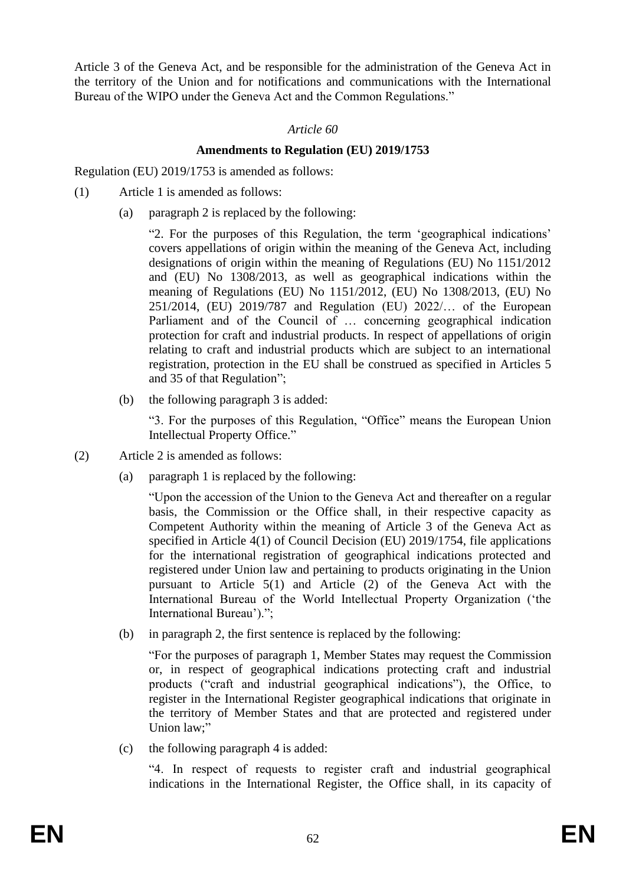Article 3 of the Geneva Act, and be responsible for the administration of the Geneva Act in the territory of the Union and for notifications and communications with the International Bureau of the WIPO under the Geneva Act and the Common Regulations."

# *Article 60*

# **Amendments to Regulation (EU) 2019/1753**

Regulation (EU) 2019/1753 is amended as follows:

- (1) Article 1 is amended as follows:
	- (a) paragraph 2 is replaced by the following:

"2. For the purposes of this Regulation, the term 'geographical indications' covers appellations of origin within the meaning of the Geneva Act, including designations of origin within the meaning of Regulations (EU) No 1151/2012 and (EU) No 1308/2013, as well as geographical indications within the meaning of Regulations (EU) No 1151/2012, (EU) No 1308/2013, (EU) No 251/2014, (EU) 2019/787 and Regulation (EU) 2022/… of the European Parliament and of the Council of … concerning geographical indication protection for craft and industrial products. In respect of appellations of origin relating to craft and industrial products which are subject to an international registration, protection in the EU shall be construed as specified in Articles 5 and 35 of that Regulation";

(b) the following paragraph 3 is added:

"3. For the purposes of this Regulation, "Office" means the European Union Intellectual Property Office."

- (2) Article 2 is amended as follows:
	- (a) paragraph 1 is replaced by the following:

"Upon the accession of the Union to the Geneva Act and thereafter on a regular basis, the Commission or the Office shall, in their respective capacity as Competent Authority within the meaning of Article 3 of the Geneva Act as specified in Article 4(1) of Council Decision (EU) 2019/1754, file applications for the international registration of geographical indications protected and registered under Union law and pertaining to products originating in the Union pursuant to Article 5(1) and Article (2) of the Geneva Act with the International Bureau of the World Intellectual Property Organization ('the International Bureau').";

(b) in paragraph 2, the first sentence is replaced by the following:

"For the purposes of paragraph 1, Member States may request the Commission or, in respect of geographical indications protecting craft and industrial products ("craft and industrial geographical indications"), the Office, to register in the International Register geographical indications that originate in the territory of Member States and that are protected and registered under Union law;"

(c) the following paragraph 4 is added:

"4. In respect of requests to register craft and industrial geographical indications in the International Register, the Office shall, in its capacity of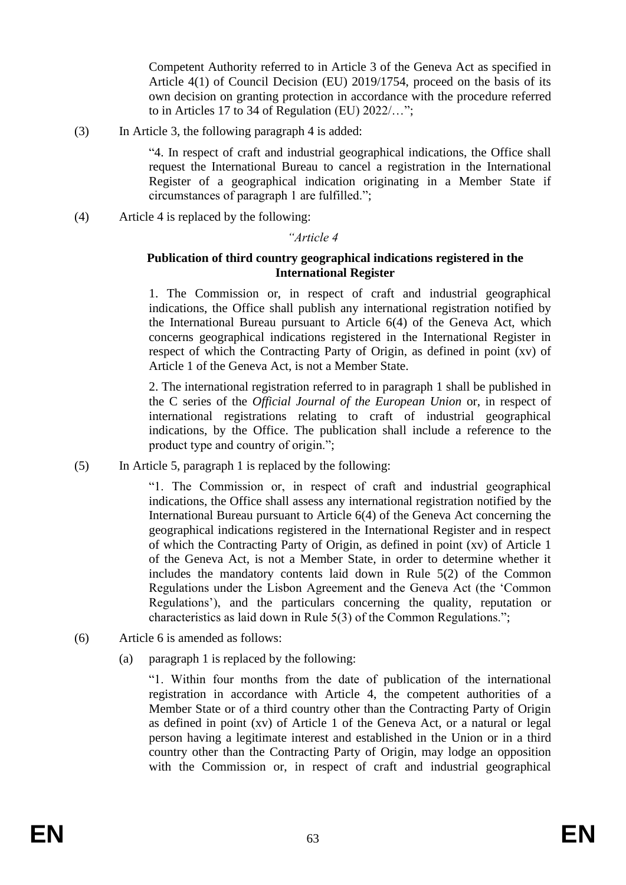Competent Authority referred to in Article 3 of the Geneva Act as specified in Article 4(1) of Council Decision (EU) 2019/1754, proceed on the basis of its own decision on granting protection in accordance with the procedure referred to in Articles 17 to 34 of Regulation (EU) 2022/…";

(3) In Article 3, the following paragraph 4 is added:

"4. In respect of craft and industrial geographical indications, the Office shall request the International Bureau to cancel a registration in the International Register of a geographical indication originating in a Member State if circumstances of paragraph 1 are fulfilled.";

(4) Article 4 is replaced by the following:

#### *"Article 4*

#### **Publication of third country geographical indications registered in the International Register**

1. The Commission or, in respect of craft and industrial geographical indications, the Office shall publish any international registration notified by the International Bureau pursuant to Article 6(4) of the Geneva Act, which concerns geographical indications registered in the International Register in respect of which the Contracting Party of Origin, as defined in point (xv) of Article 1 of the Geneva Act, is not a Member State.

2. The international registration referred to in paragraph 1 shall be published in the C series of the *Official Journal of the European Union* or, in respect of international registrations relating to craft of industrial geographical indications, by the Office. The publication shall include a reference to the product type and country of origin.";

(5) In Article 5, paragraph 1 is replaced by the following:

"1. The Commission or, in respect of craft and industrial geographical indications, the Office shall assess any international registration notified by the International Bureau pursuant to Article 6(4) of the Geneva Act concerning the geographical indications registered in the International Register and in respect of which the Contracting Party of Origin, as defined in point (xv) of Article 1 of the Geneva Act, is not a Member State, in order to determine whether it includes the mandatory contents laid down in Rule 5(2) of the Common Regulations under the Lisbon Agreement and the Geneva Act (the 'Common Regulations'), and the particulars concerning the quality, reputation or characteristics as laid down in Rule 5(3) of the Common Regulations.";

- (6) Article 6 is amended as follows:
	- (a) paragraph 1 is replaced by the following:

"1. Within four months from the date of publication of the international registration in accordance with Article 4, the competent authorities of a Member State or of a third country other than the Contracting Party of Origin as defined in point (xv) of Article 1 of the Geneva Act, or a natural or legal person having a legitimate interest and established in the Union or in a third country other than the Contracting Party of Origin, may lodge an opposition with the Commission or, in respect of craft and industrial geographical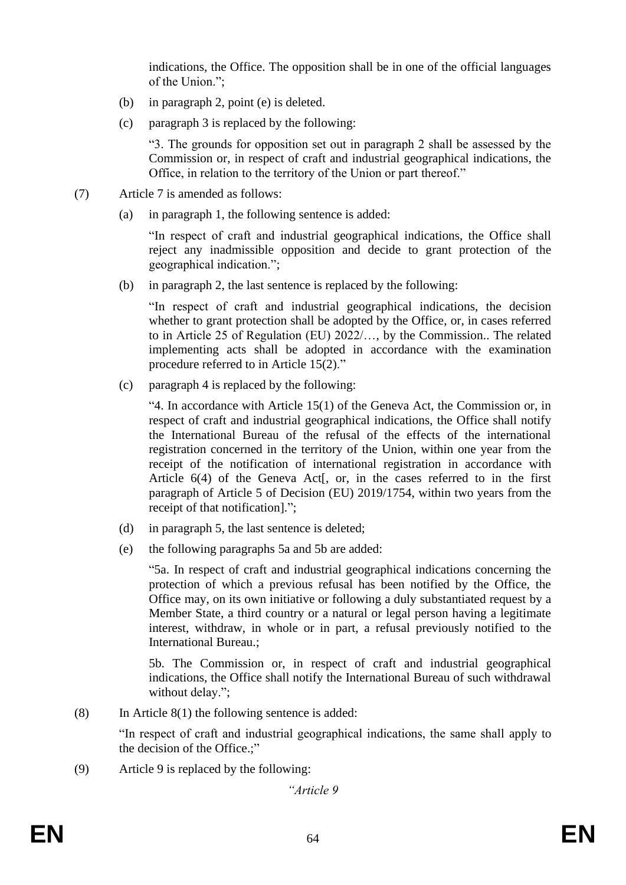indications, the Office. The opposition shall be in one of the official languages of the Union.";

- (b) in paragraph 2, point (e) is deleted.
- (c) paragraph 3 is replaced by the following:

"3. The grounds for opposition set out in paragraph 2 shall be assessed by the Commission or, in respect of craft and industrial geographical indications, the Office, in relation to the territory of the Union or part thereof."

- (7) Article 7 is amended as follows:
	- (a) in paragraph 1, the following sentence is added:

"In respect of craft and industrial geographical indications, the Office shall reject any inadmissible opposition and decide to grant protection of the geographical indication.";

(b) in paragraph 2, the last sentence is replaced by the following:

"In respect of craft and industrial geographical indications, the decision whether to grant protection shall be adopted by the Office, or, in cases referred to in Article 25 of Regulation (EU) 2022/…, by the Commission.. The related implementing acts shall be adopted in accordance with the examination procedure referred to in Article 15(2)."

(c) paragraph 4 is replaced by the following:

"4. In accordance with Article 15(1) of the Geneva Act, the Commission or, in respect of craft and industrial geographical indications, the Office shall notify the International Bureau of the refusal of the effects of the international registration concerned in the territory of the Union, within one year from the receipt of the notification of international registration in accordance with Article 6(4) of the Geneva Act[, or, in the cases referred to in the first paragraph of Article 5 of Decision (EU) 2019/1754, within two years from the receipt of that notification].";

- (d) in paragraph 5, the last sentence is deleted;
- (e) the following paragraphs 5a and 5b are added:

"5a. In respect of craft and industrial geographical indications concerning the protection of which a previous refusal has been notified by the Office, the Office may, on its own initiative or following a duly substantiated request by a Member State, a third country or a natural or legal person having a legitimate interest, withdraw, in whole or in part, a refusal previously notified to the International Bureau.;

5b. The Commission or, in respect of craft and industrial geographical indications, the Office shall notify the International Bureau of such withdrawal without delay.";

(8) In Article 8(1) the following sentence is added:

"In respect of craft and industrial geographical indications, the same shall apply to the decision of the Office.;"

(9) Article 9 is replaced by the following: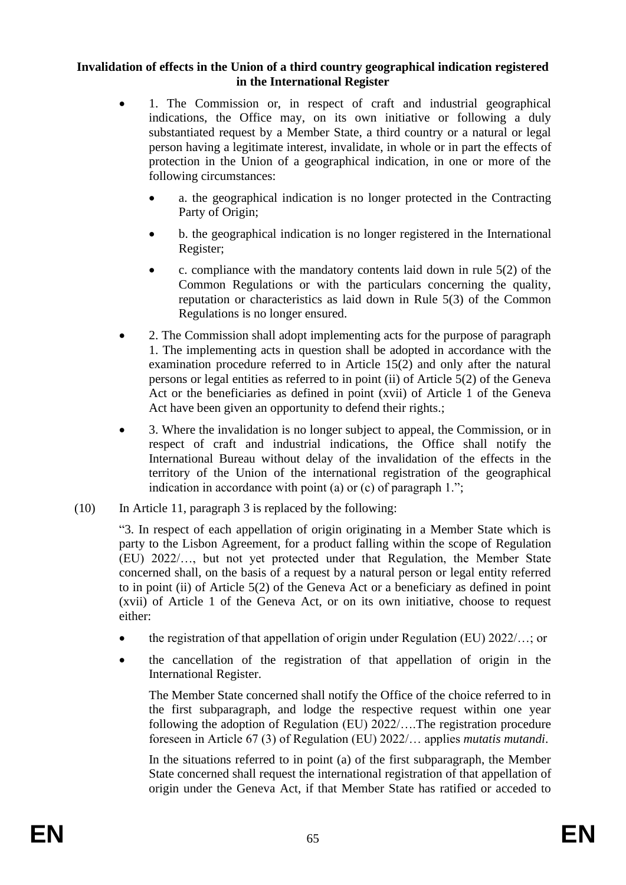# **Invalidation of effects in the Union of a third country geographical indication registered in the International Register**

- 1. The Commission or, in respect of craft and industrial geographical indications, the Office may, on its own initiative or following a duly substantiated request by a Member State, a third country or a natural or legal person having a legitimate interest, invalidate, in whole or in part the effects of protection in the Union of a geographical indication, in one or more of the following circumstances:
	- a. the geographical indication is no longer protected in the Contracting Party of Origin;
	- b. the geographical indication is no longer registered in the International Register;
	- c. compliance with the mandatory contents laid down in rule  $5(2)$  of the Common Regulations or with the particulars concerning the quality, reputation or characteristics as laid down in Rule 5(3) of the Common Regulations is no longer ensured.
- 2. The Commission shall adopt implementing acts for the purpose of paragraph 1. The implementing acts in question shall be adopted in accordance with the examination procedure referred to in Article 15(2) and only after the natural persons or legal entities as referred to in point (ii) of Article 5(2) of the Geneva Act or the beneficiaries as defined in point (xvii) of Article 1 of the Geneva Act have been given an opportunity to defend their rights.;
- 3. Where the invalidation is no longer subject to appeal, the Commission, or in respect of craft and industrial indications, the Office shall notify the International Bureau without delay of the invalidation of the effects in the territory of the Union of the international registration of the geographical indication in accordance with point (a) or (c) of paragraph 1.";
- (10) In Article 11, paragraph 3 is replaced by the following:

"3. In respect of each appellation of origin originating in a Member State which is party to the Lisbon Agreement, for a product falling within the scope of Regulation (EU) 2022/…, but not yet protected under that Regulation, the Member State concerned shall, on the basis of a request by a natural person or legal entity referred to in point (ii) of Article 5(2) of the Geneva Act or a beneficiary as defined in point (xvii) of Article 1 of the Geneva Act, or on its own initiative, choose to request either:

- the registration of that appellation of origin under Regulation (EU) 2022/…; or
- the cancellation of the registration of that appellation of origin in the International Register.

The Member State concerned shall notify the Office of the choice referred to in the first subparagraph, and lodge the respective request within one year following the adoption of Regulation (EU) 2022/….The registration procedure foreseen in Article 67 (3) of Regulation (EU) 2022/… applies *mutatis mutandi*.

In the situations referred to in point (a) of the first subparagraph, the Member State concerned shall request the international registration of that appellation of origin under the Geneva Act, if that Member State has ratified or acceded to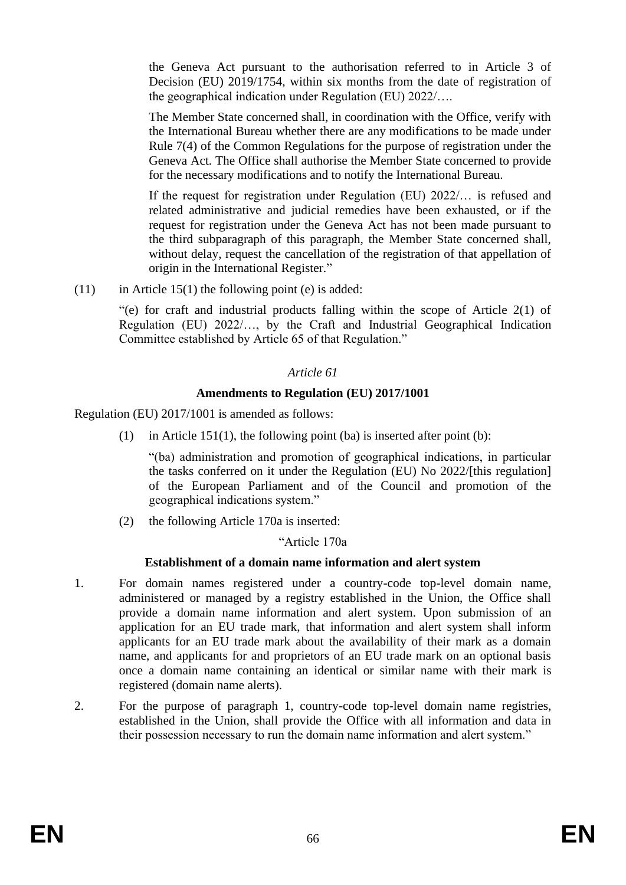the Geneva Act pursuant to the authorisation referred to in Article 3 of Decision (EU) 2019/1754, within six months from the date of registration of the geographical indication under Regulation (EU) 2022/….

The Member State concerned shall, in coordination with the Office, verify with the International Bureau whether there are any modifications to be made under Rule 7(4) of the Common Regulations for the purpose of registration under the Geneva Act. The Office shall authorise the Member State concerned to provide for the necessary modifications and to notify the International Bureau.

If the request for registration under Regulation (EU) 2022/… is refused and related administrative and judicial remedies have been exhausted, or if the request for registration under the Geneva Act has not been made pursuant to the third subparagraph of this paragraph, the Member State concerned shall, without delay, request the cancellation of the registration of that appellation of origin in the International Register."

 $(11)$  in Article 15(1) the following point (e) is added:

"(e) for craft and industrial products falling within the scope of Article 2(1) of Regulation (EU) 2022/…, by the Craft and Industrial Geographical Indication Committee established by Article 65 of that Regulation."

# *Article 61*

# **Amendments to Regulation (EU) 2017/1001**

Regulation (EU) 2017/1001 is amended as follows:

(1) in Article 151(1), the following point (ba) is inserted after point (b):

"(ba) administration and promotion of geographical indications, in particular the tasks conferred on it under the Regulation (EU) No 2022/[this regulation] of the European Parliament and of the Council and promotion of the geographical indications system."

(2) the following Article 170a is inserted:

"Article 170a

# **Establishment of a domain name information and alert system**

- 1. For domain names registered under a country-code top-level domain name, administered or managed by a registry established in the Union, the Office shall provide a domain name information and alert system. Upon submission of an application for an EU trade mark, that information and alert system shall inform applicants for an EU trade mark about the availability of their mark as a domain name, and applicants for and proprietors of an EU trade mark on an optional basis once a domain name containing an identical or similar name with their mark is registered (domain name alerts).
- 2. For the purpose of paragraph 1, country-code top-level domain name registries, established in the Union, shall provide the Office with all information and data in their possession necessary to run the domain name information and alert system."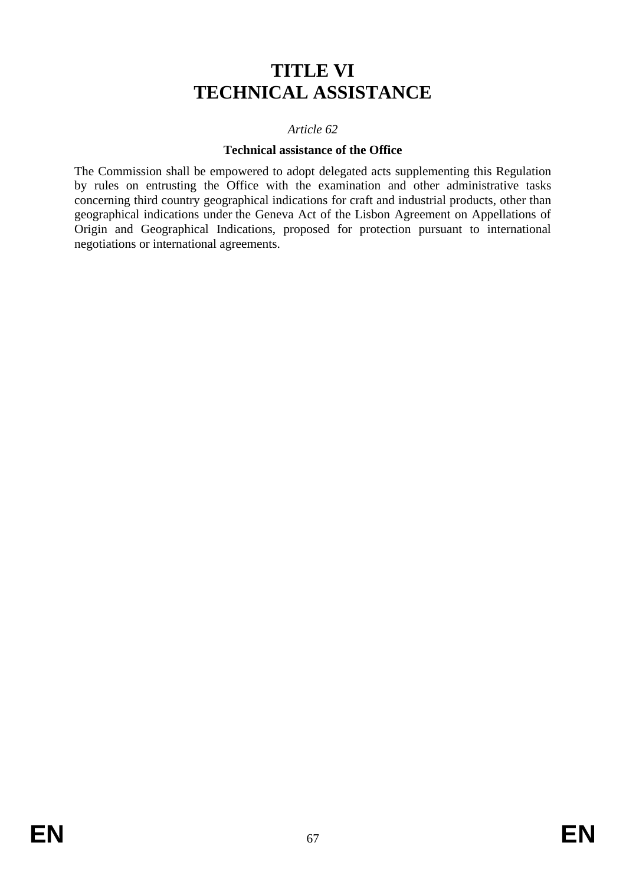# **TITLE VI TECHNICAL ASSISTANCE**

#### *Article 62*

#### **Technical assistance of the Office**

The Commission shall be empowered to adopt delegated acts supplementing this Regulation by rules on entrusting the Office with the examination and other administrative tasks concerning third country geographical indications for craft and industrial products, other than geographical indications under the Geneva Act of the Lisbon Agreement on Appellations of Origin and Geographical Indications, proposed for protection pursuant to international negotiations or international agreements.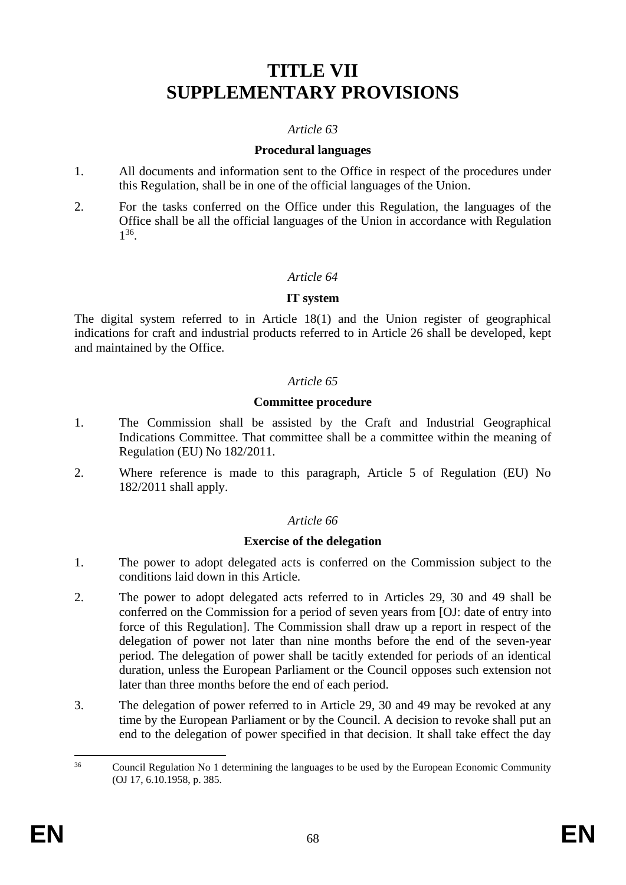# **TITLE VII SUPPLEMENTARY PROVISIONS**

#### *Article 63*

#### **Procedural languages**

- 1. All documents and information sent to the Office in respect of the procedures under this Regulation, shall be in one of the official languages of the Union.
- 2. For the tasks conferred on the Office under this Regulation, the languages of the Office shall be all the official languages of the Union in accordance with Regulation 1 36 .

# *Article 64*

#### **IT system**

The digital system referred to in Article 18(1) and the Union register of geographical indications for craft and industrial products referred to in Article 26 shall be developed, kept and maintained by the Office.

# *Article 65*

#### **Committee procedure**

- 1. The Commission shall be assisted by the Craft and Industrial Geographical Indications Committee. That committee shall be a committee within the meaning of Regulation (EU) No 182/2011.
- 2. Where reference is made to this paragraph, Article 5 of Regulation (EU) No 182/2011 shall apply.

#### *Article 66*

#### **Exercise of the delegation**

- 1. The power to adopt delegated acts is conferred on the Commission subject to the conditions laid down in this Article.
- 2. The power to adopt delegated acts referred to in Articles 29, 30 and 49 shall be conferred on the Commission for a period of seven years from [OJ: date of entry into force of this Regulation]. The Commission shall draw up a report in respect of the delegation of power not later than nine months before the end of the seven-year period. The delegation of power shall be tacitly extended for periods of an identical duration, unless the European Parliament or the Council opposes such extension not later than three months before the end of each period.
- 3. The delegation of power referred to in Article 29, 30 and 49 may be revoked at any time by the European Parliament or by the Council. A decision to revoke shall put an end to the delegation of power specified in that decision. It shall take effect the day

<sup>&</sup>lt;sup>36</sup> Council Regulation No 1 determining the languages to be used by the European Economic Community (OJ 17, 6.10.1958, p. 385.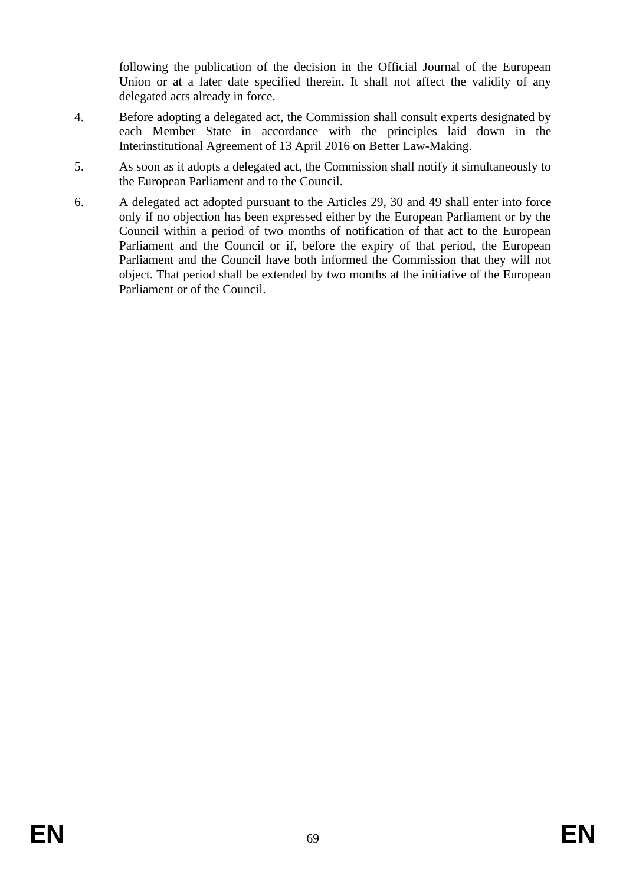following the publication of the decision in the Official Journal of the European Union or at a later date specified therein. It shall not affect the validity of any delegated acts already in force.

- 4. Before adopting a delegated act, the Commission shall consult experts designated by each Member State in accordance with the principles laid down in the Interinstitutional Agreement of 13 April 2016 on Better Law-Making.
- 5. As soon as it adopts a delegated act, the Commission shall notify it simultaneously to the European Parliament and to the Council.
- 6. A delegated act adopted pursuant to the Articles 29, 30 and 49 shall enter into force only if no objection has been expressed either by the European Parliament or by the Council within a period of two months of notification of that act to the European Parliament and the Council or if, before the expiry of that period, the European Parliament and the Council have both informed the Commission that they will not object. That period shall be extended by two months at the initiative of the European Parliament or of the Council.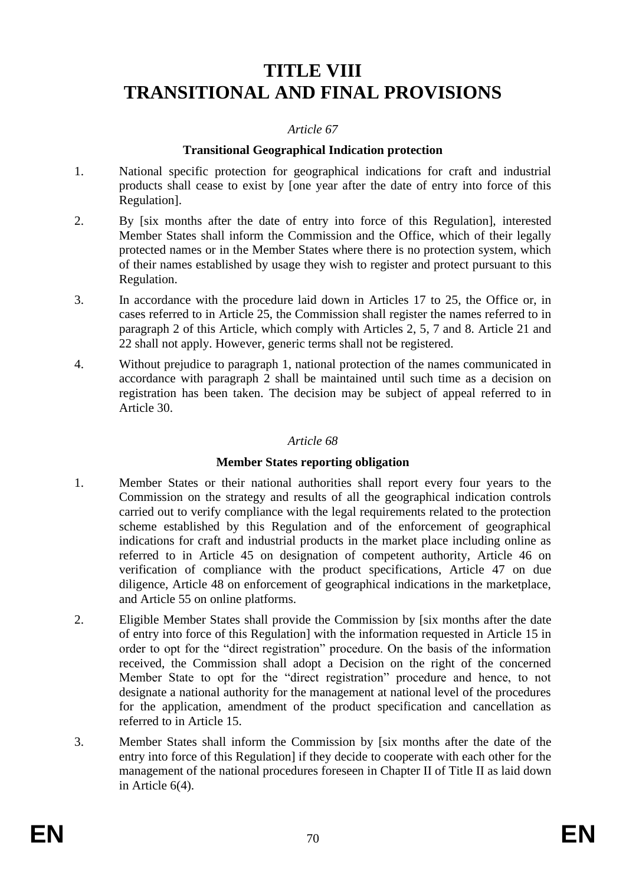# **TITLE VIII TRANSITIONAL AND FINAL PROVISIONS**

#### *Article 67*

#### **Transitional Geographical Indication protection**

- 1. National specific protection for geographical indications for craft and industrial products shall cease to exist by [one year after the date of entry into force of this Regulation].
- 2. By [six months after the date of entry into force of this Regulation], interested Member States shall inform the Commission and the Office, which of their legally protected names or in the Member States where there is no protection system, which of their names established by usage they wish to register and protect pursuant to this Regulation.
- 3. In accordance with the procedure laid down in Articles 17 to 25, the Office or, in cases referred to in Article 25, the Commission shall register the names referred to in paragraph 2 of this Article, which comply with Articles 2, 5, 7 and 8. Article 21 and 22 shall not apply. However, generic terms shall not be registered.
- 4. Without prejudice to paragraph 1, national protection of the names communicated in accordance with paragraph 2 shall be maintained until such time as a decision on registration has been taken. The decision may be subject of appeal referred to in Article 30.

#### *Article 68*

#### **Member States reporting obligation**

- 1. Member States or their national authorities shall report every four years to the Commission on the strategy and results of all the geographical indication controls carried out to verify compliance with the legal requirements related to the protection scheme established by this Regulation and of the enforcement of geographical indications for craft and industrial products in the market place including online as referred to in Article 45 on designation of competent authority, Article 46 on verification of compliance with the product specifications, Article 47 on due diligence, Article 48 on enforcement of geographical indications in the marketplace, and Article 55 on online platforms.
- 2. Eligible Member States shall provide the Commission by [six months after the date of entry into force of this Regulation] with the information requested in Article 15 in order to opt for the "direct registration" procedure. On the basis of the information received, the Commission shall adopt a Decision on the right of the concerned Member State to opt for the "direct registration" procedure and hence, to not designate a national authority for the management at national level of the procedures for the application, amendment of the product specification and cancellation as referred to in Article 15.
- 3. Member States shall inform the Commission by [six months after the date of the entry into force of this Regulation] if they decide to cooperate with each other for the management of the national procedures foreseen in Chapter II of Title II as laid down in Article 6(4).